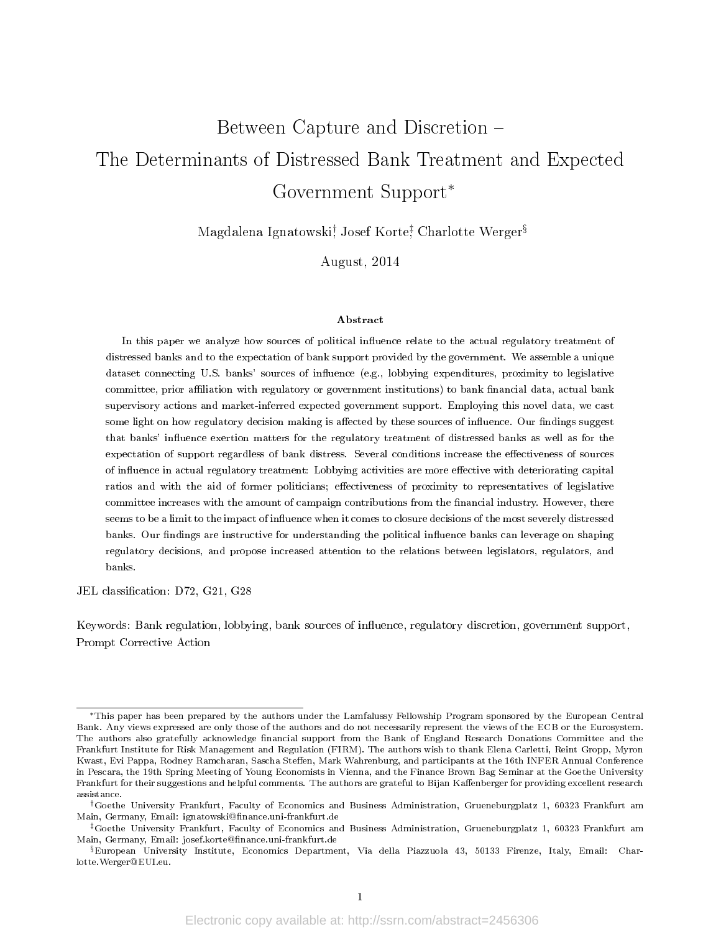# Between Capture and Discretion The Determinants of Distressed Bank Treatment and Expected Government Support<sup>∗</sup>

Magdalena Ignatowski† , Josef Korte‡ , Charlotte Werger§

August, 2014

#### Abstract

In this paper we analyze how sources of political influence relate to the actual regulatory treatment of distressed banks and to the expectation of bank support provided by the government. We assemble a unique dataset connecting U.S. banks' sources of influence (e.g., lobbying expenditures, proximity to legislative committee, prior affiliation with regulatory or government institutions) to bank financial data, actual bank supervisory actions and market-inferred expected government support. Employing this novel data, we cast some light on how regulatory decision making is affected by these sources of influence. Our findings suggest that banks' influence exertion matters for the regulatory treatment of distressed banks as well as for the expectation of support regardless of bank distress. Several conditions increase the effectiveness of sources of influence in actual regulatory treatment: Lobbying activities are more effective with deteriorating capital ratios and with the aid of former politicians; effectiveness of proximity to representatives of legislative committee increases with the amount of campaign contributions from the financial industry. However, there seems to be a limit to the impact of influence when it comes to closure decisions of the most severely distressed banks. Our findings are instructive for understanding the political influence banks can leverage on shaping regulatory decisions, and propose increased attention to the relations between legislators, regulators, and banks.

JEL classification: D72, G21, G28

Keywords: Bank regulation, lobbying, bank sources of influence, regulatory discretion, government support, Prompt Corrective Action

<sup>∗</sup>This paper has been prepared by the authors under the Lamfalussy Fellowship Program sponsored by the European Central Bank. Any views expressed are only those of the authors and do not necessarily represent the views of the ECB or the Eurosystem. The authors also gratefully acknowledge financial support from the Bank of England Research Donations Committee and the Frankfurt Institute for Risk Management and Regulation (FIRM). The authors wish to thank Elena Carletti, Reint Gropp, Myron Kwast, Evi Pappa, Rodney Ramcharan, Sascha Steffen, Mark Wahrenburg, and participants at the 16th INFER Annual Conference in Pescara, the 19th Spring Meeting of Young Economists in Vienna, and the Finance Brown Bag Seminar at the Goethe University Frankfurt for their suggestions and helpful comments. The authors are grateful to Bijan Kaffenberger for providing excellent research assistance.

<sup>†</sup>Goethe University Frankfurt, Faculty of Economics and Business Administration, Grueneburgplatz 1, 60323 Frankfurt am Main, Germany, Email: ignatowski@finance.uni-frankfurt.de

<sup>‡</sup>Goethe University Frankfurt, Faculty of Economics and Business Administration, Grueneburgplatz 1, 60323 Frankfurt am Main, Germany, Email: josef.korte@finance.uni-frankfurt.de

 $\S$ European University Institute, Economics Department, Via della Piazzuola 43, 50133 Firenze, Italy, Email: Charlotte.Werger@EUI.eu.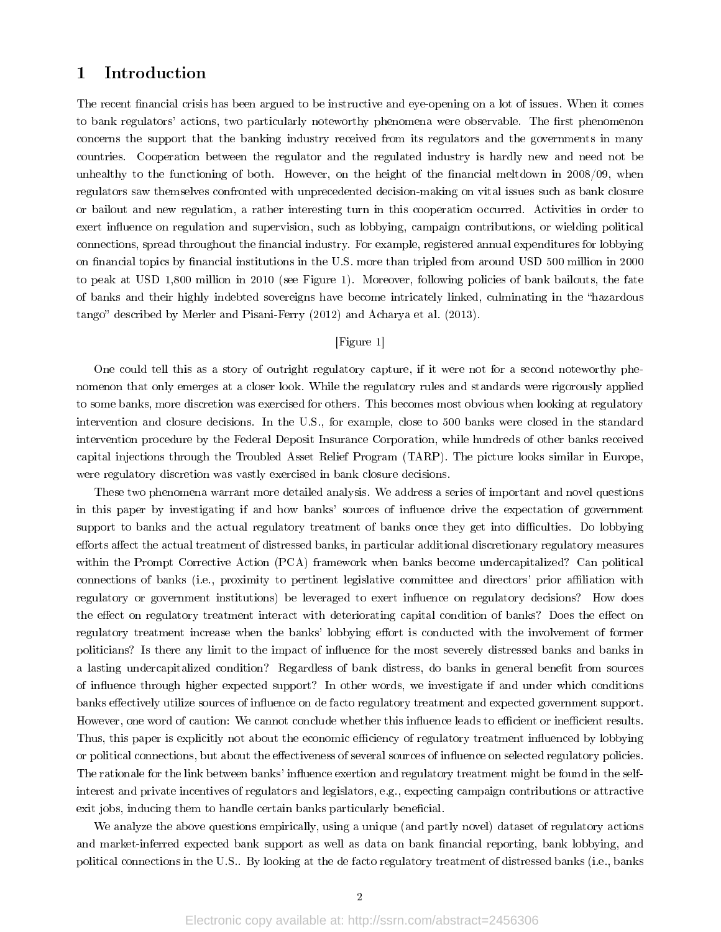# 1 Introduction

The recent financial crisis has been argued to be instructive and eye-opening on a lot of issues. When it comes to bank regulators' actions, two particularly noteworthy phenomena were observable. The first phenomenon concerns the support that the banking industry received from its regulators and the governments in many countries. Cooperation between the regulator and the regulated industry is hardly new and need not be unhealthy to the functioning of both. However, on the height of the financial meltdown in 2008/09, when regulators saw themselves confronted with unprecedented decision-making on vital issues such as bank closure or bailout and new regulation, a rather interesting turn in this cooperation occurred. Activities in order to exert influence on regulation and supervision, such as lobbying, campaign contributions, or wielding political connections, spread throughout the financial industry. For example, registered annual expenditures for lobbying on financial topics by financial institutions in the U.S. more than tripled from around USD 500 million in 2000 to peak at USD 1,800 million in 2010 (see Figure 1). Moreover, following policies of bank bailouts, the fate of banks and their highly indebted sovereigns have become intricately linked, culminating in the hazardous tango" described by Merler and Pisani-Ferry (2012) and Acharya et al. (2013).

# [Figure 1]

One could tell this as a story of outright regulatory capture, if it were not for a second noteworthy phenomenon that only emerges at a closer look. While the regulatory rules and standards were rigorously applied to some banks, more discretion was exercised for others. This becomes most obvious when looking at regulatory intervention and closure decisions. In the U.S., for example, close to 500 banks were closed in the standard intervention procedure by the Federal Deposit Insurance Corporation, while hundreds of other banks received capital injections through the Troubled Asset Relief Program (TARP). The picture looks similar in Europe, were regulatory discretion was vastly exercised in bank closure decisions.

These two phenomena warrant more detailed analysis. We address a series of important and novel questions in this paper by investigating if and how banks' sources of influence drive the expectation of government support to banks and the actual regulatory treatment of banks once they get into difficulties. Do lobbying efforts affect the actual treatment of distressed banks, in particular additional discretionary regulatory measures within the Prompt Corrective Action (PCA) framework when banks become undercapitalized? Can political connections of banks (i.e., proximity to pertinent legislative committee and directors' prior affiliation with regulatory or government institutions) be leveraged to exert influence on regulatory decisions? How does the effect on regulatory treatment interact with deteriorating capital condition of banks? Does the effect on regulatory treatment increase when the banks' lobbying effort is conducted with the involvement of former politicians? Is there any limit to the impact of influence for the most severely distressed banks and banks in a lasting undercapitalized condition? Regardless of bank distress, do banks in general benefit from sources of inuence through higher expected support? In other words, we investigate if and under which conditions banks effectively utilize sources of influence on de facto regulatory treatment and expected government support. However, one word of caution: We cannot conclude whether this influence leads to efficient or inefficient results. Thus, this paper is explicitly not about the economic efficiency of regulatory treatment influenced by lobbying or political connections, but about the effectiveness of several sources of influence on selected regulatory policies. The rationale for the link between banks' influence exertion and regulatory treatment might be found in the selfinterest and private incentives of regulators and legislators, e.g., expecting campaign contributions or attractive exit jobs, inducing them to handle certain banks particularly beneficial.

We analyze the above questions empirically, using a unique (and partly novel) dataset of regulatory actions and market-inferred expected bank support as well as data on bank financial reporting, bank lobbying, and political connections in the U.S.. By looking at the de facto regulatory treatment of distressed banks (i.e., banks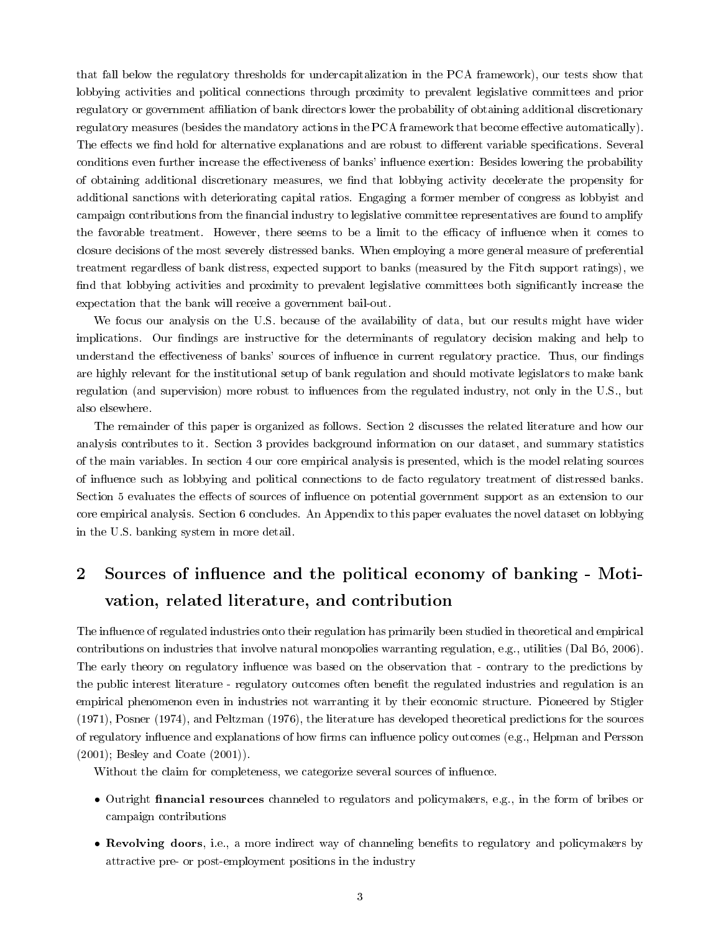that fall below the regulatory thresholds for undercapitalization in the PCA framework), our tests show that lobbying activities and political connections through proximity to prevalent legislative committees and prior regulatory or government aliation of bank directors lower the probability of obtaining additional discretionary regulatory measures (besides the mandatory actions in the PCA framework that become effective automatically). The effects we find hold for alternative explanations and are robust to different variable specifications. Several conditions even further increase the effectiveness of banks' influence exertion: Besides lowering the probability of obtaining additional discretionary measures, we find that lobbying activity decelerate the propensity for additional sanctions with deteriorating capital ratios. Engaging a former member of congress as lobbyist and campaign contributions from the financial industry to legislative committee representatives are found to amplify the favorable treatment. However, there seems to be a limit to the efficacy of influence when it comes to closure decisions of the most severely distressed banks. When employing a more general measure of preferential treatment regardless of bank distress, expected support to banks (measured by the Fitch support ratings), we find that lobbying activities and proximity to prevalent legislative committees both significantly increase the expectation that the bank will receive a government bail-out.

We focus our analysis on the U.S. because of the availability of data, but our results might have wider implications. Our findings are instructive for the determinants of regulatory decision making and help to understand the effectiveness of banks' sources of influence in current regulatory practice. Thus, our findings are highly relevant for the institutional setup of bank regulation and should motivate legislators to make bank regulation (and supervision) more robust to influences from the regulated industry, not only in the U.S., but also elsewhere.

The remainder of this paper is organized as follows. Section 2 discusses the related literature and how our analysis contributes to it. Section 3 provides background information on our dataset, and summary statistics of the main variables. In section 4 our core empirical analysis is presented, which is the model relating sources of inuence such as lobbying and political connections to de facto regulatory treatment of distressed banks. Section 5 evaluates the effects of sources of influence on potential government support as an extension to our core empirical analysis. Section 6 concludes. An Appendix to this paper evaluates the novel dataset on lobbying in the U.S. banking system in more detail.

# 2 Sources of influence and the political economy of banking - Motivation, related literature, and contribution

The influence of regulated industries onto their regulation has primarily been studied in theoretical and empirical contributions on industries that involve natural monopolies warranting regulation, e.g., utilities (Dal Bó, 2006). The early theory on regulatory influence was based on the observation that - contrary to the predictions by the public interest literature - regulatory outcomes often benefit the regulated industries and regulation is an empirical phenomenon even in industries not warranting it by their economic structure. Pioneered by Stigler (1971), Posner (1974), and Peltzman (1976), the literature has developed theoretical predictions for the sources of regulatory influence and explanations of how firms can influence policy outcomes (e.g., Helpman and Persson (2001); Besley and Coate (2001)).

Without the claim for completeness, we categorize several sources of influence.

- Outright **financial resources** channeled to regulators and policymakers, e.g., in the form of bribes or campaign contributions
- Revolving doors, i.e., a more indirect way of channeling benefits to regulatory and policymakers by attractive pre- or post-employment positions in the industry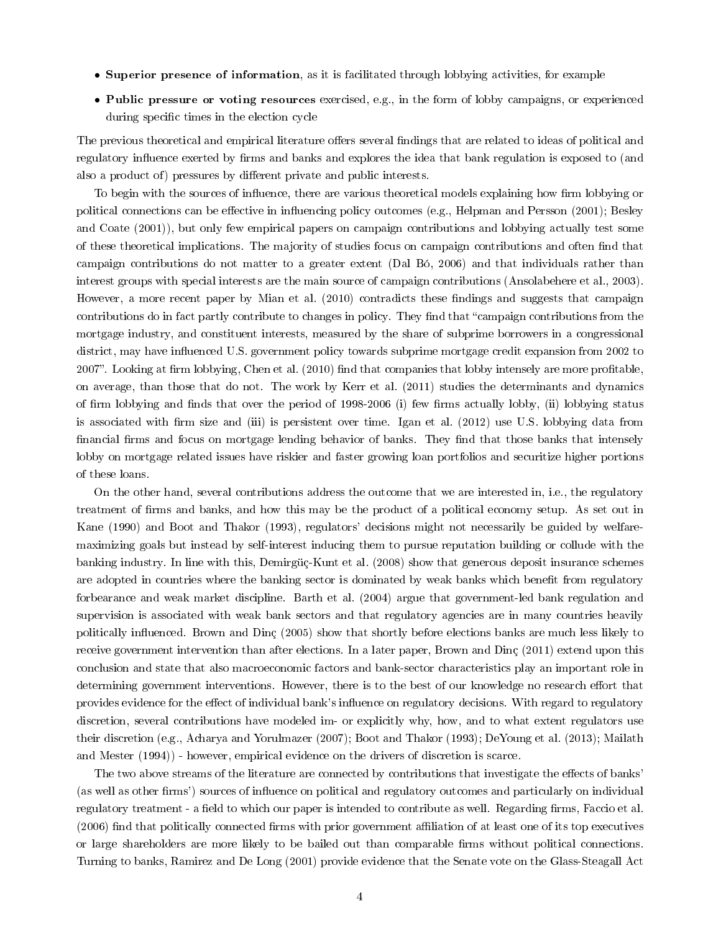- Superior presence of information, as it is facilitated through lobbying activities, for example
- Public pressure or voting resources exercised, e.g., in the form of lobby campaigns, or experienced during specific times in the election cycle

The previous theoretical and empirical literature offers several findings that are related to ideas of political and regulatory influence exerted by firms and banks and explores the idea that bank regulation is exposed to (and also a product of) pressures by different private and public interests.

To begin with the sources of influence, there are various theoretical models explaining how firm lobbying or political connections can be effective in influencing policy outcomes (e.g., Helpman and Persson (2001); Besley and Coate (2001)), but only few empirical papers on campaign contributions and lobbying actually test some of these theoretical implications. The majority of studies focus on campaign contributions and often find that campaign contributions do not matter to a greater extent (Dal Bó, 2006) and that individuals rather than interest groups with special interests are the main source of campaign contributions (Ansolabehere et al., 2003). However, a more recent paper by Mian et al. (2010) contradicts these findings and suggests that campaign contributions do in fact partly contribute to changes in policy. They find that "campaign contributions from the mortgage industry, and constituent interests, measured by the share of subprime borrowers in a congressional district, may have influenced U.S. government policy towards subprime mortgage credit expansion from 2002 to 2007". Looking at firm lobbying, Chen et al. (2010) find that companies that lobby intensely are more profitable, on average, than those that do not. The work by Kerr et al. (2011) studies the determinants and dynamics of firm lobbying and finds that over the period of 1998-2006 (i) few firms actually lobby, (ii) lobbying status is associated with firm size and (iii) is persistent over time. Igan et al. (2012) use U.S. lobbying data from financial firms and focus on mortgage lending behavior of banks. They find that those banks that intensely lobby on mortgage related issues have riskier and faster growing loan portfolios and securitize higher portions of these loans.

On the other hand, several contributions address the outcome that we are interested in, i.e., the regulatory treatment of firms and banks, and how this may be the product of a political economy setup. As set out in Kane (1990) and Boot and Thakor (1993), regulators' decisions might not necessarily be guided by welfaremaximizing goals but instead by self-interest inducing them to pursue reputation building or collude with the banking industry. In line with this, Demirgüç-Kunt et al. (2008) show that generous deposit insurance schemes are adopted in countries where the banking sector is dominated by weak banks which benefit from regulatory forbearance and weak market discipline. Barth et al. (2004) argue that government-led bank regulation and supervision is associated with weak bank sectors and that regulatory agencies are in many countries heavily politically influenced. Brown and Dinc (2005) show that shortly before elections banks are much less likely to receive government intervention than after elections. In a later paper, Brown and Dinç (2011) extend upon this conclusion and state that also macroeconomic factors and bank-sector characteristics play an important role in determining government interventions. However, there is to the best of our knowledge no research effort that provides evidence for the effect of individual bank's influence on regulatory decisions. With regard to regulatory discretion, several contributions have modeled im- or explicitly why, how, and to what extent regulators use their discretion (e.g., Acharya and Yorulmazer (2007); Boot and Thakor (1993); DeYoung et al. (2013); Mailath and Mester (1994)) - however, empirical evidence on the drivers of discretion is scarce.

The two above streams of the literature are connected by contributions that investigate the effects of banks' (as well as other firms') sources of influence on political and regulatory outcomes and particularly on individual regulatory treatment - a field to which our paper is intended to contribute as well. Regarding firms, Faccio et al. (2006) find that politically connected firms with prior government affiliation of at least one of its top executives or large shareholders are more likely to be bailed out than comparable firms without political connections. Turning to banks, Ramirez and De Long (2001) provide evidence that the Senate vote on the Glass-Steagall Act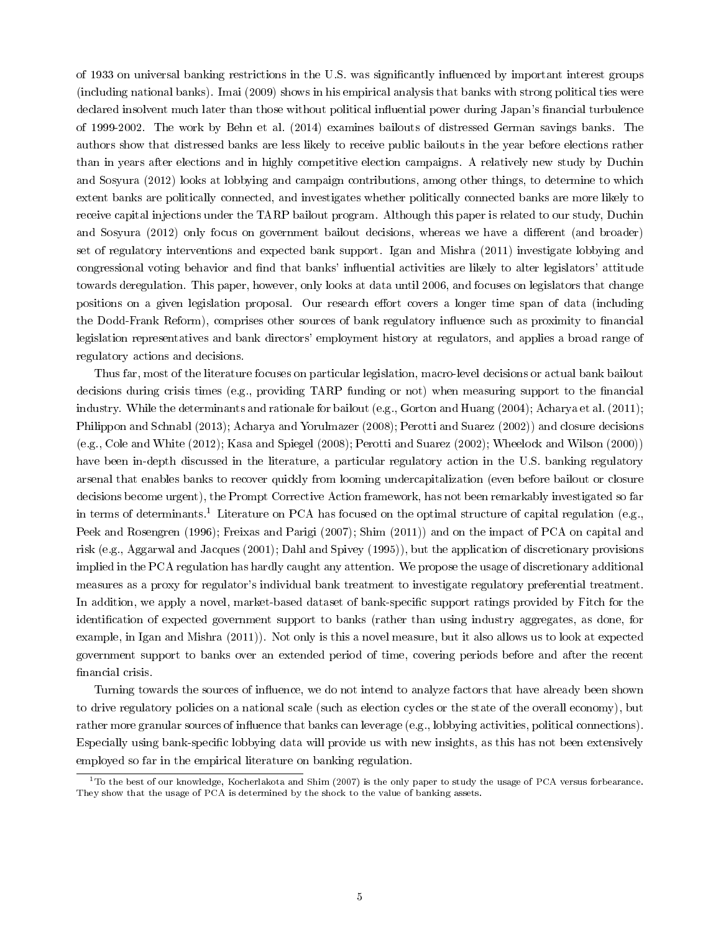of 1933 on universal banking restrictions in the U.S. was significantly influenced by important interest groups (including national banks). Imai (2009) shows in his empirical analysis that banks with strong political ties were declared insolvent much later than those without political influential power during Japan's financial turbulence of 1999-2002. The work by Behn et al. (2014) examines bailouts of distressed German savings banks. The authors show that distressed banks are less likely to receive public bailouts in the year before elections rather than in years after elections and in highly competitive election campaigns. A relatively new study by Duchin and Sosyura (2012) looks at lobbying and campaign contributions, among other things, to determine to which extent banks are politically connected, and investigates whether politically connected banks are more likely to receive capital injections under the TARP bailout program. Although this paper is related to our study, Duchin and Sosyura (2012) only focus on government bailout decisions, whereas we have a different (and broader) set of regulatory interventions and expected bank support. Igan and Mishra (2011) investigate lobbying and congressional voting behavior and find that banks' influential activities are likely to alter legislators' attitude towards deregulation. This paper, however, only looks at data until 2006, and focuses on legislators that change positions on a given legislation proposal. Our research effort covers a longer time span of data (including the Dodd-Frank Reform), comprises other sources of bank regulatory influence such as proximity to financial legislation representatives and bank directors' employment history at regulators, and applies a broad range of regulatory actions and decisions.

Thus far, most of the literature focuses on particular legislation, macro-level decisions or actual bank bailout decisions during crisis times (e.g., providing TARP funding or not) when measuring support to the financial industry. While the determinants and rationale for bailout (e.g., Gorton and Huang (2004); Acharya et al. (2011); Philippon and Schnabl (2013); Acharya and Yorulmazer (2008); Perotti and Suarez (2002)) and closure decisions (e.g., Cole and White (2012); Kasa and Spiegel (2008); Perotti and Suarez (2002); Wheelock and Wilson (2000)) have been in-depth discussed in the literature, a particular regulatory action in the U.S. banking regulatory arsenal that enables banks to recover quickly from looming undercapitalization (even before bailout or closure decisions become urgent), the Prompt Corrective Action framework, has not been remarkably investigated so far in terms of determinants.<sup>1</sup> Literature on PCA has focused on the optimal structure of capital regulation (e.g., Peek and Rosengren (1996); Freixas and Parigi (2007); Shim (2011)) and on the impact of PCA on capital and risk (e.g., Aggarwal and Jacques (2001); Dahl and Spivey (1995)), but the application of discretionary provisions implied in the PCA regulation has hardly caught any attention. We propose the usage of discretionary additional measures as a proxy for regulator's individual bank treatment to investigate regulatory preferential treatment. In addition, we apply a novel, market-based dataset of bank-specific support ratings provided by Fitch for the identification of expected government support to banks (rather than using industry aggregates, as done, for example, in Igan and Mishra (2011)). Not only is this a novel measure, but it also allows us to look at expected government support to banks over an extended period of time, covering periods before and after the recent financial crisis.

Turning towards the sources of influence, we do not intend to analyze factors that have already been shown to drive regulatory policies on a national scale (such as election cycles or the state of the overall economy), but rather more granular sources of influence that banks can leverage (e.g., lobbying activities, political connections). Especially using bank-specific lobbying data will provide us with new insights, as this has not been extensively employed so far in the empirical literature on banking regulation.

 $1$ To the best of our knowledge, Kocherlakota and Shim (2007) is the only paper to study the usage of PCA versus forbearance. They show that the usage of PCA is determined by the shock to the value of banking assets.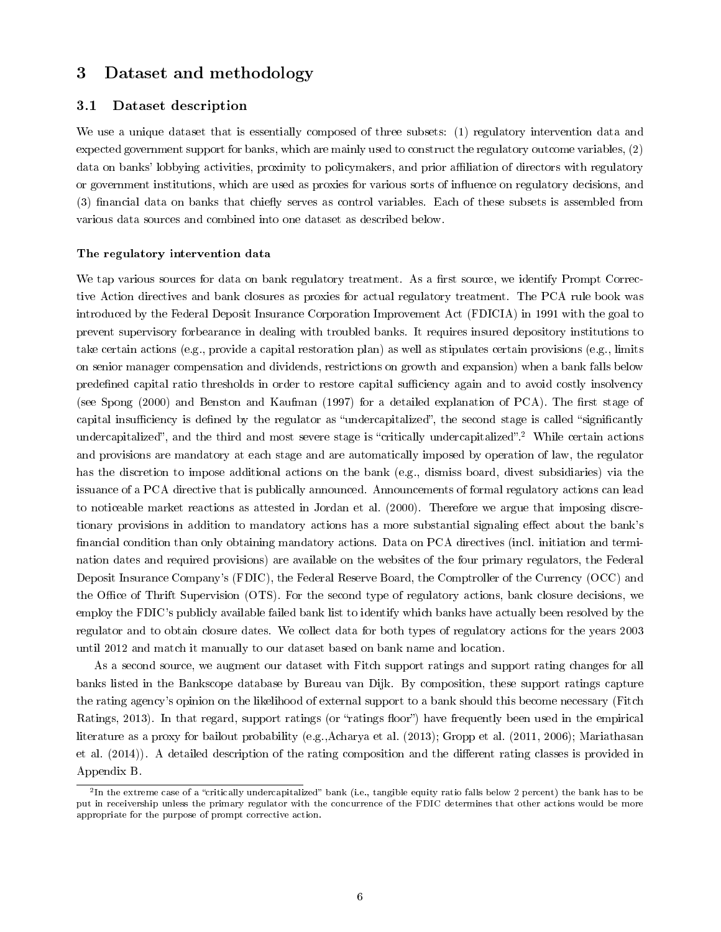# 3 Dataset and methodology

# 3.1 Dataset description

We use a unique dataset that is essentially composed of three subsets: (1) regulatory intervention data and expected government support for banks, which are mainly used to construct the regulatory outcome variables, (2) data on banks' lobbying activities, proximity to policymakers, and prior affiliation of directors with regulatory or government institutions, which are used as proxies for various sorts of inuence on regulatory decisions, and (3) financial data on banks that chiefly serves as control variables. Each of these subsets is assembled from various data sources and combined into one dataset as described below.

#### The regulatory intervention data

We tap various sources for data on bank regulatory treatment. As a first source, we identify Prompt Corrective Action directives and bank closures as proxies for actual regulatory treatment. The PCA rule book was introduced by the Federal Deposit Insurance Corporation Improvement Act (FDICIA) in 1991 with the goal to prevent supervisory forbearance in dealing with troubled banks. It requires insured depository institutions to take certain actions (e.g., provide a capital restoration plan) as well as stipulates certain provisions (e.g., limits on senior manager compensation and dividends, restrictions on growth and expansion) when a bank falls below predefined capital ratio thresholds in order to restore capital sufficiency again and to avoid costly insolvency (see Spong (2000) and Benston and Kaufman (1997) for a detailed explanation of PCA). The first stage of capital insufficiency is defined by the regulator as "undercapitalized", the second stage is called "significantly undercapitalized", and the third and most severe stage is "critically undercapitalized".<sup>2</sup> While certain actions and provisions are mandatory at each stage and are automatically imposed by operation of law, the regulator has the discretion to impose additional actions on the bank (e.g., dismiss board, divest subsidiaries) via the issuance of a PCA directive that is publically announced. Announcements of formal regulatory actions can lead to noticeable market reactions as attested in Jordan et al. (2000). Therefore we argue that imposing discretionary provisions in addition to mandatory actions has a more substantial signaling effect about the bank's financial condition than only obtaining mandatory actions. Data on PCA directives (incl. initiation and termination dates and required provisions) are available on the websites of the four primary regulators, the Federal Deposit Insurance Company's (FDIC), the Federal Reserve Board, the Comptroller of the Currency (OCC) and the Office of Thrift Supervision (OTS). For the second type of regulatory actions, bank closure decisions, we employ the FDIC's publicly available failed bank list to identify which banks have actually been resolved by the regulator and to obtain closure dates. We collect data for both types of regulatory actions for the years 2003 until 2012 and match it manually to our dataset based on bank name and location.

As a second source, we augment our dataset with Fitch support ratings and support rating changes for all banks listed in the Bankscope database by Bureau van Dijk. By composition, these support ratings capture the rating agency's opinion on the likelihood of external support to a bank should this become necessary (Fitch Ratings, 2013). In that regard, support ratings (or "ratings floor") have frequently been used in the empirical literature as a proxy for bailout probability (e.g.,Acharya et al. (2013); Gropp et al. (2011, 2006); Mariathasan et al. (2014)). A detailed description of the rating composition and the different rating classes is provided in Appendix B.

 $^2$ In the extreme case of a "critically undercapitalized" bank (i.e., tangible equity ratio falls below 2 percent) the bank has to be put in receivership unless the primary regulator with the concurrence of the FDIC determines that other actions would be more appropriate for the purpose of prompt corrective action.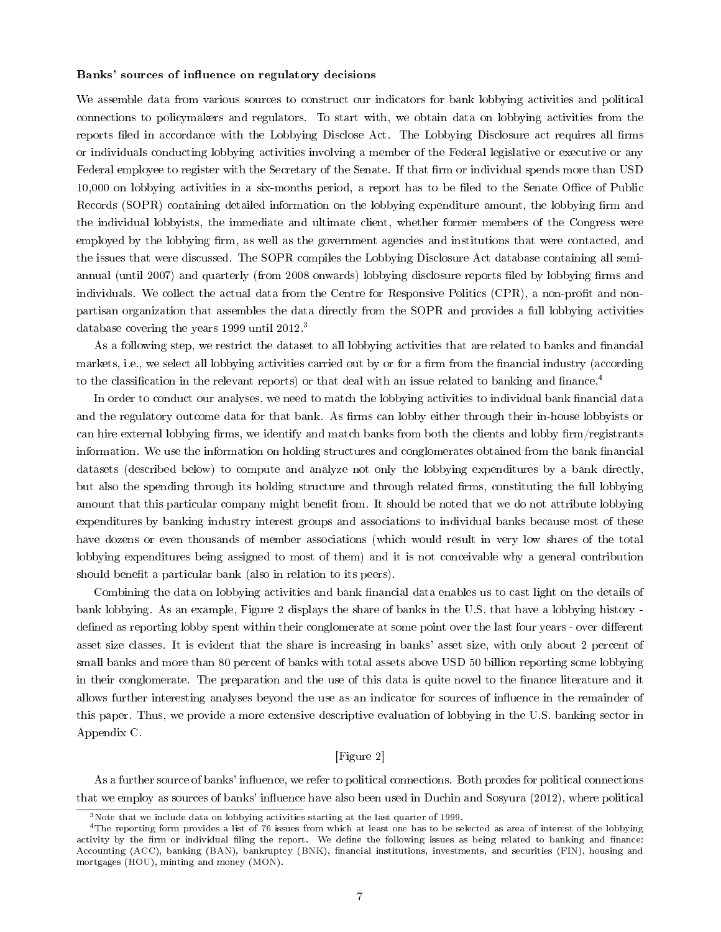#### Banks' sources of influence on regulatory decisions

We assemble data from various sources to construct our indicators for bank lobbying activities and political connections to policymakers and regulators. To start with, we obtain data on lobbying activities from the reports filed in accordance with the Lobbying Disclose Act. The Lobbying Disclosure act requires all firms or individuals conducting lobbying activities involving a member of the Federal legislative or executive or any Federal employee to register with the Secretary of the Senate. If that firm or individual spends more than USD 10,000 on lobbying activities in a six-months period, a report has to be filed to the Senate Office of Public Records (SOPR) containing detailed information on the lobbying expenditure amount, the lobbying firm and the individual lobbyists, the immediate and ultimate client, whether former members of the Congress were employed by the lobbying firm, as well as the government agencies and institutions that were contacted, and the issues that were discussed. The SOPR compiles the Lobbying Disclosure Act database containing all semiannual (until 2007) and quarterly (from 2008 onwards) lobbying disclosure reports filed by lobbying firms and individuals. We collect the actual data from the Centre for Responsive Politics (CPR), a non-profit and nonpartisan organization that assembles the data directly from the SOPR and provides a full lobbying activities database covering the years 1999 until 2012.<sup>3</sup>

As a following step, we restrict the dataset to all lobbying activities that are related to banks and financial markets, i.e., we select all lobbying activities carried out by or for a firm from the financial industry (according to the classification in the relevant reports) or that deal with an issue related to banking and finance.<sup>4</sup>

In order to conduct our analyses, we need to match the lobbying activities to individual bank financial data and the regulatory outcome data for that bank. As firms can lobby either through their in-house lobbyists or can hire external lobbying firms, we identify and match banks from both the clients and lobby firm/registrants information. We use the information on holding structures and conglomerates obtained from the bank financial datasets (described below) to compute and analyze not only the lobbying expenditures by a bank directly, but also the spending through its holding structure and through related firms, constituting the full lobbying amount that this particular company might benefit from. It should be noted that we do not attribute lobbying expenditures by banking industry interest groups and associations to individual banks because most of these have dozens or even thousands of member associations (which would result in very low shares of the total lobbying expenditures being assigned to most of them) and it is not conceivable why a general contribution should benefit a particular bank (also in relation to its peers).

Combining the data on lobbying activities and bank financial data enables us to cast light on the details of bank lobbying. As an example, Figure 2 displays the share of banks in the U.S. that have a lobbying history defined as reporting lobby spent within their conglomerate at some point over the last four years - over different asset size classes. It is evident that the share is increasing in banks' asset size, with only about 2 percent of small banks and more than 80 percent of banks with total assets above USD 50 billion reporting some lobbying in their conglomerate. The preparation and the use of this data is quite novel to the finance literature and it allows further interesting analyses beyond the use as an indicator for sources of influence in the remainder of this paper. Thus, we provide a more extensive descriptive evaluation of lobbying in the U.S. banking sector in Appendix C.

# [Figure 2]

As a further source of banks' influence, we refer to political connections. Both proxies for political connections that we employ as sources of banks' influence have also been used in Duchin and Sosyura (2012), where political

 $3$ Note that we include data on lobbying activities starting at the last quarter of 1999.

<sup>4</sup>The reporting form provides a list of 76 issues from which at least one has to be selected as area of interest of the lobbying activity by the firm or individual filing the report. We define the following issues as being related to banking and finance: Accounting (ACC), banking (BAN), bankruptcy (BNK), financial institutions, investments, and securities (FIN), housing and mortgages (HOU), minting and money (MON).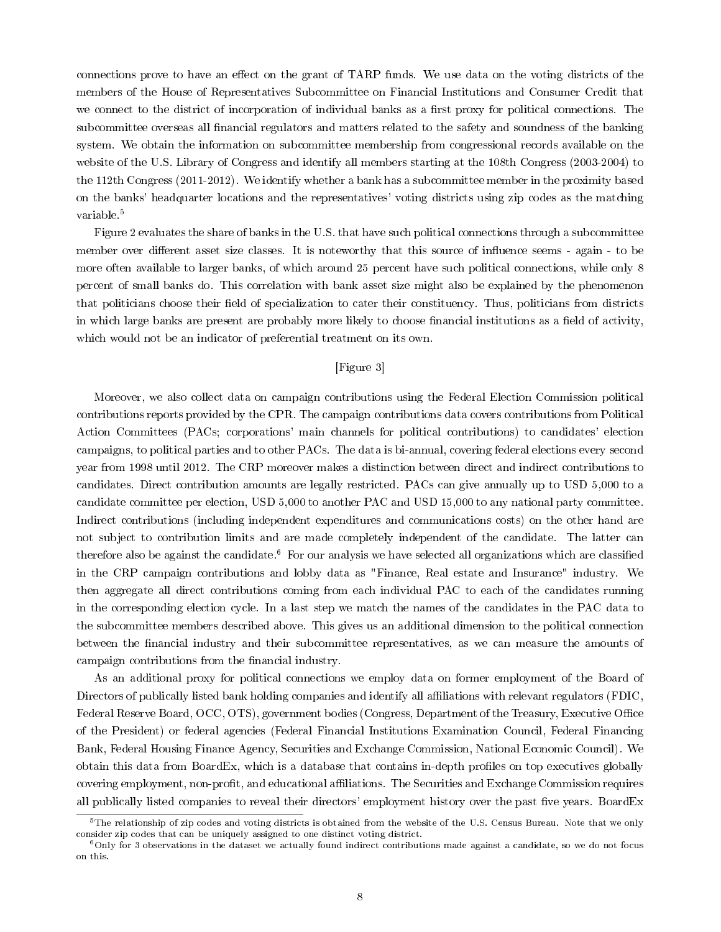connections prove to have an effect on the grant of TARP funds. We use data on the voting districts of the members of the House of Representatives Subcommittee on Financial Institutions and Consumer Credit that we connect to the district of incorporation of individual banks as a first proxy for political connections. The subcommittee overseas all financial regulators and matters related to the safety and soundness of the banking system. We obtain the information on subcommittee membership from congressional records available on the website of the U.S. Library of Congress and identify all members starting at the 108th Congress (2003-2004) to the 112th Congress (2011-2012). We identify whether a bank has a subcommittee member in the proximity based on the banks' headquarter locations and the representatives' voting districts using zip codes as the matching variable.<sup>5</sup>

Figure 2 evaluates the share of banks in the U.S. that have such political connections through a subcommittee member over different asset size classes. It is noteworthy that this source of influence seems - again - to be more often available to larger banks, of which around 25 percent have such political connections, while only 8 percent of small banks do. This correlation with bank asset size might also be explained by the phenomenon that politicians choose their field of specialization to cater their constituency. Thus, politicians from districts in which large banks are present are probably more likely to choose financial institutions as a field of activity, which would not be an indicator of preferential treatment on its own.

# [Figure 3]

Moreover, we also collect data on campaign contributions using the Federal Election Commission political contributions reports provided by the CPR. The campaign contributions data covers contributions from Political Action Committees (PACs; corporations' main channels for political contributions) to candidates' election campaigns, to political parties and to other PACs. The data is bi-annual, covering federal elections every second year from 1998 until 2012. The CRP moreover makes a distinction between direct and indirect contributions to candidates. Direct contribution amounts are legally restricted. PACs can give annually up to USD 5,000 to a candidate committee per election, USD 5,000 to another PAC and USD 15,000 to any national party committee. Indirect contributions (including independent expenditures and communications costs) on the other hand are not subject to contribution limits and are made completely independent of the candidate. The latter can therefore also be against the candidate.<sup>6</sup> For our analysis we have selected all organizations which are classified in the CRP campaign contributions and lobby data as "Finance, Real estate and Insurance" industry. We then aggregate all direct contributions coming from each individual PAC to each of the candidates running in the corresponding election cycle. In a last step we match the names of the candidates in the PAC data to the subcommittee members described above. This gives us an additional dimension to the political connection between the financial industry and their subcommittee representatives, as we can measure the amounts of campaign contributions from the financial industry.

As an additional proxy for political connections we employ data on former employment of the Board of Directors of publically listed bank holding companies and identify all affiliations with relevant regulators (FDIC, Federal Reserve Board, OCC, OTS), government bodies (Congress, Department of the Treasury, Executive Office of the President) or federal agencies (Federal Financial Institutions Examination Council, Federal Financing Bank, Federal Housing Finance Agency, Securities and Exchange Commission, National Economic Council). We obtain this data from BoardEx, which is a database that contains in-depth profiles on top executives globally covering employment, non-profit, and educational affiliations. The Securities and Exchange Commission requires all publically listed companies to reveal their directors' employment history over the past five years. BoardEx

 $5$ The relationship of zip codes and voting districts is obtained from the website of the U.S. Census Bureau. Note that we only consider zip codes that can be uniquely assigned to one distinct voting district.

<sup>6</sup>Only for 3 observations in the dataset we actually found indirect contributions made against a candidate, so we do not focus on this.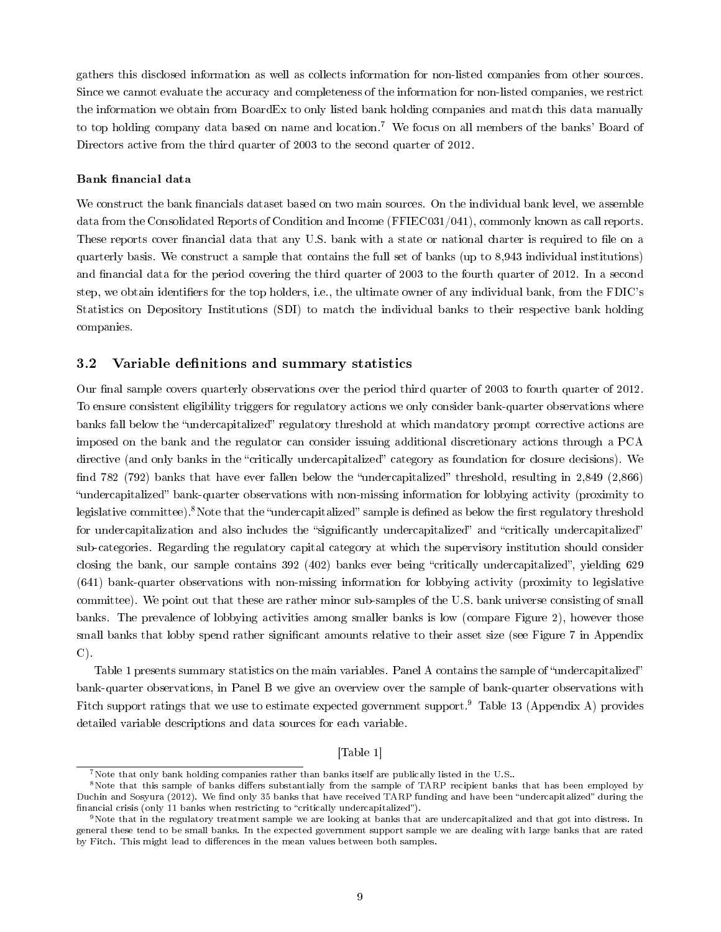gathers this disclosed information as well as collects information for non-listed companies from other sources. Since we cannot evaluate the accuracy and completeness of the information for non-listed companies, we restrict the information we obtain from BoardEx to only listed bank holding companies and match this data manually to top holding company data based on name and location.<sup>7</sup> We focus on all members of the banks' Board of Directors active from the third quarter of 2003 to the second quarter of 2012.

### Bank financial data

We construct the bank financials dataset based on two main sources. On the individual bank level, we assemble data from the Consolidated Reports of Condition and Income (FFIEC031/041), commonly known as call reports. These reports cover financial data that any U.S. bank with a state or national charter is required to file on a quarterly basis. We construct a sample that contains the full set of banks (up to 8,943 individual institutions) and financial data for the period covering the third quarter of 2003 to the fourth quarter of 2012. In a second step, we obtain identifiers for the top holders, i.e., the ultimate owner of any individual bank, from the FDIC's Statistics on Depository Institutions (SDI) to match the individual banks to their respective bank holding companies.

# 3.2 Variable definitions and summary statistics

Our final sample covers quarterly observations over the period third quarter of 2003 to fourth quarter of 2012. To ensure consistent eligibility triggers for regulatory actions we only consider bank-quarter observations where banks fall below the "undercapitalized" regulatory threshold at which mandatory prompt corrective actions are imposed on the bank and the regulator can consider issuing additional discretionary actions through a PCA directive (and only banks in the "critically undercapitalized" category as foundation for closure decisions). We find 782 (792) banks that have ever fallen below the "undercapitalized" threshold, resulting in  $2,849$  (2,866) "undercapitalized" bank-quarter observations with non-missing information for lobbying activity (proximity to legislative committee).<sup>8</sup>Note that the "undercapitalized" sample is defined as below the first regulatory threshold for undercapitalization and also includes the "significantly undercapitalized" and "critically undercapitalized" sub-categories. Regarding the regulatory capital category at which the supervisory institution should consider closing the bank, our sample contains 392 (402) banks ever being "critically undercapitalized", yielding 629 (641) bank-quarter observations with non-missing information for lobbying activity (proximity to legislative committee). We point out that these are rather minor sub-samples of the U.S. bank universe consisting of small banks. The prevalence of lobbying activities among smaller banks is low (compare Figure 2), however those small banks that lobby spend rather significant amounts relative to their asset size (see Figure 7 in Appendix  $C$ ).

Table 1 presents summary statistics on the main variables. Panel A contains the sample of "undercapitalized" bank-quarter observations, in Panel B we give an overview over the sample of bank-quarter observations with Fitch support ratings that we use to estimate expected government support.<sup>9</sup> Table 13 (Appendix A) provides detailed variable descriptions and data sources for each variable.

## [Table 1]

<sup>&</sup>lt;sup>7</sup>Note that only bank holding companies rather than banks itself are publically listed in the U.S..

<sup>&</sup>lt;sup>8</sup>Note that this sample of banks differs substantially from the sample of TARP recipient banks that has been employed by Duchin and Sosyura (2012). We find only 35 banks that have received TARP funding and have been "undercapitalized" during the financial crisis (only 11 banks when restricting to "critically undercapitalized").

<sup>9</sup>Note that in the regulatory treatment sample we are looking at banks that are undercapitalized and that got into distress. In general these tend to be small banks. In the expected government support sample we are dealing with large banks that are rated by Fitch. This might lead to differences in the mean values between both samples.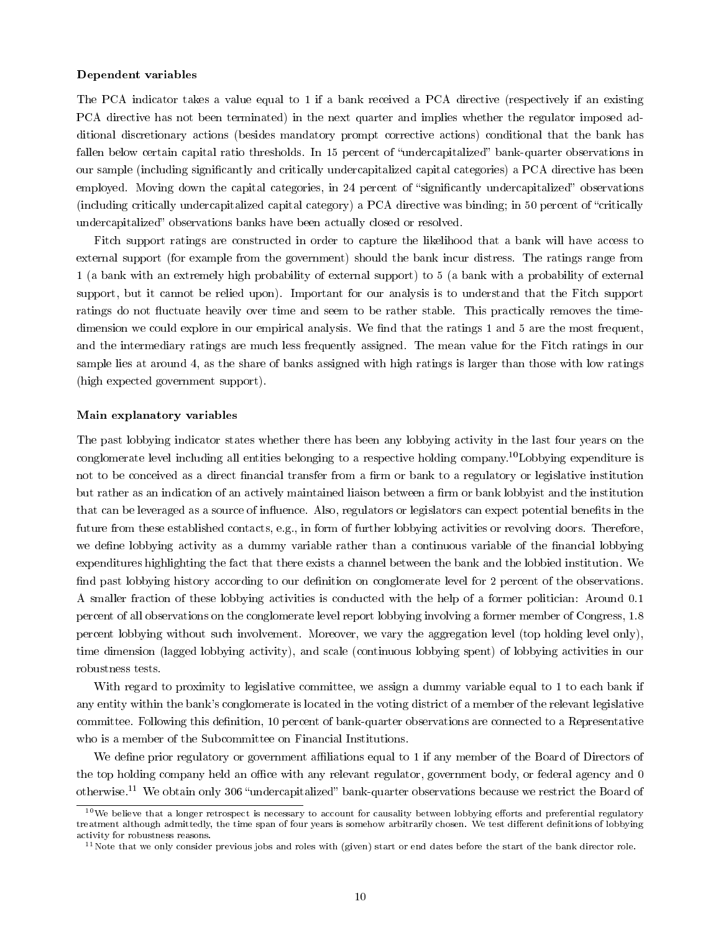#### Dependent variables

The PCA indicator takes a value equal to 1 if a bank received a PCA directive (respectively if an existing PCA directive has not been terminated) in the next quarter and implies whether the regulator imposed additional discretionary actions (besides mandatory prompt corrective actions) conditional that the bank has fallen below certain capital ratio thresholds. In 15 percent of "undercapitalized" bank-quarter observations in our sample (including signicantly and critically undercapitalized capital categories) a PCA directive has been employed. Moving down the capital categories, in 24 percent of "significantly undercapitalized" observations (including critically undercapitalized capital category) a PCA directive was binding; in 50 percent of "critically undercapitalized" observations banks have been actually closed or resolved.

Fitch support ratings are constructed in order to capture the likelihood that a bank will have access to external support (for example from the government) should the bank incur distress. The ratings range from 1 (a bank with an extremely high probability of external support) to 5 (a bank with a probability of external support, but it cannot be relied upon). Important for our analysis is to understand that the Fitch support ratings do not fluctuate heavily over time and seem to be rather stable. This practically removes the timedimension we could explore in our empirical analysis. We find that the ratings 1 and 5 are the most frequent, and the intermediary ratings are much less frequently assigned. The mean value for the Fitch ratings in our sample lies at around 4, as the share of banks assigned with high ratings is larger than those with low ratings (high expected government support).

#### Main explanatory variables

The past lobbying indicator states whether there has been any lobbying activity in the last four years on the conglomerate level including all entities belonging to a respective holding company.<sup>10</sup>Lobbying expenditure is not to be conceived as a direct financial transfer from a firm or bank to a regulatory or legislative institution but rather as an indication of an actively maintained liaison between a firm or bank lobbyist and the institution that can be leveraged as a source of influence. Also, regulators or legislators can expect potential benefits in the future from these established contacts, e.g., in form of further lobbying activities or revolving doors. Therefore, we define lobbying activity as a dummy variable rather than a continuous variable of the financial lobbying expenditures highlighting the fact that there exists a channel between the bank and the lobbied institution. We find past lobbying history according to our definition on conglomerate level for 2 percent of the observations. A smaller fraction of these lobbying activities is conducted with the help of a former politician: Around 0.1 percent of all observations on the conglomerate level report lobbying involving a former member of Congress, 1.8 percent lobbying without such involvement. Moreover, we vary the aggregation level (top holding level only), time dimension (lagged lobbying activity), and scale (continuous lobbying spent) of lobbying activities in our robustness tests.

With regard to proximity to legislative committee, we assign a dummy variable equal to 1 to each bank if any entity within the bank's conglomerate is located in the voting district of a member of the relevant legislative committee. Following this definition, 10 percent of bank-quarter observations are connected to a Representative who is a member of the Subcommittee on Financial Institutions.

We define prior regulatory or government affiliations equal to 1 if any member of the Board of Directors of the top holding company held an office with any relevant regulator, government body, or federal agency and 0 otherwise.<sup>11</sup> We obtain only 306 "undercapitalized" bank-quarter observations because we restrict the Board of

 $10$ We believe that a longer retrospect is necessary to account for causality between lobbying efforts and preferential regulatory treatment although admittedly, the time span of four years is somehow arbitrarily chosen. We test different definitions of lobbying activity for robustness reasons.

 $11$ Note that we only consider previous jobs and roles with (given) start or end dates before the start of the bank director role.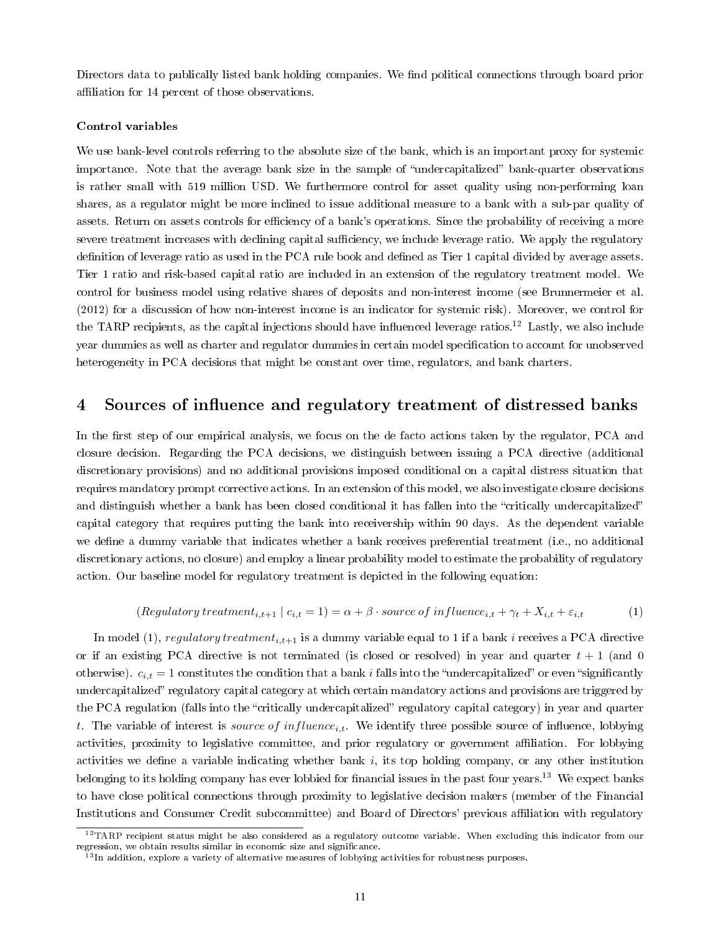Directors data to publically listed bank holding companies. We find political connections through board prior affiliation for 14 percent of those observations.

#### Control variables

We use bank-level controls referring to the absolute size of the bank, which is an important proxy for systemic importance. Note that the average bank size in the sample of "undercapitalized" bank-quarter observations is rather small with 519 million USD. We furthermore control for asset quality using non-performing loan shares, as a regulator might be more inclined to issue additional measure to a bank with a sub-par quality of assets. Return on assets controls for efficiency of a bank's operations. Since the probability of receiving a more severe treatment increases with declining capital sufficiency, we include leverage ratio. We apply the regulatory definition of leverage ratio as used in the PCA rule book and defined as Tier 1 capital divided by average assets. Tier 1 ratio and risk-based capital ratio are included in an extension of the regulatory treatment model. We control for business model using relative shares of deposits and non-interest income (see Brunnermeier et al. (2012) for a discussion of how non-interest income is an indicator for systemic risk). Moreover, we control for the TARP recipients, as the capital injections should have influenced leverage ratios.<sup>12</sup> Lastly, we also include year dummies as well as charter and regulator dummies in certain model specification to account for unobserved heterogeneity in PCA decisions that might be constant over time, regulators, and bank charters.

# 4 Sources of influence and regulatory treatment of distressed banks

In the first step of our empirical analysis, we focus on the de facto actions taken by the regulator, PCA and closure decision. Regarding the PCA decisions, we distinguish between issuing a PCA directive (additional discretionary provisions) and no additional provisions imposed conditional on a capital distress situation that requires mandatory prompt corrective actions. In an extension of this model, we also investigate closure decisions and distinguish whether a bank has been closed conditional it has fallen into the "critically undercapitalized" capital category that requires putting the bank into receivership within 90 days. As the dependent variable we define a dummy variable that indicates whether a bank receives preferential treatment (i.e., no additional discretionary actions, no closure) and employ a linear probability model to estimate the probability of regulatory action. Our baseline model for regulatory treatment is depicted in the following equation:

$$
(Regular or treatment_{i,t+1} \mid c_{i,t} = 1) = \alpha + \beta \cdot source \ of \ influence_{i,t} + \gamma_t + X_{i,t} + \varepsilon_{i,t} \tag{1}
$$

In model (1), regulatory treatment<sub>i,t+1</sub> is a dummy variable equal to 1 if a bank i receives a PCA directive or if an existing PCA directive is not terminated (is closed or resolved) in year and quarter  $t + 1$  (and 0) otherwise).  $c_{i,t} = 1$  constitutes the condition that a bank i falls into the "undercapitalized" or even "significantly undercapitalized" regulatory capital category at which certain mandatory actions and provisions are triggered by the PCA regulation (falls into the "critically undercapitalized" regulatory capital category) in year and quarter t. The variable of interest is source of influence<sub>i,t</sub>. We identify three possible source of influence, lobbying activities, proximity to legislative committee, and prior regulatory or government aliation. For lobbying activities we define a variable indicating whether bank  $i$ , its top holding company, or any other institution belonging to its holding company has ever lobbied for financial issues in the past four years.<sup>13</sup> We expect banks to have close political connections through proximity to legislative decision makers (member of the Financial Institutions and Consumer Credit subcommittee) and Board of Directors' previous affiliation with regulatory

 $12$ TARP recipient status might be also considered as a regulatory outcome variable. When excluding this indicator from our regression, we obtain results similar in economic size and signicance.

 $^{13}$ In addition, explore a variety of alternative measures of lobbying activities for robustness purposes.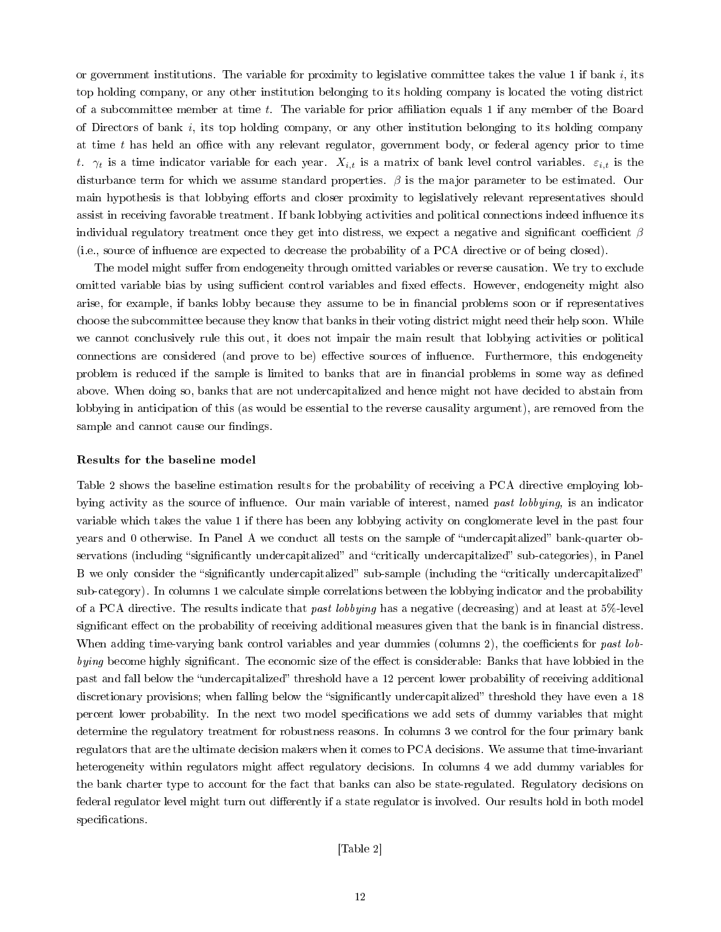or government institutions. The variable for proximity to legislative committee takes the value 1 if bank  $i$ , its top holding company, or any other institution belonging to its holding company is located the voting district of a subcommittee member at time  $t$ . The variable for prior affiliation equals 1 if any member of the Board of Directors of bank  $i$ , its top holding company, or any other institution belonging to its holding company at time  $t$  has held an office with any relevant regulator, government body, or federal agency prior to time t.  $\gamma_t$  is a time indicator variable for each year.  $X_{i,t}$  is a matrix of bank level control variables.  $\varepsilon_{i,t}$  is the disturbance term for which we assume standard properties.  $\beta$  is the major parameter to be estimated. Our main hypothesis is that lobbying efforts and closer proximity to legislatively relevant representatives should assist in receiving favorable treatment. If bank lobbying activities and political connections indeed influence its individual regulatory treatment once they get into distress, we expect a negative and significant coefficient  $\beta$ (i.e., source of influence are expected to decrease the probability of a PCA directive or of being closed).

The model might suffer from endogeneity through omitted variables or reverse causation. We try to exclude omitted variable bias by using sufficient control variables and fixed effects. However, endogeneity might also arise, for example, if banks lobby because they assume to be in nancial problems soon or if representatives choose the subcommittee because they know that banks in their voting district might need their help soon. While we cannot conclusively rule this out, it does not impair the main result that lobbying activities or political connections are considered (and prove to be) effective sources of influence. Furthermore, this endogeneity problem is reduced if the sample is limited to banks that are in financial problems in some way as defined above. When doing so, banks that are not undercapitalized and hence might not have decided to abstain from lobbying in anticipation of this (as would be essential to the reverse causality argument), are removed from the sample and cannot cause our findings.

#### Results for the baseline model

Table 2 shows the baseline estimation results for the probability of receiving a PCA directive employing lobbying activity as the source of influence. Our main variable of interest, named past lobbying, is an indicator variable which takes the value 1 if there has been any lobbying activity on conglomerate level in the past four years and 0 otherwise. In Panel A we conduct all tests on the sample of "undercapitalized" bank-quarter observations (including "significantly undercapitalized" and "critically undercapitalized" sub-categories), in Panel B we only consider the "significantly undercapitalized" sub-sample (including the "critically undercapitalized" sub-category). In columns 1 we calculate simple correlations between the lobbying indicator and the probability of a PCA directive. The results indicate that past lobbying has a negative (decreasing) and at least at  $5\%$ -level significant effect on the probability of receiving additional measures given that the bank is in financial distress. When adding time-varying bank control variables and year dummies (columns 2), the coefficients for past lobbying become highly significant. The economic size of the effect is considerable: Banks that have lobbied in the past and fall below the "undercapitalized" threshold have a 12 percent lower probability of receiving additional discretionary provisions; when falling below the "significantly undercapitalized" threshold they have even a 18 percent lower probability. In the next two model specifications we add sets of dummy variables that might determine the regulatory treatment for robustness reasons. In columns 3 we control for the four primary bank regulators that are the ultimate decision makers when it comes to PCA decisions. We assume that time-invariant heterogeneity within regulators might affect regulatory decisions. In columns 4 we add dummy variables for the bank charter type to account for the fact that banks can also be state-regulated. Regulatory decisions on federal regulator level might turn out differently if a state regulator is involved. Our results hold in both model specifications.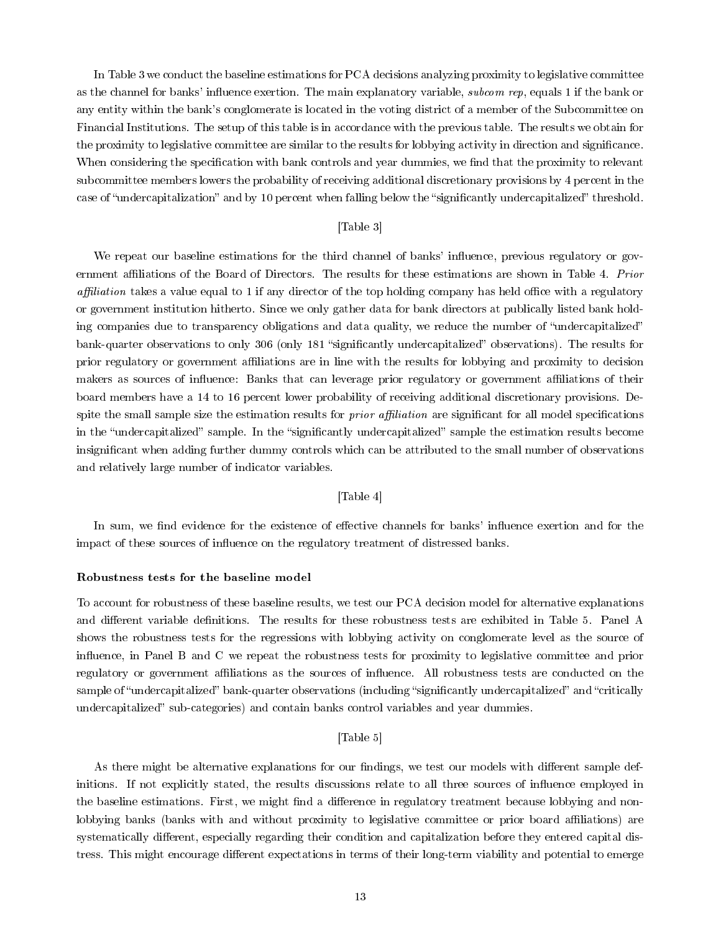In Table 3 we conduct the baseline estimations for PCA decisions analyzing proximity to legislative committee as the channel for banks' influence exertion. The main explanatory variable, *subcom rep*, equals 1 if the bank or any entity within the bank's conglomerate is located in the voting district of a member of the Subcommittee on Financial Institutions. The setup of this table is in accordance with the previous table. The results we obtain for the proximity to legislative committee are similar to the results for lobbying activity in direction and signicance. When considering the specification with bank controls and year dummies, we find that the proximity to relevant subcommittee members lowers the probability of receiving additional discretionary provisions by 4 percent in the case of "undercapitalization" and by 10 percent when falling below the "significantly undercapitalized" threshold.

# [Table 3]

We repeat our baseline estimations for the third channel of banks' influence, previous regulatory or government affiliations of the Board of Directors. The results for these estimations are shown in Table 4. Prior affiliation takes a value equal to 1 if any director of the top holding company has held office with a regulatory or government institution hitherto. Since we only gather data for bank directors at publically listed bank holding companies due to transparency obligations and data quality, we reduce the number of "undercapitalized" bank-quarter observations to only 306 (only 181 "significantly undercapitalized" observations). The results for prior regulatory or government aliations are in line with the results for lobbying and proximity to decision makers as sources of influence: Banks that can leverage prior regulatory or government affiliations of their board members have a 14 to 16 percent lower probability of receiving additional discretionary provisions. Despite the small sample size the estimation results for *prior affiliation* are significant for all model specifications in the "undercapitalized" sample. In the "significantly undercapitalized" sample the estimation results become insignicant when adding further dummy controls which can be attributed to the small number of observations and relatively large number of indicator variables.

### [Table 4]

In sum, we find evidence for the existence of effective channels for banks' influence exertion and for the impact of these sources of influence on the regulatory treatment of distressed banks.

#### Robustness tests for the baseline model

To account for robustness of these baseline results, we test our PCA decision model for alternative explanations and different variable definitions. The results for these robustness tests are exhibited in Table 5. Panel A shows the robustness tests for the regressions with lobbying activity on conglomerate level as the source of influence, in Panel B and C we repeat the robustness tests for proximity to legislative committee and prior regulatory or government affiliations as the sources of influence. All robustness tests are conducted on the sample of "undercapitalized" bank-quarter observations (including "significantly undercapitalized" and "critically undercapitalized" sub-categories) and contain banks control variables and year dummies.

# [Table 5]

As there might be alternative explanations for our findings, we test our models with different sample definitions. If not explicitly stated, the results discussions relate to all three sources of influence employed in the baseline estimations. First, we might find a difference in regulatory treatment because lobbying and nonlobbying banks (banks with and without proximity to legislative committee or prior board affiliations) are systematically different, especially regarding their condition and capitalization before they entered capital distress. This might encourage different expectations in terms of their long-term viability and potential to emerge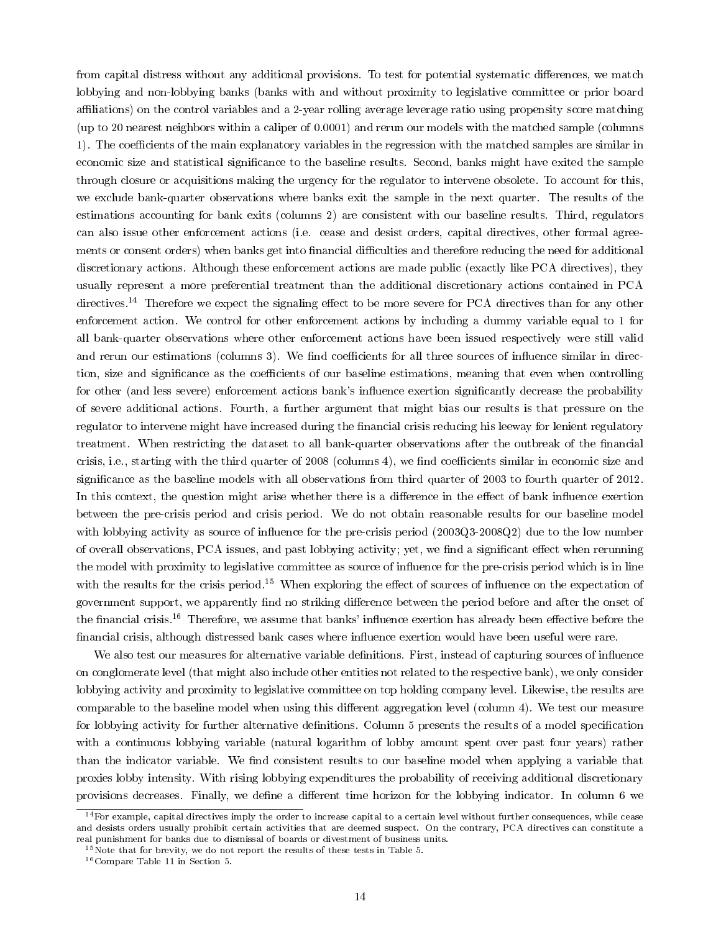from capital distress without any additional provisions. To test for potential systematic differences, we match lobbying and non-lobbying banks (banks with and without proximity to legislative committee or prior board affiliations) on the control variables and a 2-year rolling average leverage ratio using propensity score matching (up to 20 nearest neighbors within a caliper of 0.0001) and rerun our models with the matched sample (columns 1). The coefficients of the main explanatory variables in the regression with the matched samples are similar in economic size and statistical significance to the baseline results. Second, banks might have exited the sample through closure or acquisitions making the urgency for the regulator to intervene obsolete. To account for this, we exclude bank-quarter observations where banks exit the sample in the next quarter. The results of the estimations accounting for bank exits (columns 2) are consistent with our baseline results. Third, regulators can also issue other enforcement actions (i.e. cease and desist orders, capital directives, other formal agreements or consent orders) when banks get into financial difficulties and therefore reducing the need for additional discretionary actions. Although these enforcement actions are made public (exactly like PCA directives), they usually represent a more preferential treatment than the additional discretionary actions contained in PCA directives.<sup>14</sup> Therefore we expect the signaling effect to be more severe for PCA directives than for any other enforcement action. We control for other enforcement actions by including a dummy variable equal to 1 for all bank-quarter observations where other enforcement actions have been issued respectively were still valid and rerun our estimations (columns 3). We find coefficients for all three sources of influence similar in direction, size and significance as the coefficients of our baseline estimations, meaning that even when controlling for other (and less severe) enforcement actions bank's influence exertion significantly decrease the probability of severe additional actions. Fourth, a further argument that might bias our results is that pressure on the regulator to intervene might have increased during the financial crisis reducing his leeway for lenient regulatory treatment. When restricting the dataset to all bank-quarter observations after the outbreak of the nancial crisis, i.e., starting with the third quarter of 2008 (columns 4), we find coefficients similar in economic size and significance as the baseline models with all observations from third quarter of 2003 to fourth quarter of 2012. In this context, the question might arise whether there is a difference in the effect of bank influence exertion between the pre-crisis period and crisis period. We do not obtain reasonable results for our baseline model with lobbying activity as source of influence for the pre-crisis period  $(2003Q3-2008Q2)$  due to the low number of overall observations, PCA issues, and past lobbying activity; yet, we find a significant effect when rerunning the model with proximity to legislative committee as source of influence for the pre-crisis period which is in line with the results for the crisis period.<sup>15</sup> When exploring the effect of sources of influence on the expectation of government support, we apparently find no striking difference between the period before and after the onset of the financial crisis.<sup>16</sup> Therefore, we assume that banks' influence exertion has already been effective before the financial crisis, although distressed bank cases where influence exertion would have been useful were rare.

We also test our measures for alternative variable definitions. First, instead of capturing sources of influence on conglomerate level (that might also include other entities not related to the respective bank), we only consider lobbying activity and proximity to legislative committee on top holding company level. Likewise, the results are comparable to the baseline model when using this different aggregation level (column 4). We test our measure for lobbying activity for further alternative definitions. Column 5 presents the results of a model specification with a continuous lobbying variable (natural logarithm of lobby amount spent over past four years) rather than the indicator variable. We find consistent results to our baseline model when applying a variable that proxies lobby intensity. With rising lobbying expenditures the probability of receiving additional discretionary provisions decreases. Finally, we define a different time horizon for the lobbying indicator. In column 6 we

 $14$  For example, capital directives imply the order to increase capital to a certain level without further consequences, while cease and desists orders usually prohibit certain activities that are deemed suspect. On the contrary, PCA directives can constitute a real punishment for banks due to dismissal of boards or divestment of business units.

<sup>&</sup>lt;sup>15</sup>Note that for brevity, we do not report the results of these tests in Table 5.

<sup>16</sup>Compare Table 11 in Section 5.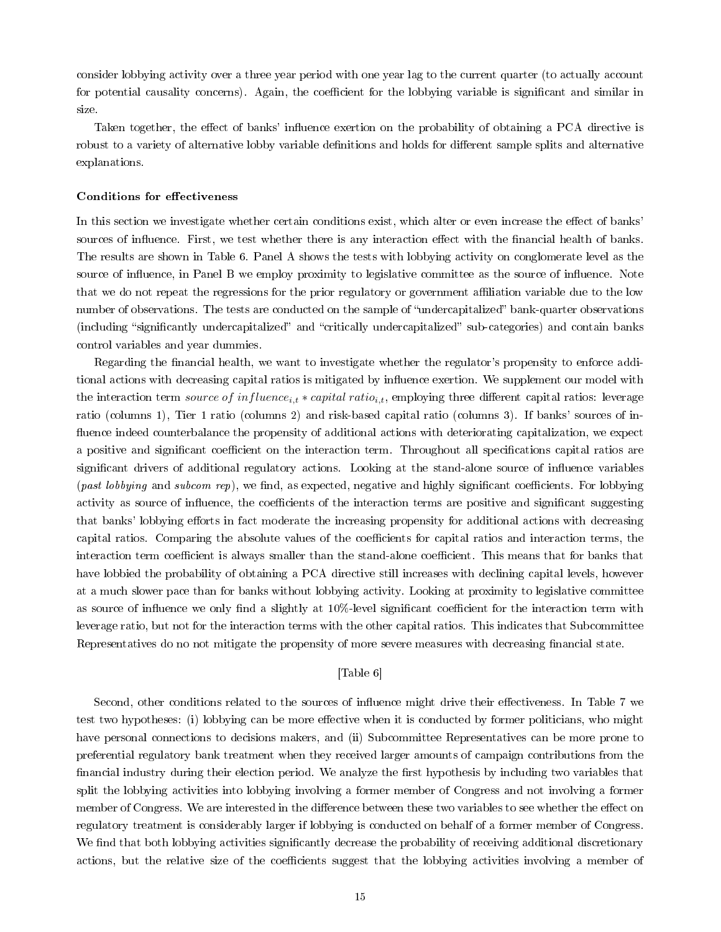consider lobbying activity over a three year period with one year lag to the current quarter (to actually account for potential causality concerns). Again, the coefficient for the lobbying variable is significant and similar in size.

Taken together, the effect of banks' influence exertion on the probability of obtaining a PCA directive is robust to a variety of alternative lobby variable definitions and holds for different sample splits and alternative explanations.

#### Conditions for effectiveness

In this section we investigate whether certain conditions exist, which alter or even increase the effect of banks' sources of influence. First, we test whether there is any interaction effect with the financial health of banks. The results are shown in Table 6. Panel A shows the tests with lobbying activity on conglomerate level as the source of influence, in Panel B we employ proximity to legislative committee as the source of influence. Note that we do not repeat the regressions for the prior regulatory or government affiliation variable due to the low number of observations. The tests are conducted on the sample of "undercapitalized" bank-quarter observations (including "significantly undercapitalized" and "critically undercapitalized" sub-categories) and contain banks control variables and year dummies.

Regarding the financial health, we want to investigate whether the regulator's propensity to enforce additional actions with decreasing capital ratios is mitigated by influence exertion. We supplement our model with the interaction term source of influence<sub>i,t</sub> \* capital ratio<sub>i,t</sub>, employing three different capital ratios: leverage ratio (columns 1), Tier 1 ratio (columns 2) and risk-based capital ratio (columns 3). If banks' sources of in fluence indeed counterbalance the propensity of additional actions with deteriorating capitalization, we expect a positive and significant coefficient on the interaction term. Throughout all specifications capital ratios are significant drivers of additional regulatory actions. Looking at the stand-alone source of influence variables (past lobbying and subcom rep), we find, as expected, negative and highly significant coefficients. For lobbying activity as source of influence, the coefficients of the interaction terms are positive and significant suggesting that banks' lobbying efforts in fact moderate the increasing propensity for additional actions with decreasing capital ratios. Comparing the absolute values of the coefficients for capital ratios and interaction terms, the interaction term coefficient is always smaller than the stand-alone coefficient. This means that for banks that have lobbied the probability of obtaining a PCA directive still increases with declining capital levels, however at a much slower pace than for banks without lobbying activity. Looking at proximity to legislative committee as source of influence we only find a slightly at 10%-level significant coefficient for the interaction term with leverage ratio, but not for the interaction terms with the other capital ratios. This indicates that Subcommittee Representatives do no not mitigate the propensity of more severe measures with decreasing financial state.

# [Table 6]

Second, other conditions related to the sources of influence might drive their effectiveness. In Table 7 we test two hypotheses: (i) lobbying can be more effective when it is conducted by former politicians, who might have personal connections to decisions makers, and (ii) Subcommittee Representatives can be more prone to preferential regulatory bank treatment when they received larger amounts of campaign contributions from the financial industry during their election period. We analyze the first hypothesis by including two variables that split the lobbying activities into lobbying involving a former member of Congress and not involving a former member of Congress. We are interested in the difference between these two variables to see whether the effect on regulatory treatment is considerably larger if lobbying is conducted on behalf of a former member of Congress. We find that both lobbying activities significantly decrease the probability of receiving additional discretionary actions, but the relative size of the coefficients suggest that the lobbying activities involving a member of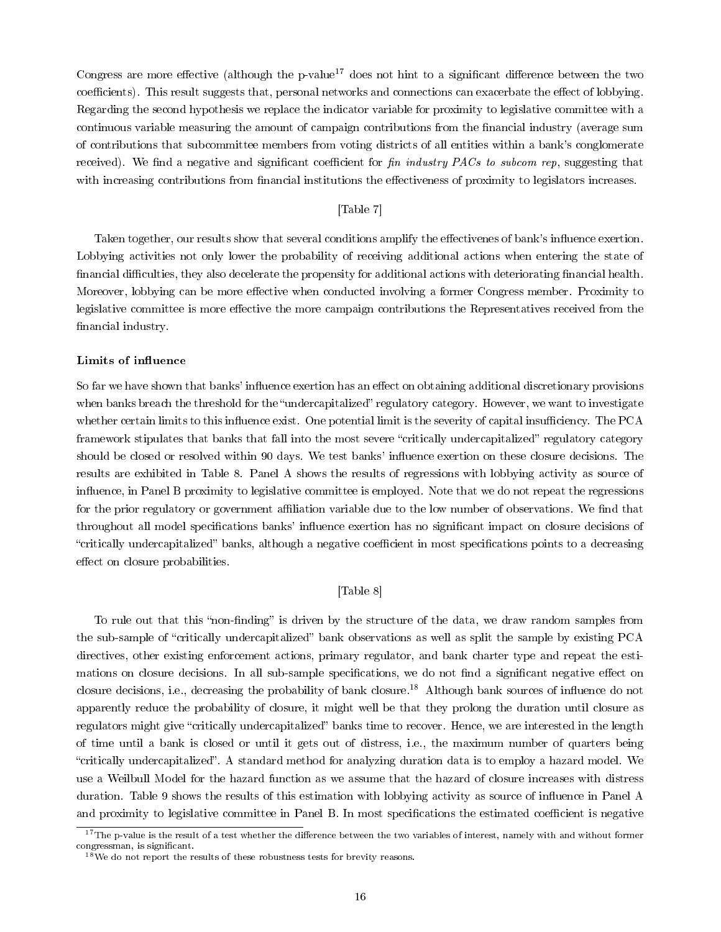Congress are more effective (although the p-value<sup>17</sup> does not hint to a significant difference between the two coefficients). This result suggests that, personal networks and connections can exacerbate the effect of lobbying. Regarding the second hypothesis we replace the indicator variable for proximity to legislative committee with a continuous variable measuring the amount of campaign contributions from the financial industry (average sum of contributions that subcommittee members from voting districts of all entities within a bank's conglomerate received). We find a negative and significant coefficient for  $\hat{f}$  in industry PACs to subcom rep, suggesting that with increasing contributions from financial institutions the effectiveness of proximity to legislators increases.

# [Table 7]

Taken together, our results show that several conditions amplify the effectivenes of bank's influence exertion. Lobbying activities not only lower the probability of receiving additional actions when entering the state of financial difficulties, they also decelerate the propensity for additional actions with deteriorating financial health. Moreover, lobbying can be more effective when conducted involving a former Congress member. Proximity to legislative committee is more effective the more campaign contributions the Representatives received from the financial industry.

#### Limits of influence

So far we have shown that banks' influence exertion has an effect on obtaining additional discretionary provisions when banks breach the threshold for the "undercapitalized" regulatory category. However, we want to investigate whether certain limits to this influence exist. One potential limit is the severity of capital insufficiency. The PCA framework stipulates that banks that fall into the most severe "critically undercapitalized" regulatory category should be closed or resolved within 90 days. We test banks' influence exertion on these closure decisions. The results are exhibited in Table 8. Panel A shows the results of regressions with lobbying activity as source of influence, in Panel B proximity to legislative committee is employed. Note that we do not repeat the regressions for the prior regulatory or government affiliation variable due to the low number of observations. We find that throughout all model specifications banks' influence exertion has no significant impact on closure decisions of "critically undercapitalized" banks, although a negative coefficient in most specifications points to a decreasing effect on closure probabilities.

# [Table 8]

To rule out that this "non-finding" is driven by the structure of the data, we draw random samples from the sub-sample of "critically undercapitalized" bank observations as well as split the sample by existing PCA directives, other existing enforcement actions, primary regulator, and bank charter type and repeat the estimations on closure decisions. In all sub-sample specifications, we do not find a significant negative effect on closure decisions, i.e., decreasing the probability of bank closure.<sup>18</sup> Although bank sources of influence do not apparently reduce the probability of closure, it might well be that they prolong the duration until closure as regulators might give "critically undercapitalized" banks time to recover. Hence, we are interested in the length of time until a bank is closed or until it gets out of distress, i.e., the maximum number of quarters being critically undercapitalized. A standard method for analyzing duration data is to employ a hazard model. We use a Weilbull Model for the hazard function as we assume that the hazard of closure increases with distress duration. Table 9 shows the results of this estimation with lobbying activity as source of influence in Panel A and proximity to legislative committee in Panel B. In most specifications the estimated coefficient is negative

 $17$ The p-value is the result of a test whether the difference between the two variables of interest, namely with and without former congressman, is significant.

 $18\,\mathrm{We}$  do not report the results of these robustness tests for brevity reasons.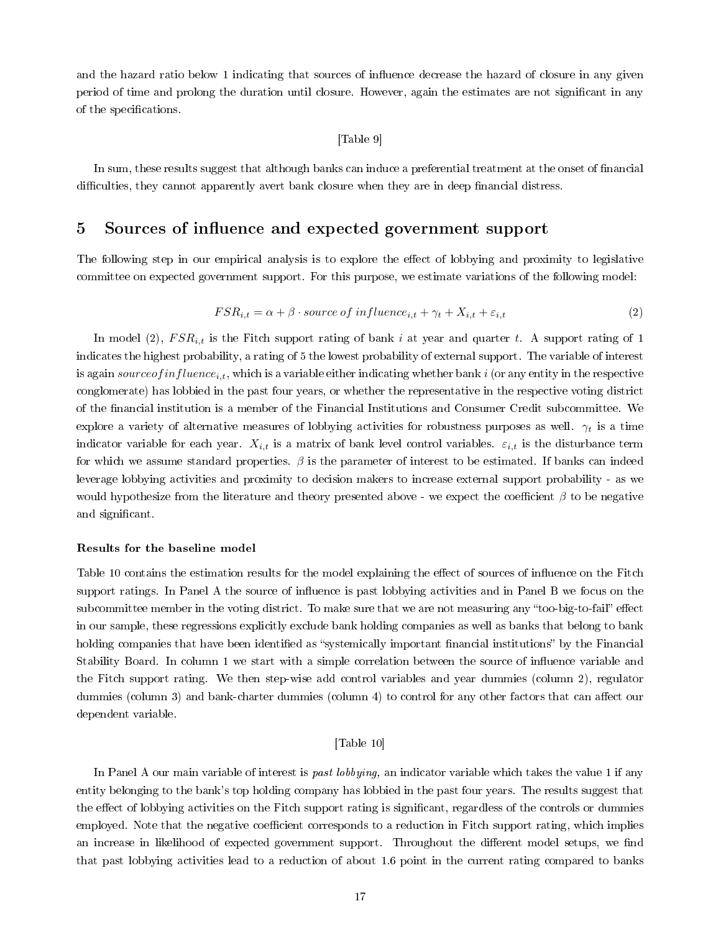and the hazard ratio below 1 indicating that sources of influence decrease the hazard of closure in any given period of time and prolong the duration until closure. However, again the estimates are not significant in any of the specifications.

# [Table 9]

In sum, these results suggest that although banks can induce a preferential treatment at the onset of nancial difficulties, they cannot apparently avert bank closure when they are in deep financial distress.

# 5 Sources of influence and expected government support

The following step in our empirical analysis is to explore the effect of lobbying and proximity to legislative committee on expected government support. For this purpose, we estimate variations of the following model:

$$
FSR_{i,t} = \alpha + \beta \cdot source \ of \ influence_{i,t} + \gamma_t + X_{i,t} + \varepsilon_{i,t} \tag{2}
$$

In model (2),  $FSR_{i,t}$  is the Fitch support rating of bank i at year and quarter t. A support rating of 1 indicates the highest probability, a rating of 5 the lowest probability of external support. The variable of interest is again source of influence<sub>i,t</sub>, which is a variable either indicating whether bank i (or any entity in the respective conglomerate) has lobbied in the past four years, or whether the representative in the respective voting district of the nancial institution is a member of the Financial Institutions and Consumer Credit subcommittee. We explore a variety of alternative measures of lobbying activities for robustness purposes as well.  $\gamma_t$  is a time indicator variable for each year.  $X_{i,t}$  is a matrix of bank level control variables.  $\varepsilon_{i,t}$  is the disturbance term for which we assume standard properties.  $\beta$  is the parameter of interest to be estimated. If banks can indeed leverage lobbying activities and proximity to decision makers to increase external support probability - as we would hypothesize from the literature and theory presented above - we expect the coefficient  $\beta$  to be negative and significant.

#### Results for the baseline model

Table 10 contains the estimation results for the model explaining the effect of sources of influence on the Fitch support ratings. In Panel A the source of influence is past lobbying activities and in Panel B we focus on the subcommittee member in the voting district. To make sure that we are not measuring any "too-big-to-fail" effect in our sample, these regressions explicitly exclude bank holding companies as well as banks that belong to bank holding companies that have been identified as "systemically important financial institutions" by the Financial Stability Board. In column 1 we start with a simple correlation between the source of influence variable and the Fitch support rating. We then step-wise add control variables and year dummies (column 2), regulator dummies (column 3) and bank-charter dummies (column 4) to control for any other factors that can affect our dependent variable.

# [Table 10]

In Panel A our main variable of interest is *past lobbying*, an indicator variable which takes the value 1 if any entity belonging to the bank's top holding company has lobbied in the past four years. The results suggest that the effect of lobbying activities on the Fitch support rating is significant, regardless of the controls or dummies employed. Note that the negative coefficient corresponds to a reduction in Fitch support rating, which implies an increase in likelihood of expected government support. Throughout the different model setups, we find that past lobbying activities lead to a reduction of about 1.6 point in the current rating compared to banks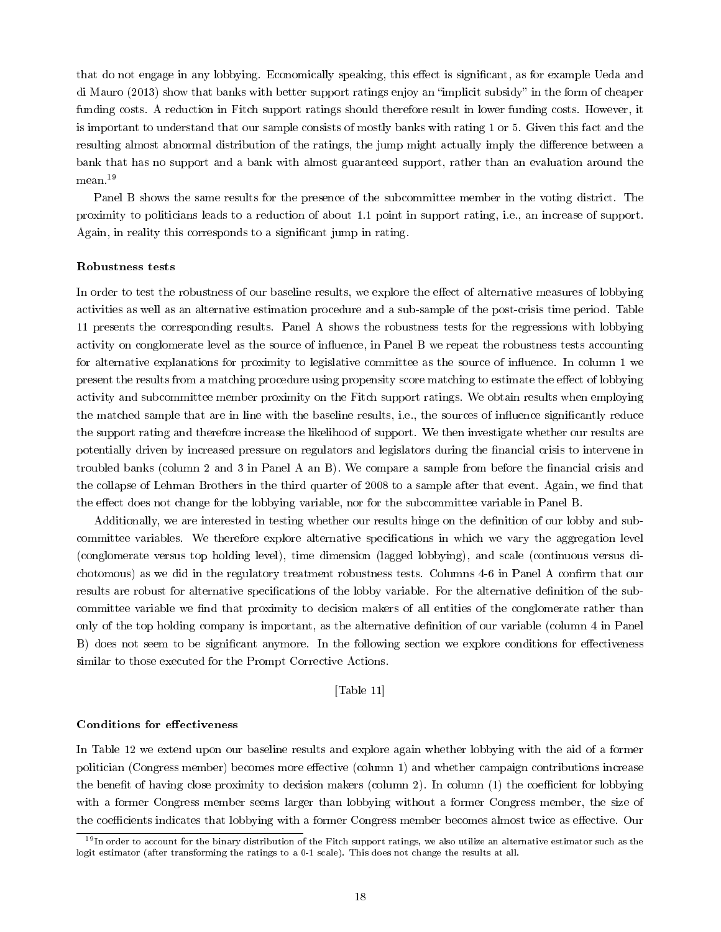that do not engage in any lobbying. Economically speaking, this effect is significant, as for example Ueda and di Mauro (2013) show that banks with better support ratings enjoy an "implicit subsidy" in the form of cheaper funding costs. A reduction in Fitch support ratings should therefore result in lower funding costs. However, it is important to understand that our sample consists of mostly banks with rating 1 or 5. Given this fact and the resulting almost abnormal distribution of the ratings, the jump might actually imply the difference between a bank that has no support and a bank with almost guaranteed support, rather than an evaluation around the mean.<sup>19</sup>

Panel B shows the same results for the presence of the subcommittee member in the voting district. The proximity to politicians leads to a reduction of about 1.1 point in support rating, i.e., an increase of support. Again, in reality this corresponds to a signicant jump in rating.

#### Robustness tests

In order to test the robustness of our baseline results, we explore the effect of alternative measures of lobbying activities as well as an alternative estimation procedure and a sub-sample of the post-crisis time period. Table 11 presents the corresponding results. Panel A shows the robustness tests for the regressions with lobbying activity on conglomerate level as the source of influence, in Panel B we repeat the robustness tests accounting for alternative explanations for proximity to legislative committee as the source of influence. In column 1 we present the results from a matching procedure using propensity score matching to estimate the effect of lobbying activity and subcommittee member proximity on the Fitch support ratings. We obtain results when employing the matched sample that are in line with the baseline results, i.e., the sources of influence significantly reduce the support rating and therefore increase the likelihood of support. We then investigate whether our results are potentially driven by increased pressure on regulators and legislators during the financial crisis to intervene in troubled banks (column 2 and 3 in Panel A an B). We compare a sample from before the financial crisis and the collapse of Lehman Brothers in the third quarter of 2008 to a sample after that event. Again, we find that the effect does not change for the lobbying variable, nor for the subcommittee variable in Panel B.

Additionally, we are interested in testing whether our results hinge on the definition of our lobby and subcommittee variables. We therefore explore alternative specifications in which we vary the aggregation level (conglomerate versus top holding level), time dimension (lagged lobbying), and scale (continuous versus dichotomous) as we did in the regulatory treatment robustness tests. Columns 4-6 in Panel A confirm that our results are robust for alternative specifications of the lobby variable. For the alternative definition of the subcommittee variable we find that proximity to decision makers of all entities of the conglomerate rather than only of the top holding company is important, as the alternative denition of our variable (column 4 in Panel B) does not seem to be significant anymore. In the following section we explore conditions for effectiveness similar to those executed for the Prompt Corrective Actions.

[Table 11]

## Conditions for effectiveness

In Table 12 we extend upon our baseline results and explore again whether lobbying with the aid of a former politician (Congress member) becomes more effective (column 1) and whether campaign contributions increase the benefit of having close proximity to decision makers (column 2). In column (1) the coefficient for lobbying with a former Congress member seems larger than lobbying without a former Congress member, the size of the coefficients indicates that lobbying with a former Congress member becomes almost twice as effective. Our

<sup>&</sup>lt;sup>19</sup>In order to account for the binary distribution of the Fitch support ratings, we also utilize an alternative estimator such as the logit estimator (after transforming the ratings to a 0-1 scale). This does not change the results at all.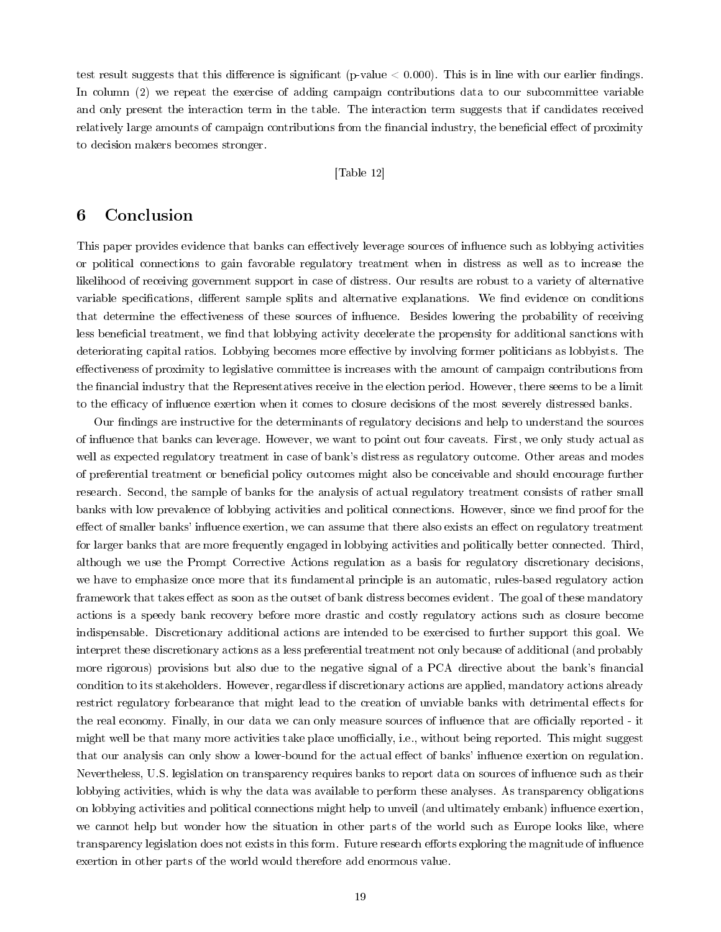test result suggests that this difference is significant (p-value  $< 0.000$ ). This is in line with our earlier findings. In column (2) we repeat the exercise of adding campaign contributions data to our subcommittee variable and only present the interaction term in the table. The interaction term suggests that if candidates received relatively large amounts of campaign contributions from the financial industry, the beneficial effect of proximity to decision makers becomes stronger.

## [Table 12]

# 6 Conclusion

This paper provides evidence that banks can effectively leverage sources of influence such as lobbying activities or political connections to gain favorable regulatory treatment when in distress as well as to increase the likelihood of receiving government support in case of distress. Our results are robust to a variety of alternative variable specifications, different sample splits and alternative explanations. We find evidence on conditions that determine the effectiveness of these sources of influence. Besides lowering the probability of receiving less beneficial treatment, we find that lobbying activity decelerate the propensity for additional sanctions with deteriorating capital ratios. Lobbying becomes more effective by involving former politicians as lobbyists. The effectiveness of proximity to legislative committee is increases with the amount of campaign contributions from the financial industry that the Representatives receive in the election period. However, there seems to be a limit to the efficacy of influence exertion when it comes to closure decisions of the most severely distressed banks.

Our findings are instructive for the determinants of regulatory decisions and help to understand the sources of inuence that banks can leverage. However, we want to point out four caveats. First, we only study actual as well as expected regulatory treatment in case of bank's distress as regulatory outcome. Other areas and modes of preferential treatment or beneficial policy outcomes might also be conceivable and should encourage further research. Second, the sample of banks for the analysis of actual regulatory treatment consists of rather small banks with low prevalence of lobbying activities and political connections. However, since we find proof for the effect of smaller banks' influence exertion, we can assume that there also exists an effect on regulatory treatment for larger banks that are more frequently engaged in lobbying activities and politically better connected. Third, although we use the Prompt Corrective Actions regulation as a basis for regulatory discretionary decisions, we have to emphasize once more that its fundamental principle is an automatic, rules-based regulatory action framework that takes effect as soon as the outset of bank distress becomes evident. The goal of these mandatory actions is a speedy bank recovery before more drastic and costly regulatory actions such as closure become indispensable. Discretionary additional actions are intended to be exercised to further support this goal. We interpret these discretionary actions as a less preferential treatment not only because of additional (and probably more rigorous) provisions but also due to the negative signal of a PCA directive about the bank's financial condition to its stakeholders. However, regardless if discretionary actions are applied, mandatory actions already restrict regulatory forbearance that might lead to the creation of unviable banks with detrimental effects for the real economy. Finally, in our data we can only measure sources of influence that are officially reported - it might well be that many more activities take place unofficially, i.e., without being reported. This might suggest that our analysis can only show a lower-bound for the actual effect of banks' influence exertion on regulation. Nevertheless, U.S. legislation on transparency requires banks to report data on sources of influence such as their lobbying activities, which is why the data was available to perform these analyses. As transparency obligations on lobbying activities and political connections might help to unveil (and ultimately embank) influence exertion, we cannot help but wonder how the situation in other parts of the world such as Europe looks like, where transparency legislation does not exists in this form. Future research efforts exploring the magnitude of influence exertion in other parts of the world would therefore add enormous value.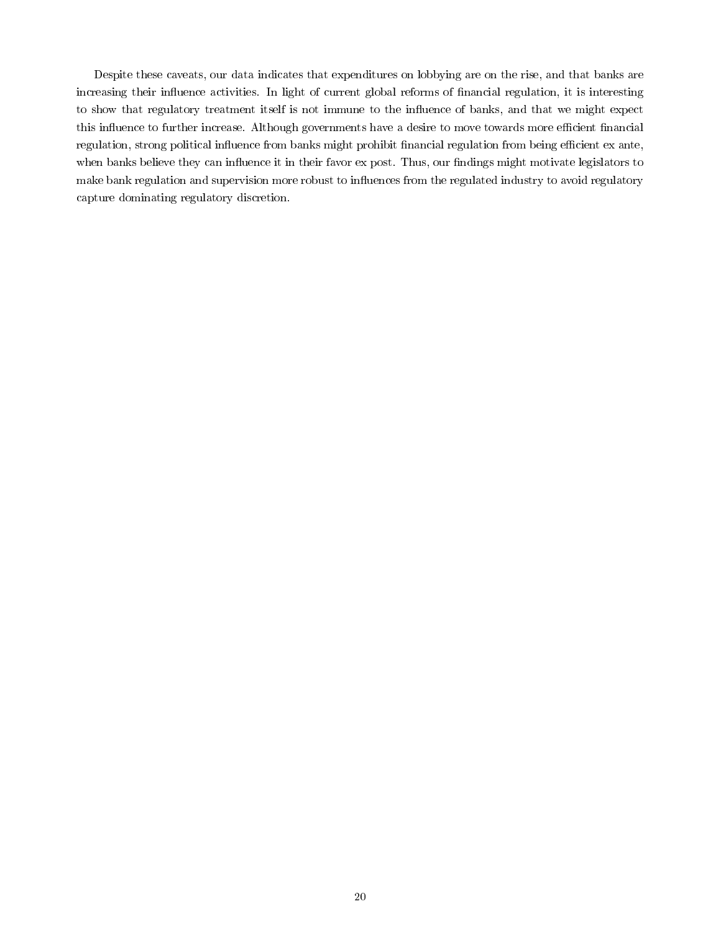Despite these caveats, our data indicates that expenditures on lobbying are on the rise, and that banks are increasing their influence activities. In light of current global reforms of financial regulation, it is interesting to show that regulatory treatment itself is not immune to the influence of banks, and that we might expect this influence to further increase. Although governments have a desire to move towards more efficient financial regulation, strong political influence from banks might prohibit financial regulation from being efficient ex ante, when banks believe they can influence it in their favor ex post. Thus, our findings might motivate legislators to make bank regulation and supervision more robust to influences from the regulated industry to avoid regulatory capture dominating regulatory discretion.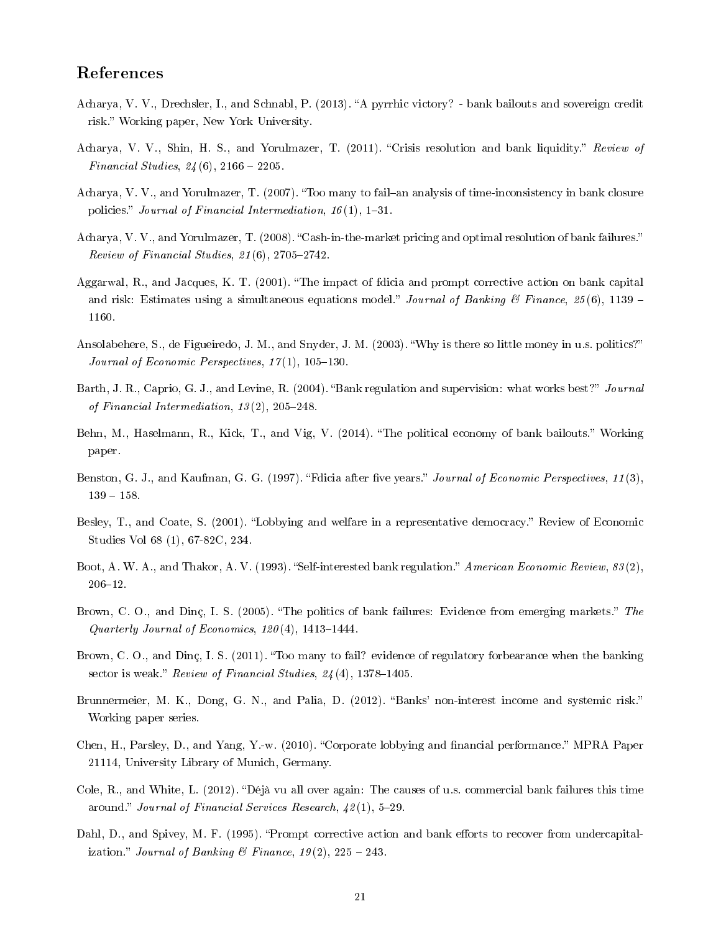# References

- Acharya, V. V., Drechsler, I., and Schnabl, P. (2013). "A pyrrhic victory? bank bailouts and sovereign credit risk." Working paper, New York University.
- Acharya, V. V., Shin, H. S., and Yorulmazer, T. (2011). "Crisis resolution and bank liquidity." Review of Financial Studies,  $24(6)$ ,  $2166 - 2205$ .
- Acharya, V. V., and Yorulmazer, T. (2007). "Too many to fail-an analysis of time-inconsistency in bank closure policies." Journal of Financial Intermediation,  $16(1)$ ,  $1-31$ .
- Acharya, V. V., and Yorulmazer, T. (2008). "Cash-in-the-market pricing and optimal resolution of bank failures." Review of Financial Studies,  $21(6)$ , 2705-2742.
- Aggarwal, R., and Jacques, K. T. (2001). The impact of fdicia and prompt corrective action on bank capital and risk: Estimates using a simultaneous equations model." Journal of Banking & Finance, 25(6), 1139 – 1160.
- Ansolabehere, S., de Figueiredo, J. M., and Snyder, J. M. (2003). Why is there so little money in u.s. politics? Journal of Economic Perspectives,  $17(1)$ ,  $105-130$ .
- Barth, J. R., Caprio, G. J., and Levine, R. (2004). "Bank regulation and supervision: what works best?" Journal of Financial Intermediation,  $13(2)$ ,  $205-248$ .
- Behn, M., Haselmann, R., Kick, T., and Vig, V. (2014). "The political economy of bank bailouts." Working paper.
- Benston, G. J., and Kaufman, G. G. (1997). "Fdicia after five years." Journal of Economic Perspectives, 11(3),  $139 - 158.$
- Besley, T., and Coate, S. (2001). "Lobbying and welfare in a representative democracy." Review of Economic Studies Vol 68 (1), 67-82C, 234.
- Boot, A. W. A., and Thakor, A. V. (1993). "Self-interested bank regulation." American Economic Review,  $83(2)$ ,  $206 - 12$ .
- Brown, C. O., and Dinc, I. S. (2005). "The politics of bank failures: Evidence from emerging markets." The Quarterly Journal of Economics,  $120(4)$ ,  $1413-1444$ .
- Brown, C. O., and Dinç, I. S. (2011). "Too many to fail? evidence of regulatory forbearance when the banking sector is weak." Review of Financial Studies,  $24(4)$ , 1378-1405.
- Brunnermeier, M. K., Dong, G. N., and Palia, D. (2012). "Banks' non-interest income and systemic risk." Working paper series.
- Chen, H., Parsley, D., and Yang, Y.-w. (2010). "Corporate lobbying and financial performance." MPRA Paper 21114, University Library of Munich, Germany.
- Cole, R., and White, L. (2012). "Déjà vu all over again: The causes of u.s. commercial bank failures this time around." Journal of Financial Services Research,  $42(1)$ , 5-29.
- Dahl, D., and Spivey, M. F. (1995). "Prompt corrective action and bank efforts to recover from undercapitalization." Journal of Banking & Finance,  $19(2)$ ,  $225 - 243$ .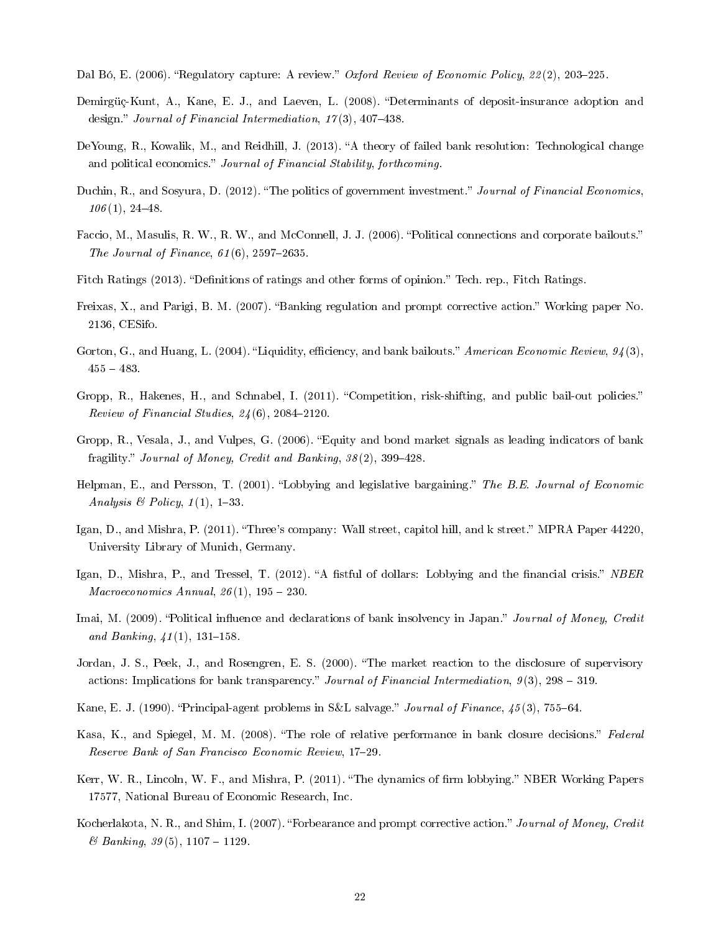- Dal Bó, E. (2006). "Regulatory capture: A review." Oxford Review of Economic Policy, 22(2), 203-225.
- Demirgüç-Kunt, A., Kane, E. J., and Laeven, L. (2008). Determinants of deposit-insurance adoption and design." Journal of Financial Intermediation,  $17(3)$ ,  $407-438$ .
- DeYoung, R., Kowalik, M., and Reidhill, J. (2013). "A theory of failed bank resolution: Technological change and political economics." Journal of Financial Stability, forthcoming.
- Duchin, R., and Sosyura, D. (2012). "The politics of government investment." Journal of Financial Economics,  $106(1), 24-48.$
- Faccio, M., Masulis, R. W., R. W., and McConnell, J. J. (2006). "Political connections and corporate bailouts." The Journal of Finance,  $61(6)$ , 2597-2635.
- Fitch Ratings (2013). "Definitions of ratings and other forms of opinion." Tech. rep., Fitch Ratings.
- Freixas, X., and Parigi, B. M. (2007). "Banking regulation and prompt corrective action." Working paper No. 2136, CESifo.
- Gorton, G., and Huang, L. (2004). "Liquidity, efficiency, and bank bailouts." American Economic Review,  $94(3)$ ,  $455 - 483.$
- Gropp, R., Hakenes, H., and Schnabel, I. (2011). "Competition, risk-shifting, and public bail-out policies." Review of Financial Studies,  $24(6)$ , 2084-2120.
- Gropp, R., Vesala, J., and Vulpes, G. (2006). Equity and bond market signals as leading indicators of bank fragility." Journal of Money, Credit and Banking,  $38(2)$ ,  $399-428$ .
- Helpman, E., and Persson, T. (2001). "Lobbying and legislative bargaining." The B.E. Journal of Economic Analysis & Policy,  $1(1)$ , 1-33.
- Igan, D., and Mishra, P. (2011). "Three's company: Wall street, capitol hill, and k street." MPRA Paper 44220, University Library of Munich, Germany.
- Igan, D., Mishra, P., and Tressel, T. (2012). "A fistful of dollars: Lobbying and the financial crisis." NBER  $Macroeconomics \; Annual, \; 26(1), \, 195-230.$
- Imai, M. (2009). "Political influence and declarations of bank insolvency in Japan." Journal of Money, Credit and Banking,  $41(1)$ , 131-158.
- Jordan, J. S., Peek, J., and Rosengren, E. S. (2000). The market reaction to the disclosure of supervisory actions: Implications for bank transparency." Journal of Financial Intermediation,  $9(3)$ ,  $298 - 319$ .
- Kane, E. J. (1990). "Principal-agent problems in S&L salvage." *Journal of Finance*,  $45(3)$ , 755–64.
- Kasa, K., and Spiegel, M. M. (2008). "The role of relative performance in bank closure decisions." Federal Reserve Bank of San Francisco Economic Review, 17-29.
- Kerr, W. R., Lincoln, W. F., and Mishra, P. (2011). "The dynamics of firm lobbying." NBER Working Papers 17577, National Bureau of Economic Research, Inc.
- Kocherlakota, N. R., and Shim, I. (2007). "Forbearance and prompt corrective action." Journal of Money, Credit  $\&$  Banking, 39(5), 1107 – 1129.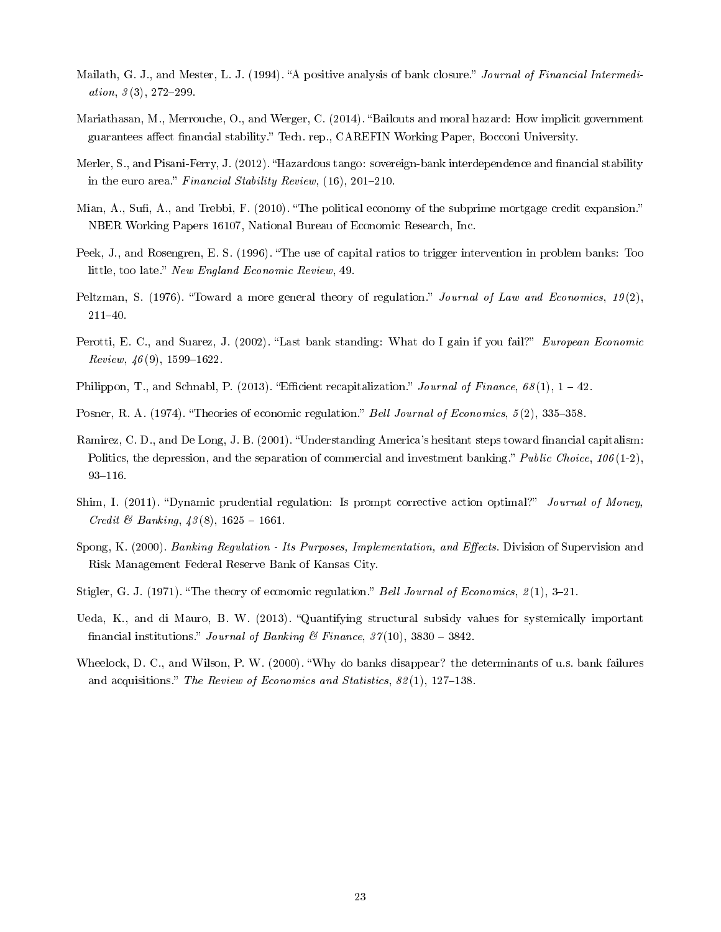- Mailath, G. J., and Mester, L. J. (1994). "A positive analysis of bank closure." Journal of Financial Intermediation,  $3(3)$ ,  $272-299$ .
- Mariathasan, M., Merrouche, O., and Werger, C. (2014). "Bailouts and moral hazard: How implicit government guarantees affect financial stability." Tech. rep., CAREFIN Working Paper, Bocconi University.
- Merler, S., and Pisani-Ferry, J. (2012). "Hazardous tango: sovereign-bank interdependence and financial stability in the euro area." Financial Stability Review,  $(16)$ , 201-210.
- Mian, A., Sufi, A., and Trebbi, F. (2010). "The political economy of the subprime mortgage credit expansion." NBER Working Papers 16107, National Bureau of Economic Research, Inc.
- Peek, J., and Rosengren, E. S. (1996). "The use of capital ratios to trigger intervention in problem banks: Too little, too late." New England Economic Review, 49.
- Peltzman, S. (1976). "Toward a more general theory of regulation." Journal of Law and Economics, 19(2), 21140.
- Perotti, E. C., and Suarez, J. (2002). "Last bank standing: What do I gain if you fail?" European Economic  $Review, 46(9), 1599-1622.$
- Philippon, T., and Schnabl, P. (2013). "Efficient recapitalization." Journal of Finance,  $68(1)$ ,  $1-42$ .
- Posner, R. A. (1974). "Theories of economic regulation." Bell Journal of Economics,  $5(2)$ , 335-358.
- Ramirez, C. D., and De Long, J. B. (2001). "Understanding America's hesitant steps toward financial capitalism: Politics, the depression, and the separation of commercial and investment banking." Public Choice,  $106(1-2)$ ,  $93 - 116$ .
- Shim, I. (2011). "Dynamic prudential regulation: Is prompt corrective action optimal?" Journal of Money, *Credit & Banking*,  $43(8)$ ,  $1625 - 1661$ .
- Spong, K. (2000). Banking Regulation Its Purposes, Implementation, and Effects. Division of Supervision and Risk Management Federal Reserve Bank of Kansas City.
- Stigler, G. J. (1971). "The theory of economic regulation." Bell Journal of Economics,  $2(1)$ , 3-21.
- Ueda, K., and di Mauro, B. W. (2013). "Quantifying structural subsidy values for systemically important financial institutions." Journal of Banking & Finance,  $37(10)$ ,  $3830 - 3842$ .
- Wheelock, D. C., and Wilson, P. W. (2000). Why do banks disappear? the determinants of u.s. bank failures and acquisitions." The Review of Economics and Statistics,  $82(1)$ , 127–138.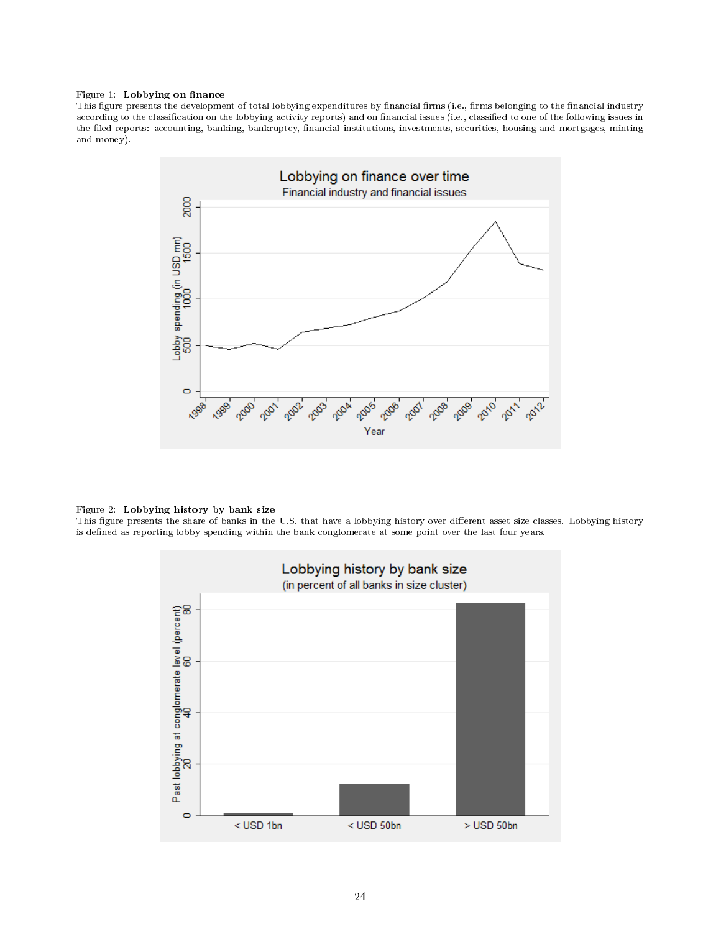#### Figure 1: Lobbying on finance

This figure presents the development of total lobbying expenditures by financial firms (i.e., firms belonging to the financial industry according to the classification on the lobbying activity reports) and on financial issues (i.e., classified to one of the following issues in the filed reports: accounting, banking, bankruptcy, financial institutions, investments, securities, housing and mortgages, minting and money).



#### Figure 2: Lobbying history by bank size

This figure presents the share of banks in the U.S. that have a lobbying history over different asset size classes. Lobbying history is defined as reporting lobby spending within the bank conglomerate at some point over the last four years.

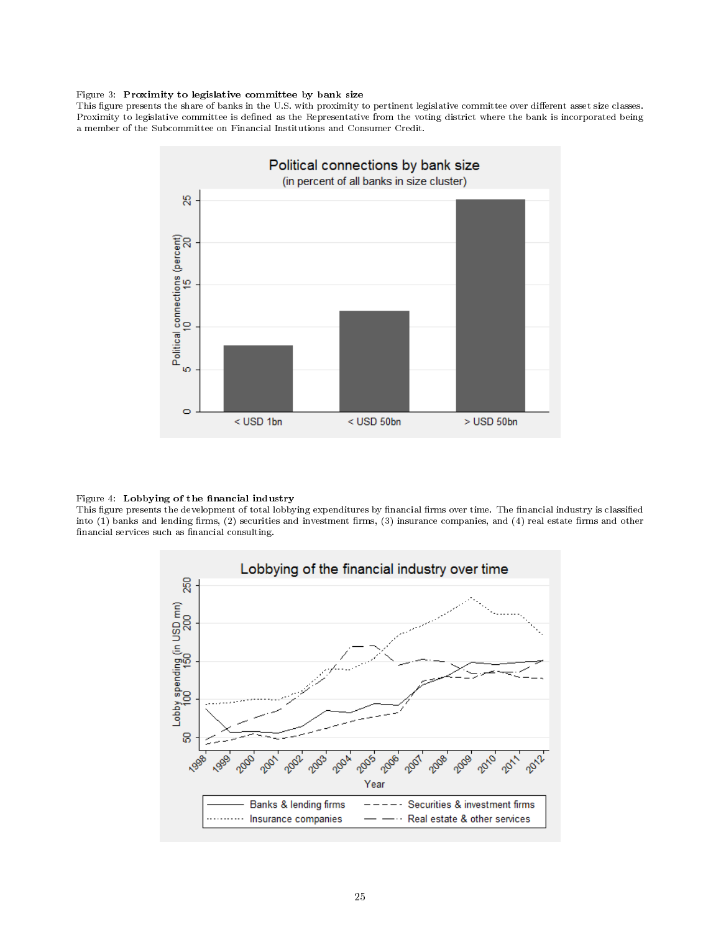#### Figure 3: Proximity to legislative committee by bank size

This figure presents the share of banks in the U.S. with proximity to pertinent legislative committee over different asset size classes. Proximity to legislative committee is defined as the Representative from the voting district where the bank is incorporated being a member of the Subcommittee on Financial Institutions and Consumer Credit.



#### Figure 4: Lobbying of the financial industry

This figure presents the development of total lobbying expenditures by financial firms over time. The financial industry is classified into (1) banks and lending firms, (2) securities and investment firms, (3) insurance companies, and (4) real estate firms and other financial services such as financial consulting.

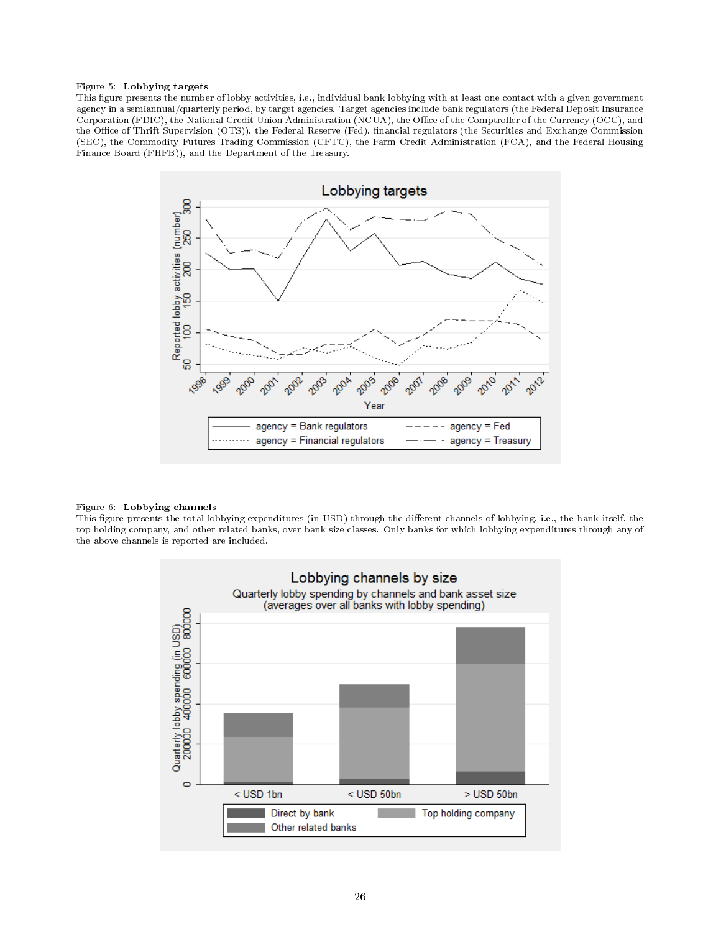#### Figure 5: Lobbying targets

This figure presents the number of lobby activities, i.e., individual bank lobbying with at least one contact with a given government agency in a semiannual/quarterly period, by target agencies. Target agencies include bank regulators (the Federal Deposit Insurance Corporation (FDIC), the National Credit Union Administration (NCUA), the Office of the Comptroller of the Currency (OCC), and the Office of Thrift Supervision (OTS)), the Federal Reserve (Fed), financial regulators (the Securities and Exchange Commission (SEC), the Commodity Futures Trading Commission (CFTC), the Farm Credit Administration (FCA), and the Federal Housing Finance Board (FHFB)), and the Department of the Treasury.



#### Figure 6: Lobbying channels

This figure presents the total lobbying expenditures (in USD) through the different channels of lobbying, i.e., the bank itself, the top holding company, and other related banks, over bank size classes. Only banks for which lobbying expenditures through any of the above channels is reported are included.

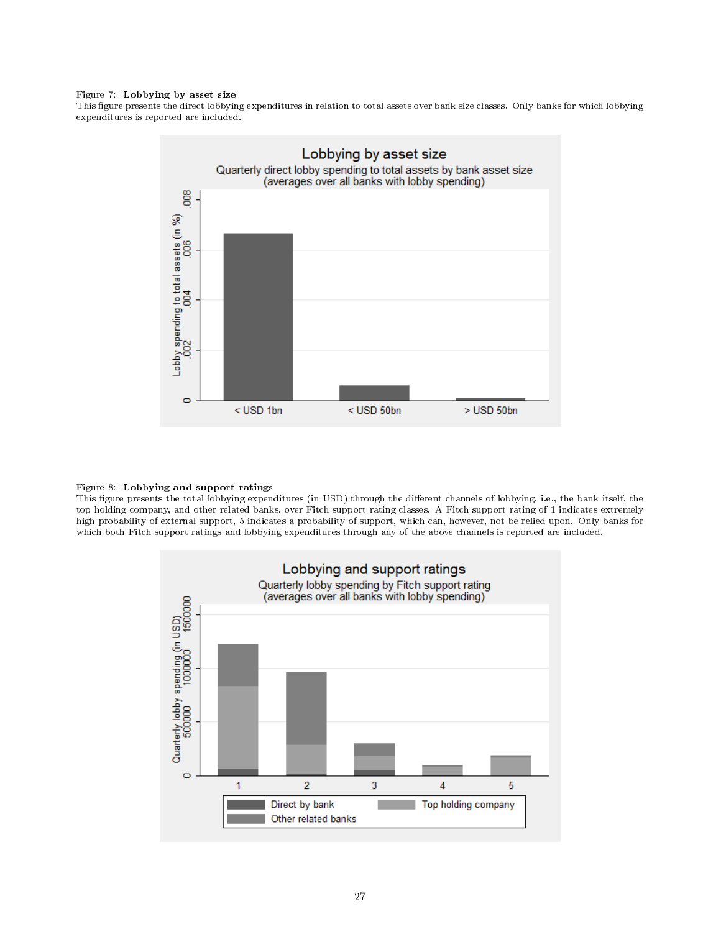#### Figure 7: Lobbying by asset size

This figure presents the direct lobbying expenditures in relation to total assets over bank size classes. Only banks for which lobbying expenditures is reported are included.



#### Figure 8: Lobbying and support ratings

This gure presents the total lobbying expenditures (in USD) through the dierent channels of lobbying, i.e., the bank itself, the top holding company, and other related banks, over Fitch support rating classes. A Fitch support rating of 1 indicates extremely high probability of external support, 5 indicates a probability of support, which can, however, not be relied upon. Only banks for which both Fitch support ratings and lobbying expenditures through any of the above channels is reported are included.

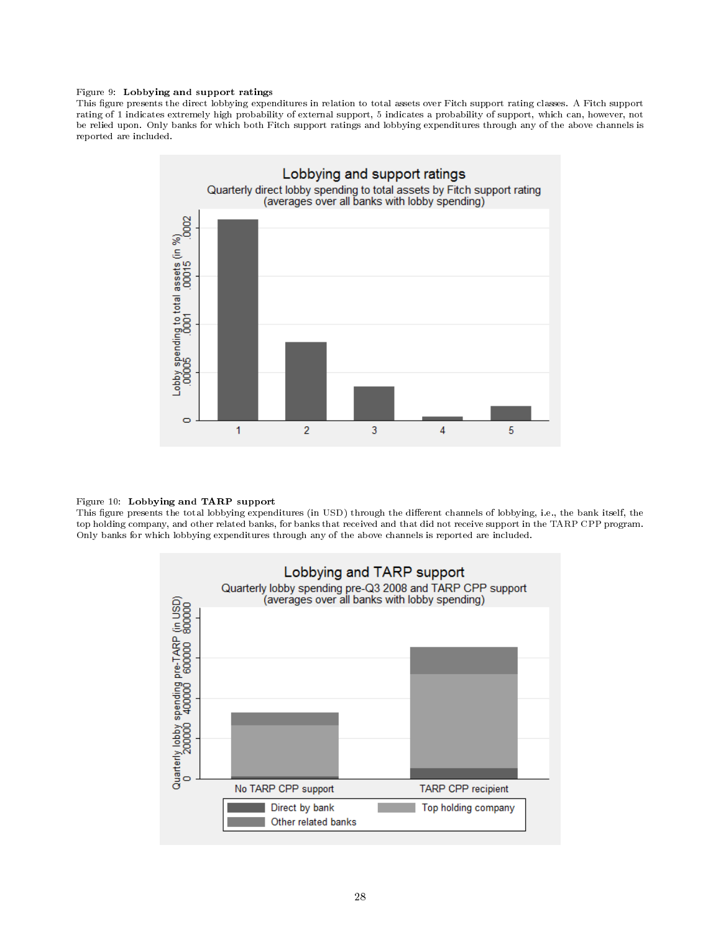#### Figure 9: Lobbying and support ratings

This figure presents the direct lobbying expenditures in relation to total assets over Fitch support rating classes. A Fitch support rating of 1 indicates extremely high probability of external support, 5 indicates a probability of support, which can, however, not be relied upon. Only banks for which both Fitch support ratings and lobbying expenditures through any of the above channels is reported are included.



#### Figure 10: Lobbying and TARP support

This figure presents the total lobbying expenditures (in USD) through the different channels of lobbying, i.e., the bank itself, the top holding company, and other related banks, for banks that received and that did not receive support in the TARP CPP program. Only banks for which lobbying expenditures through any of the above channels is reported are included.

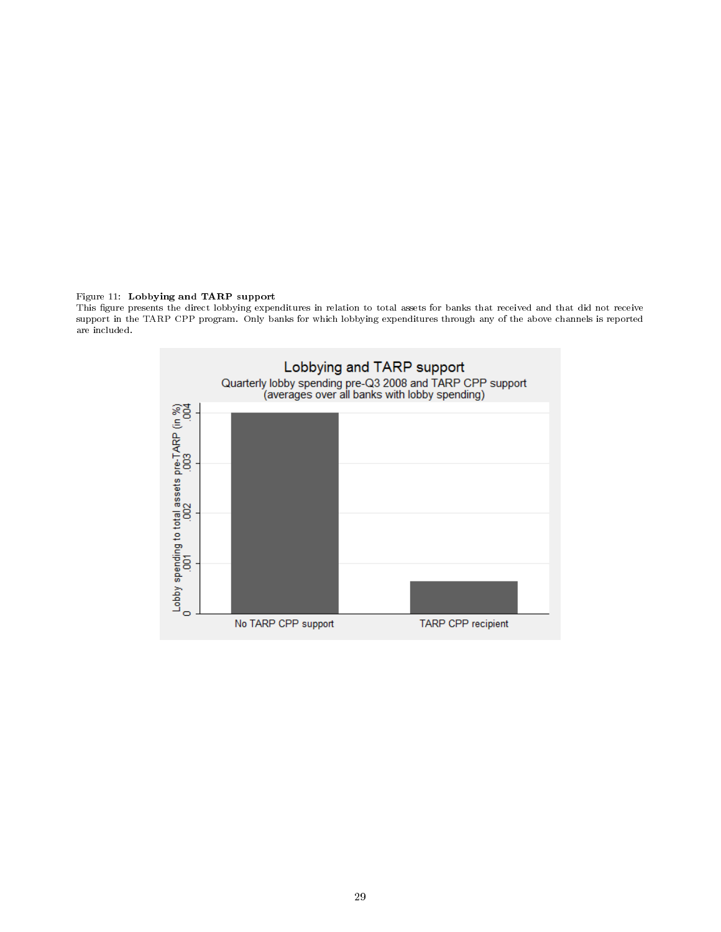#### Figure 11: Lobbying and TARP support

This figure presents the direct lobbying expenditures in relation to total assets for banks that received and that did not receive support in the TARP CPP program. Only banks for which lobbying expenditures through any of the above channels is reported are included.

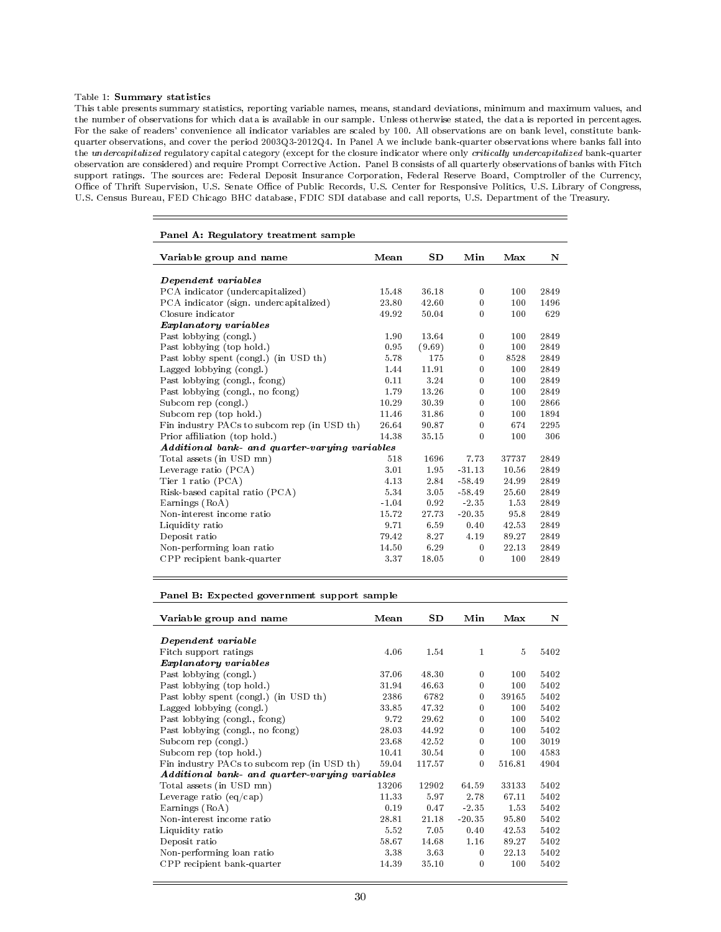#### Table 1: Summary statistics

This table presents summary statistics, reporting variable names, means, standard deviations, minimum and maximum values, and the number of observations for which data is available in our sample. Unless otherwise stated, the data is reported in percentages. For the sake of readers' convenience all indicator variables are scaled by 100. All observations are on bank level, constitute bankquarter observations, and cover the period 2003Q3-2012Q4. In Panel A we include bank-quarter observations where banks fall into the undercapitalized regulatory capital category (except for the closure indicator where only critically undercapitalized bank-quarter observation are considered) and require Prompt Corrective Action. Panel B consists of all quarterly observations of banks with Fitch support ratings. The sources are: Federal Deposit Insurance Corporation, Federal Reserve Board, Comptroller of the Currency, Office of Thrift Supervision, U.S. Senate Office of Public Records, U.S. Center for Responsive Politics, U.S. Library of Congress, U.S. Census Bureau, FED Chicago BHC database, FDIC SDI database and call reports, U.S. Department of the Treasury.

| Panel A: Regulatory treatment sample           |         |        |          |       |      |
|------------------------------------------------|---------|--------|----------|-------|------|
| Variable group and name                        | Mean    | SD     | Min      | Max   | N    |
| Dependent variables                            |         |        |          |       |      |
| PCA indicator (undercapitalized)               | 15.48   | 36.18  | $\bf{0}$ | 100   | 2849 |
| PCA indicator (sign. undercapitalized)         | 23.80   | 42.60  | $\theta$ | 100   | 1496 |
| Closure indicator                              | 49.92   | 50.04  | $\bf{0}$ | 100   | 629  |
| <i>Explanatory variables</i>                   |         |        |          |       |      |
| Past lobbying (congl.)                         | 1.90    | 13.64  | $\bf{0}$ | 100   | 2849 |
| Past lobbying (top hold.)                      | 0.95    | (9.69) | $\bf{0}$ | 100   | 2849 |
| Past lobby spent (congl.) (in USD th)          | 5.78    | 175    | $\bf{0}$ | 8528  | 2849 |
| Lagged lobbying (congl.)                       | 1.44    | 11.91  | $\bf{0}$ | 100   | 2849 |
| Past lobbying (congl., fcong)                  | 0.11    | 3.24   | $\theta$ | 100   | 2849 |
| Past lobbying (congl., no fcong)               | 1.79    | 13.26  | $\bf{0}$ | 100   | 2849 |
| Subcom rep (congl.)                            | 10.29   | 30.39  | $\bf{0}$ | 100   | 2866 |
| Subcom rep (top hold.)                         | 11.46   | 31.86  | $\bf{0}$ | 100   | 1894 |
| Fin industry PACs to subcom rep (in USD th)    | 26.64   | 90.87  | $\bf{0}$ | 674   | 2295 |
| Prior affiliation (top hold.)                  | 14.38   | 35.15  | $\theta$ | 100   | 306  |
| Additional bank- and quarter-varying variables |         |        |          |       |      |
| Total assets (in USD mn)                       | 518     | 1696   | 7.73     | 37737 | 2849 |
| Leverage ratio $(PCA)$                         | 3.01    | 1.95   | $-31.13$ | 10.56 | 2849 |
| Tier 1 ratio (PCA)                             | 4.13    | 2.84   | $-58.49$ | 24.99 | 2849 |
| Risk-based capital ratio (PCA)                 | 5.34    | 3.05   | $-58.49$ | 25.60 | 2849 |
| Earnings (RoA)                                 | $-1.04$ | 0.92   | $-2.35$  | 1.53  | 2849 |
| Non-interest income ratio                      | 15.72   | 27 73  | $-20.35$ | 95.8  | 2849 |
| Liquidity ratio                                | 9.71    | 6.59   | 0.40     | 42.53 | 2849 |
| Deposit ratio                                  | 79.42   | 8.27   | 4.19     | 89.27 | 2849 |
| Non-performing loan ratio                      | 14.50   | 6.29   | $\theta$ | 22.13 | 2849 |
| CPP recipient bank-quarter                     | 3.37    | 18.05  | $\bf{0}$ | 100   | 2849 |

Panel B: Expected government support sample

| Variable group and name                        | Mean  | $_{\rm SD}$ | Min          | Max    | N    |
|------------------------------------------------|-------|-------------|--------------|--------|------|
| Dependent variable                             |       |             |              |        |      |
| Fitch support ratings                          | 4.06  | 1.54        | 1            | 5      | 5402 |
| <i>Explanatory variables</i>                   |       |             |              |        |      |
| Past lobbying (congl.)                         | 37.06 | 48.30       | $\mathbf{0}$ | 100    | 5402 |
| Past lobbying (top hold.)                      | 31.94 | 46.63       | $\mathbf{0}$ | 100    | 5402 |
| Past lobby spent (congl.) (in USD th)          | 2386  | 6782        | $\mathbf{0}$ | 39165  | 5402 |
| Lagged lobbying (congl.)                       | 33.85 | 47.32       | $\mathbf{0}$ | 100    | 5402 |
| Past lobbying (congl., fcong)                  | 9.72  | 29.62       | $\mathbf{0}$ | 100    | 5402 |
| Past lobbying (congl., no fcong)               | 28.03 | 44.92       | $\mathbf{0}$ | 100    | 5402 |
| Subcom rep (congl.)                            | 23.68 | 42.52       | $\mathbf{0}$ | 100    | 3019 |
| Subcom rep (top hold.)                         | 10.41 | 30.54       | $\bf{0}$     | 100    | 4583 |
| Fin industry PACs to subcom rep (in USD th)    | 59.04 | 117.57      | $\mathbf{0}$ | 516.81 | 4904 |
| Additional bank- and quarter-varying variables |       |             |              |        |      |
| Total assets (in USD mn)                       | 13206 | 12902       | 64.59        | 33133  | 5402 |
| Leverage ratio $\left(\frac{eq}{cap}\right)$   | 11.33 | 5.97        | 2.78         | 67.11  | 5402 |
| Earnings (RoA)                                 | 0.19  | 0.47        | $-2.35$      | 1.53   | 5402 |
| Non-interest income ratio                      | 28.81 | 21.18       | $-20.35$     | 95.80  | 5402 |
| Liquidity ratio                                | 5.52  | 7.05        | 0.40         | 42.53  | 5402 |
| Deposit ratio                                  | 58.67 | 14.68       | 1.16         | 89.27  | 5402 |
| Non-performing loan ratio                      | 3.38  | 3.63        | $\mathbf{0}$ | 22.13  | 5402 |
| CPP recipient bank-quarter                     | 14.39 | 35.10       | $\mathbf{0}$ | 100    | 5402 |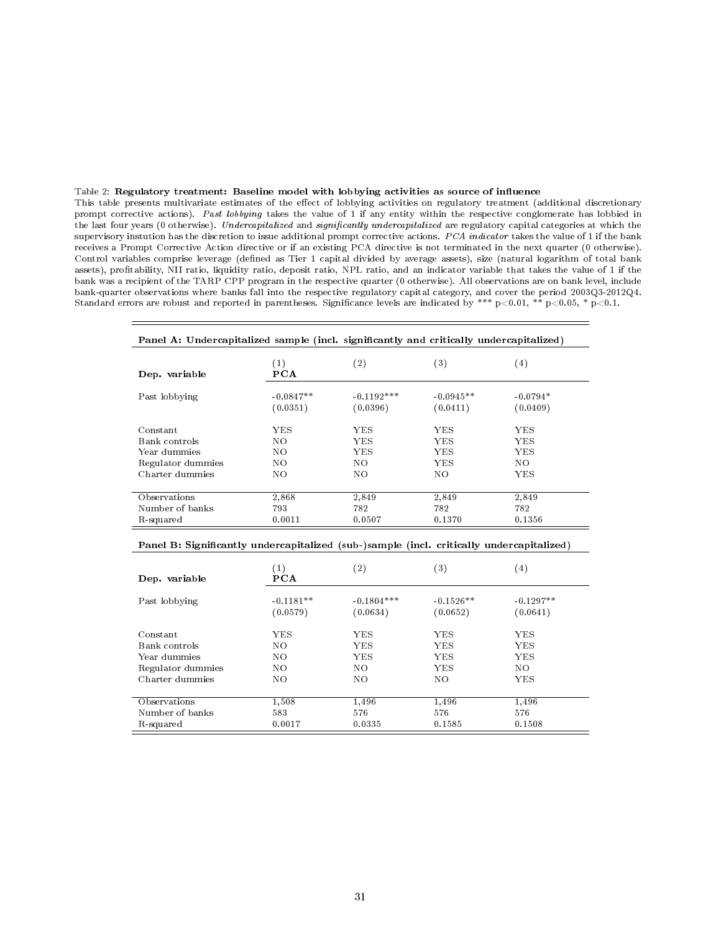#### Table 2: Regulatory treatment: Baseline model with lobbying activities as source of influence

This table presents multivariate estimates of the effect of lobbying activities on regulatory treatment (additional discretionary prompt corrective actions). Past lobbying takes the value of 1 if any entity within the respective conglomerate has lobbied in the last four years (0 otherwise). Undercapitalized and significantly undercapitalized are regulatory capital categories at which the supervisory instution has the discretion to issue additional prompt corrective actions. PCA indicator takes the value of 1 if the bank receives a Prompt Corrective Action directive or if an existing PCA directive is not terminated in the next quarter (0 otherwise). Control variables comprise leverage (defined as Tier 1 capital divided by average assets), size (natural logarithm of total bank assets), profitability, NII ratio, liquidity ratio, deposit ratio, NPL ratio, and an indicator variable that takes the value of 1 if the bank was a recipient of the TARP CPP program in the respective quarter (0 otherwise). All observations are on bank level, include bank-quarter observations where banks fall into the respective regulatory capital category, and cover the period 2003Q3-2012Q4. Standard errors are robust and reported in parentheses. Significance levels are indicated by \*\*\* p<0.01, \*\* p<0.05, \* p<0.1.

| Panel A: Undercapitalized sample (incl. significantly and critically undercapitalized)   |             |              |             |            |
|------------------------------------------------------------------------------------------|-------------|--------------|-------------|------------|
| Dep. variable                                                                            | (1)<br>PCA  | (2)          | (3)         | (4)        |
| Past lobbying                                                                            | $-0.0847**$ | $-0.1192***$ | $-0.0945**$ | $-0.0794*$ |
|                                                                                          | (0.0351)    | (0.0396)     | (0.0411)    | (0.0409)   |
| Constant                                                                                 | YES.        | YES.         | YES.        | YES.       |
| Bank controls                                                                            | NO.         | YES.         | YES.        | YES        |
| Year dummies                                                                             | NO.         | YES.         | YES.        | YES        |
| Regulator dummies                                                                        | NO.         | NO.          | <b>YES</b>  | NO.        |
| Charter dummies                                                                          | NO.         | NO.          | NO.         | YES.       |
| Observations                                                                             | 2,868       | 2,849        | 2,849       | 2,849      |
| Number of banks                                                                          | 793         | 782          | 782         | 782        |
| R-squared                                                                                | 0.0011      | 0.0507       | 0.1370      | 0.1356     |
| Panel B: Significantly undercapitalized (sub-)sample (incl. critically undercapitalized) |             |              |             |            |

| Dep. variable                                                                     | $\left( 1\right)$<br><b>PCA</b> | $^{\rm (2)}$             | $^{\left( 3\right) }$    | $\left( 4\right)$        |
|-----------------------------------------------------------------------------------|---------------------------------|--------------------------|--------------------------|--------------------------|
| Past lobbying                                                                     | $-0.1181**$<br>(0.0579)         | $-0.1804***$<br>(0.0634) | $-0.1526**$<br>(0.0652)  | $-0.1297**$<br>(0.0641)  |
| Constant<br>Bank controls<br>Year dummies<br>Regulator dummies<br>Charter dummies | YES<br>NO.<br>NO.<br>NO.        | YES<br>YES<br>YES<br>NO. | YES<br>YES<br>YES<br>YES | YES<br>YES<br>YES<br>NO. |
|                                                                                   | NO.                             | NO                       | NO.                      | YES                      |
| Observations                                                                      | 1,508                           | 1,496                    | 1,496                    | 1,496                    |
| Number of banks                                                                   | 583                             | 576                      | 576                      | 576                      |
| R-squared                                                                         | 0.0017                          | 0.0335                   | 0.1585                   | 0.1508                   |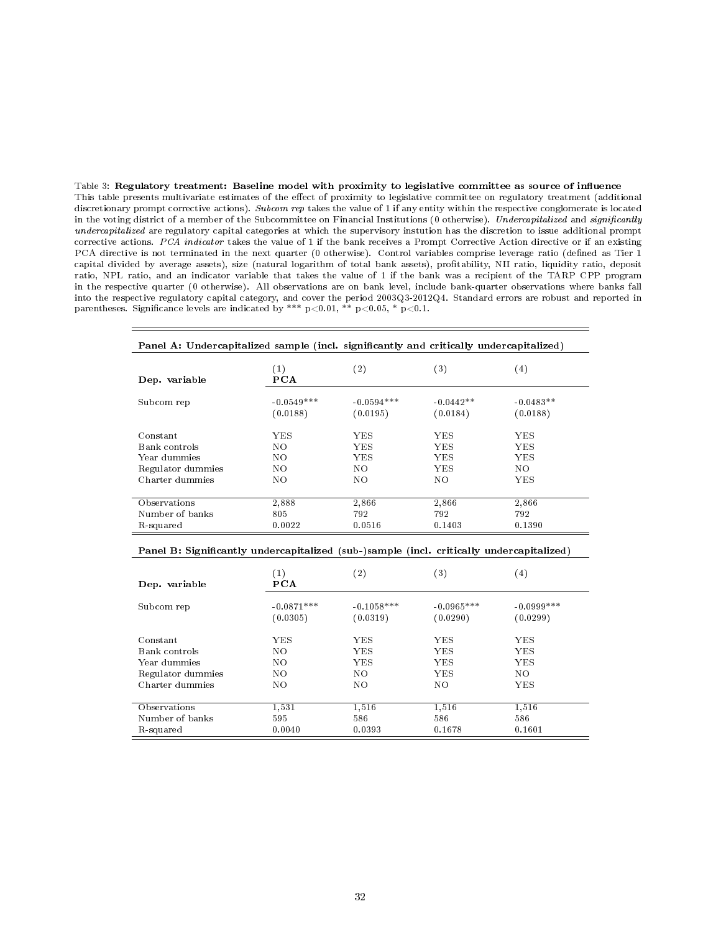Table 3: Regulatory treatment: Baseline model with proximity to legislative committee as source of inuence This table presents multivariate estimates of the effect of proximity to legislative committee on regulatory treatment (additional discretionary prompt corrective actions). Subcom rep takes the value of 1 if any entity within the respective conglomerate is located in the voting district of a member of the Subcommittee on Financial Institutions (0 otherwise). Undercapitalized and significantly undercapitalized are regulatory capital categories at which the supervisory instution has the discretion to issue additional prompt corrective actions. PCA indicator takes the value of 1 if the bank receives a Prompt Corrective Action directive or if an existing PCA directive is not terminated in the next quarter (0 otherwise). Control variables comprise leverage ratio (defined as Tier 1 capital divided by average assets), size (natural logarithm of total bank assets), protability, NII ratio, liquidity ratio, deposit ratio, NPL ratio, and an indicator variable that takes the value of 1 if the bank was a recipient of the TARP CPP program in the respective quarter (0 otherwise). All observations are on bank level, include bank-quarter observations where banks fall into the respective regulatory capital category, and cover the period 2003Q3-2012Q4. Standard errors are robust and reported in parentheses. Significance levels are indicated by \*\*\*  $p<0.01$ , \*\*  $p<0.05$ , \*  $p<0.1$ .

| Panel A: Undercapitalized sample (incl. significantly and critically undercapitalized) |              |                   |              |             |
|----------------------------------------------------------------------------------------|--------------|-------------------|--------------|-------------|
| Dep. variable                                                                          | (1)<br>PCA   | $\left( 2\right)$ | $^{\rm (3)}$ | $^{(4)}$    |
| Subcom rep                                                                             | $-0.0549***$ | $-0.0594***$      | $-0.0442**$  | $-0.0483**$ |
|                                                                                        | (0.0188)     | (0.0195)          | (0.0184)     | (0.0188)    |
| Constant                                                                               | YES          | YES               | YES.         | YES         |
| Bank controls                                                                          | NO.          | YES               | YES.         | YES.        |
| Year dummies                                                                           | NO.          | YES               | YES          | YES         |
| Regulator dummies                                                                      | NO.          | NO.               | YES.         | NO.         |
| Charter dummies                                                                        | NO.          | NO.               | NO.          | YES         |
| Observations                                                                           | 2,888        | 2,866             | 2,866        | 2,866       |
| Number of banks                                                                        | 805          | 792               | 792          | 792         |
| R-squared                                                                              | 0.0022       | 0.0516            | 0.1403       | 0.1390      |

#### Panel B: Significantly undercapitalized (sub-)sample (incl. critically undercapitalized)

| Dep. variable     | $\left( 1\right)$<br><b>PCA</b> | $\left( 2\right)$        | $^{\rm (3)}$             | $\left( 4\right)$        |
|-------------------|---------------------------------|--------------------------|--------------------------|--------------------------|
| Subcom rep        | $-0.0871***$<br>(0.0305)        | $-0.1058***$<br>(0.0319) | $-0.0965***$<br>(0.0290) | $-0.0999***$<br>(0.0299) |
| Constant          | YES                             | YES                      | YES                      | YES                      |
| Bank controls     | NO.                             | YES.                     | YES                      | <b>YES</b>               |
| Year dummies      | NO.                             | YES                      | <b>YES</b>               | YES                      |
| Regulator dummies | NO.                             | NO.                      | <b>YES</b>               | NO.                      |
| Charter dummies   | NΟ                              | NO                       | NO                       | YES                      |
|                   |                                 |                          |                          |                          |
| Observations      | 1,531                           | 1,516                    | 1,516                    | 1,516                    |
| Number of banks   | 595                             | 586                      | 586                      | 586                      |
| R-squared         | 0.0040                          | 0.0393                   | 0.1678                   | 0.1601                   |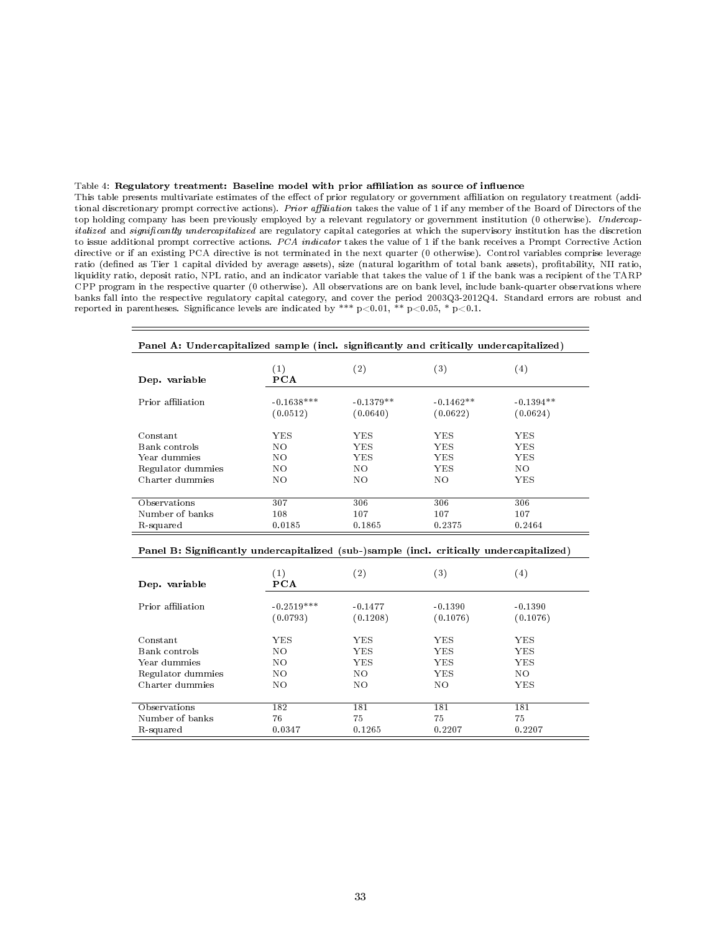#### Table 4: Regulatory treatment: Baseline model with prior affiliation as source of influence

This table presents multivariate estimates of the effect of prior regulatory or government affiliation on regulatory treatment (additional discretionary prompt corrective actions). Prior affiliation takes the value of 1 if any member of the Board of Directors of the top holding company has been previously employed by a relevant regulatory or government institution (0 otherwise). Undercapitalized and significantly undercapitalized are regulatory capital categories at which the supervisory institution has the discretion to issue additional prompt corrective actions. PCA indicator takes the value of 1 if the bank receives a Prompt Corrective Action directive or if an existing PCA directive is not terminated in the next quarter (0 otherwise). Control variables comprise leverage ratio (defined as Tier 1 capital divided by average assets), size (natural logarithm of total bank assets), profitability, NII ratio, liquidity ratio, deposit ratio, NPL ratio, and an indicator variable that takes the value of 1 if the bank was a recipient of the TARP CPP program in the respective quarter (0 otherwise). All observations are on bank level, include bank-quarter observations where banks fall into the respective regulatory capital category, and cover the period 2003Q3-2012Q4. Standard errors are robust and reported in parentheses. Significance levels are indicated by \*\*\*  $p<0.01$ , \*\*  $p<0.05$ , \*  $p<0.1$ .

| Panel A: Undercapitalized sample (incl. significantly and critically undercapitalized) |              |                   |             |                   |
|----------------------------------------------------------------------------------------|--------------|-------------------|-------------|-------------------|
| Dep. variable                                                                          | (1)<br>PCA   | $\left( 2\right)$ | (3)         | $\left( 4\right)$ |
| Prior affiliation                                                                      | $-0.1638***$ | $-0.1379**$       | $-0.1462**$ | $-0.1394**$       |
|                                                                                        | (0.0512)     | (0.0640)          | (0.0622)    | (0.0624)          |
| Constant                                                                               | YES          | YES.              | YES         | YES               |
| Bank controls                                                                          | NO.          | YES.              | YES.        | <b>YES</b>        |
| Year dummies                                                                           | NO.          | YES.              | YES         | <b>YES</b>        |
| Regulator dummies                                                                      | NO.          | NO.               | YES         | NO.               |
| Charter dummies                                                                        | NO.          | NO.               | NO.         | YES               |
| Observations                                                                           | 307          | 306               | 306         | 306               |
| Number of banks                                                                        | 108          | 107               | 107         | 107               |
| R-squared                                                                              | 0.0185       | 0.1865            | 0.2375      | 0.2464            |

#### Panel B: Significantly undercapitalized (sub-)sample (incl. critically undercapitalized)

| Dep. variable     | $\left(1\right)$<br><b>PCA</b> | $\left( 2\right)$     | $^{\left( 3\right) }$ | $^{(4)}$              |
|-------------------|--------------------------------|-----------------------|-----------------------|-----------------------|
| Prior affiliation | $-0.2519***$<br>(0.0793)       | $-0.1477$<br>(0.1208) | $-0.1390$<br>(0.1076) | $-0.1390$<br>(0.1076) |
| Constant          | YES                            | YES                   | YES                   | YES                   |
| Bank controls     | NO.                            | YES                   | YES.                  | YES                   |
| Year dummies      | NO.                            | YES                   | YES.                  | YES                   |
| Regulator dummies | NO.                            | NO.                   | <b>YES</b>            | NO.                   |
| Charter dummies   | NO                             | NΟ                    | NΟ                    | YES                   |
|                   |                                |                       |                       |                       |
| Observations      | 182                            | 181                   | 181                   | 181                   |
| Number of banks   | 76                             | 75                    | 75                    | 75                    |
| R-squared         | 0.0347                         | 0.1265                | 0.2207                | 0.2207                |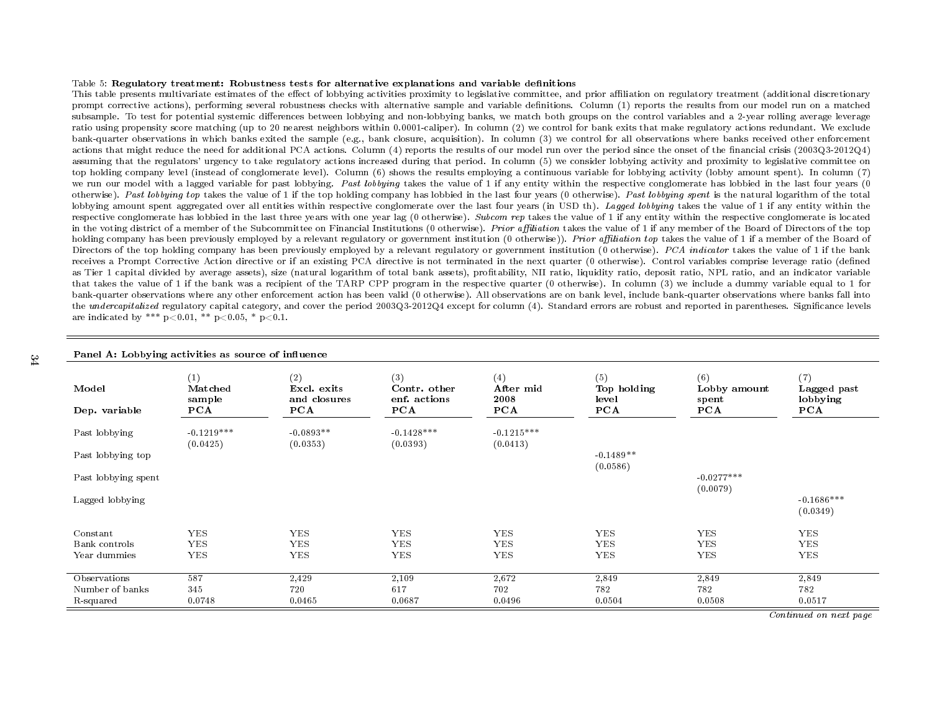#### Table 5:  ${\bf Regulatory treatment:~Robustness~tests~ for~ alternative~ explanations~ and~ variable~ definitions$

34

This table presents multivariate estimates of the effect of lobbying activities proximity to legislative committee, and prior affiliation on regulatory treatment (additional discretionary prompt corrective actions), performing several robustness checks with alternative sample and variable denitions. Column (1) reports the results from our model run on <sup>a</sup> matchedsubsample. To test for potential systemic differences between lobbying and non-lobbying banks, we match both groups on the control variables and a 2-year rolling average leverage ratio using propensity score matching (up to <sup>20</sup> nearest neighbors within 0.0001-caliper). In column (2) we control for bank exits that make regulatory actions redundant. We exclude bank-quarter observations in which banks exited the sample (e.g., bank closure, acquisition). In column (3) we control for all observations where banks received other enforcementactions that might reduce the need for additional PCA actions. Column (4) reports the results of our model run over the period since the onset of the financial crisis (2003Q3-2012Q4) assuming that the regulators' urgency to take regulatory actions increased during that period. In column (5) we consider lobbying activity and proximity to legislative committee on top holding company level (instead of conglomerate level). Column (6) shows the results employing <sup>a</sup> continuous variable for lobbying activity (lobby amount spent). In column (7)we run our model with a lagged variable for past lobbying. *Past lobbying* takes the value of 1 if any entity within the respective conglomerate has lobbied in the last four years (0  $\,$ otherwise). *Past lobbying top* takes the value of 1 if the top holding company has lobbied in the last four years  $(0$  otherwise). *Past lobbying spent* is the natural logarithm of the total lobbying amount spent aggregated over all entities within respective conglomerate over the last four years (in USD th). *Lagged lobbying* takes the value of 1 if any entity within the respective conglomerate has lobbied in the last three years with one year lag (0 otherwise). *Subcom rep* takes the value of 1 if any entity within the respective conglomerate is located in the voting district of a member of the Subcommittee on Financial Institutions (0 otherwise). *Prior affiliation* takes the value of 1 if any member of the Board of Directors of the top holding company has been previously employed by a relevant regulatory or government institution (0 otherwise)). *Prior affiliation top* takes the value of 1 if a member of the Board of Directors of the top holding company has been previously employed by a relevant regulatory or government institution (0 otherwise). *PCA indicator* takes the value of 1 if the bank receives <sup>a</sup> Prompt Corrective Action directive or if an existing PCA directive is not terminated in the next quarter (0 otherwise). Control variables comprise leverage ratio (denedas Tier 1 capital divided by average assets), size (natural logarithm of total bank assets), profitability, NII ratio, liquidity ratio, deposit ratio, NPL ratio, and an indicator variable that takes the value of <sup>1</sup> if the bank was <sup>a</sup> recipient of the TARP CPP program in the respective quarter (0 otherwise). In column (3) we include <sup>a</sup> dummy variable equal to <sup>1</sup> for bank-quarter observations where any other enforcement action has been valid (0 otherwise). All observations are on bank level, include bank-quarter observations where banks fall intothe *undercapitalized* regulatory capital category, and cover the period 2003Q3-2012Q4 except for column (4). Standard errors are robust and reported in parentheses. Significance levels are indicated by \*\*\*  $p<0.01$ , \*\*  $p<0.05$ , \*  $p<0.1$ .

| Panel A: Lobbying activities as source of influence |                                 |                                           |                                            |                                 |                                    |                                     |                                       |
|-----------------------------------------------------|---------------------------------|-------------------------------------------|--------------------------------------------|---------------------------------|------------------------------------|-------------------------------------|---------------------------------------|
| Model<br>Dep. variable                              | (1)<br>Matched<br>sample<br>PCA | (2)<br>Excl. exits<br>and closures<br>PCA | (3)<br>Contr. other<br>enf. actions<br>PCA | (4)<br>After mid<br>2008<br>PCA | (5)<br>Top holding<br>level<br>PCA | (6)<br>Lobby amount<br>spent<br>PCA | (7)<br>Lagged past<br>lobbying<br>PCA |
| Past lobbying                                       | $-0.1219***$<br>(0.0425)        | $-0.0893**$<br>(0.0353)                   | $-0.1428***$<br>(0.0393)                   | $-0.1215***$<br>(0.0413)        |                                    |                                     |                                       |
| Past lobbying top                                   |                                 |                                           |                                            |                                 | $-0.1489**$<br>(0.0586)            |                                     |                                       |
| Past lobbying spent                                 |                                 |                                           |                                            |                                 |                                    | $-0.0277***$<br>(0.0079)            |                                       |
| Lagged lobbying                                     |                                 |                                           |                                            |                                 |                                    |                                     | $-0.1686***$<br>(0.0349)              |
| Constant                                            | <b>YES</b>                      | <b>YES</b>                                | <b>YES</b>                                 | <b>YES</b>                      | <b>YES</b>                         | <b>YES</b>                          | <b>YES</b>                            |
| Bank controls                                       | ${\rm YES}$                     | <b>YES</b>                                | <b>YES</b>                                 | ${\rm YES}$                     | <b>YES</b>                         | <b>YES</b>                          | <b>YES</b>                            |
| Year dummies                                        | <b>YES</b>                      | <b>YES</b>                                | <b>YES</b>                                 | <b>YES</b>                      | <b>YES</b>                         | <b>YES</b>                          | <b>YES</b>                            |
| Observations                                        | 587                             | 2,429                                     | 2,109                                      | 2,672                           | 2,849                              | 2,849                               | 2,849                                 |
| Number of banks                                     | 345                             | 720                                       | 617                                        | 702                             | 782                                | 782                                 | 782                                   |
| R-squared                                           | 0.0748                          | 0.0465                                    | 0.0687                                     | 0.0496                          | 0.0504                             | 0.0508                              | 0.0517                                |

Continued on next page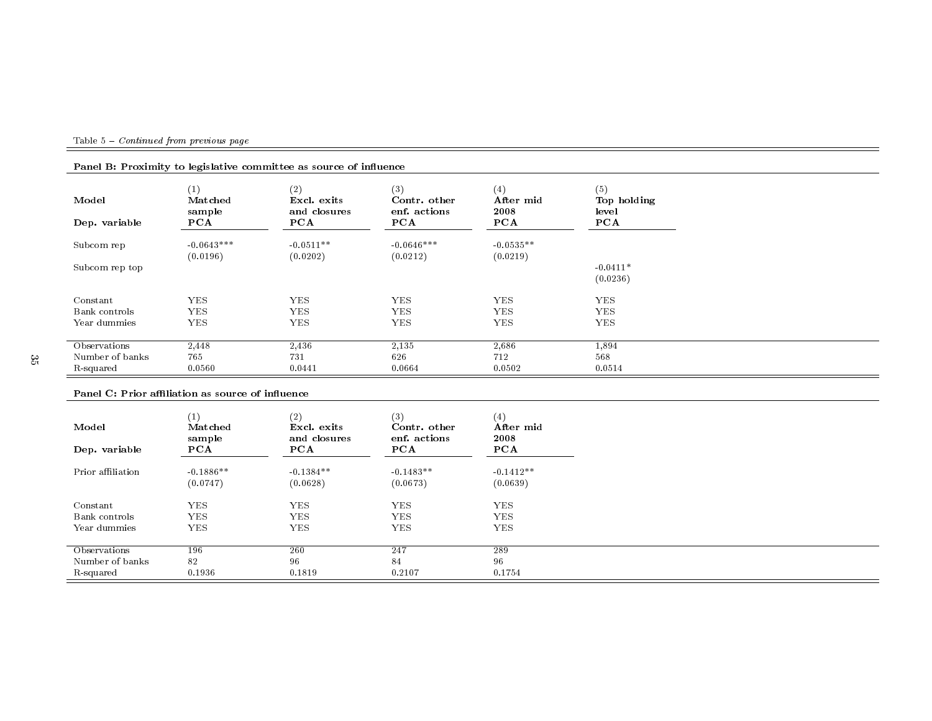|  | Table 5 – <i>Continued from previous page</i> |  |  |
|--|-----------------------------------------------|--|--|
|  |                                               |  |  |

| Model<br>Dep. variable        | $\left(1\right)$<br>Matched<br>sample<br>PCA | (2)<br>Excl. exits<br>and closures<br>PCA | (3)<br>Contr. other<br>enf. actions<br>PCA | (4)<br>After mid<br>2008<br>PCA | (5)<br>Top holding<br>level<br>PCA |
|-------------------------------|----------------------------------------------|-------------------------------------------|--------------------------------------------|---------------------------------|------------------------------------|
| Subcom rep                    | $-0.0643***$<br>(0.0196)                     | $-0.0511**$<br>(0.0202)                   | $-0.0646***$<br>(0.0212)                   | $-0.0535**$<br>(0.0219)         |                                    |
| Subcom rep top                |                                              |                                           |                                            |                                 | $-0.0411*$<br>(0.0236)             |
| Constant                      | <b>YES</b>                                   | YES.                                      | <b>YES</b>                                 | <b>YES</b>                      | <b>YES</b>                         |
| Bank controls<br>Year dummies | <b>YES</b><br><b>YES</b>                     | <b>YES</b><br><b>YES</b>                  | <b>YES</b><br><b>YES</b>                   | <b>YES</b><br><b>YES</b>        | <b>YES</b><br><b>YES</b>           |
|                               |                                              |                                           |                                            |                                 |                                    |
| Observations                  | 2,448                                        | 2,436                                     | 2,135                                      | 2,686                           | 1,894                              |
| Number of banks               | 765                                          | 731                                       | 626                                        | 712                             | 568                                |
| R-squared                     | 0.0560                                       | 0.0441                                    | 0.0664                                     | 0.0502                          | 0.0514                             |

# Panel B: Proximity to legislative committee as source of influence

#### Panel C: Prior affiliation as source of influence

| Model<br>Dep. variable | (1)<br>Matched<br>sample<br>PCA | (2)<br>Excl. exits<br>and closures<br>PCA | (3)<br>Contr. other<br>enf. actions<br>PCA | (4)<br>After mid<br>2008<br>PCA |
|------------------------|---------------------------------|-------------------------------------------|--------------------------------------------|---------------------------------|
| Prior affiliation      | $-0.1886**$<br>(0.0747)         | $-0.1384**$<br>(0.0628)                   | $-0.1483**$<br>(0.0673)                    | $-0.1412**$<br>(0.0639)         |
| Constant               | <b>YES</b>                      | YES.                                      | <b>YES</b>                                 | <b>YES</b>                      |
| Bank controls          | <b>YES</b>                      | <b>YES</b>                                | <b>YES</b>                                 | <b>YES</b>                      |
| Year dummies           | <b>YES</b>                      | <b>YES</b>                                | <b>YES</b>                                 | <b>YES</b>                      |
| Observations           | 196                             | 260                                       | 247                                        | 289                             |
| Number of banks        | 82                              | 96                                        | 84                                         | 96                              |
| R-squared              | 0.1936                          | 0.1819                                    | 0.2107                                     | 0.1754                          |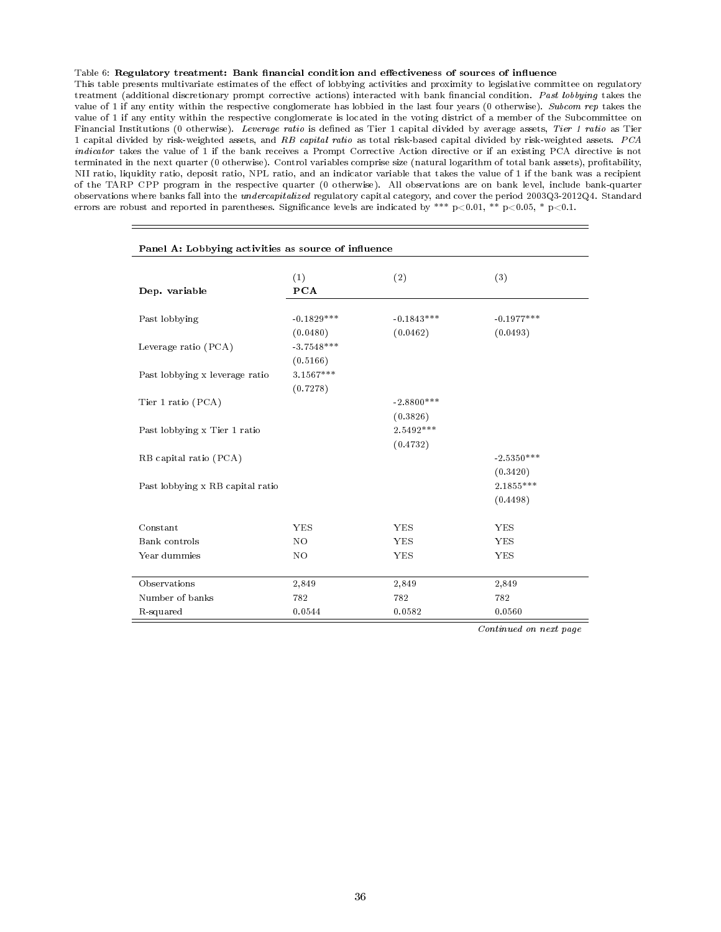#### Table 6: Regulatory treatment: Bank financial condition and effectiveness of sources of influence

This table presents multivariate estimates of the effect of lobbying activities and proximity to legislative committee on regulatory treatment (additional discretionary prompt corrective actions) interacted with bank financial condition. Past lobbying takes the value of 1 if any entity within the respective conglomerate has lobbied in the last four years (0 otherwise). Subcom rep takes the value of 1 if any entity within the respective conglomerate is located in the voting district of a member of the Subcommittee on Financial Institutions (0 otherwise). Leverage ratio is defined as Tier 1 capital divided by average assets, Tier 1 ratio as Tier 1 capital divided by risk-weighted assets, and RB capital ratio as total risk-based capital divided by risk-weighted assets. PCA indicator takes the value of 1 if the bank receives a Prompt Corrective Action directive or if an existing PCA directive is not terminated in the next quarter (0 otherwise). Control variables comprise size (natural logarithm of total bank assets), protability, NII ratio, liquidity ratio, deposit ratio, NPL ratio, and an indicator variable that takes the value of 1 if the bank was a recipient of the TARP CPP program in the respective quarter (0 otherwise). All observations are on bank level, include bank-quarter observations where banks fall into the undercapitalized regulatory capital category, and cover the period 2003Q3-2012Q4. Standard errors are robust and reported in parentheses. Significance levels are indicated by \*\*\* p<0.01, \*\* p<0.05, \* p<0.1.

| Panel A: Lobbying activities as source of influence |                          |                          |                          |  |
|-----------------------------------------------------|--------------------------|--------------------------|--------------------------|--|
| Dep. variable                                       | (1)<br><b>PCA</b>        | (2)                      | (3)                      |  |
| Past lobbying                                       | $-0.1829***$<br>(0.0480) | $-0.1843***$<br>(0.0462) | $-0.1977***$<br>(0.0493) |  |
| Leverage ratio (PCA)                                | $-3.7548***$<br>(0.5166) |                          |                          |  |
| Past lobbying x leverage ratio                      | 3.1567***<br>(0.7278)    |                          |                          |  |
| Tier 1 ratio (PCA)                                  |                          | $-2.8800***$<br>(0.3826) |                          |  |
| Past lobbying x Tier 1 ratio                        |                          | 2.5492***<br>(0.4732)    |                          |  |
| RB capital ratio (PCA)                              |                          |                          | $-2.5350***$<br>(0.3420) |  |
| Past lobbying x RB capital ratio                    |                          |                          | $2.1855***$<br>(0.4498)  |  |
| Constant                                            | <b>YES</b>               | <b>YES</b>               | <b>YES</b>               |  |
| Bank controls                                       | NO                       | <b>YES</b>               | <b>YES</b>               |  |
| Year dummies                                        | NO.                      | <b>YES</b>               | YES                      |  |
| Observations                                        | 2,849                    | 2,849                    | 2,849                    |  |
| Number of banks                                     | 782                      | 782                      | 782                      |  |
| R-squared                                           | 0.0544                   | 0.0582                   | 0.0560                   |  |

Continued on next page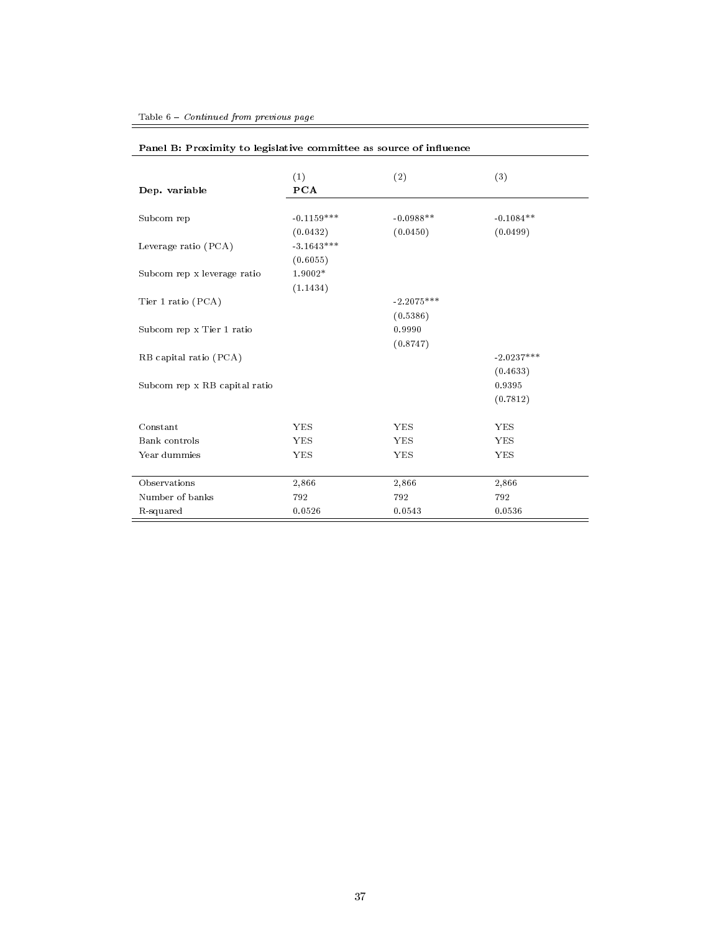|                               | (1)          | (2)          | (3)          |
|-------------------------------|--------------|--------------|--------------|
| Dep. variable                 | <b>PCA</b>   |              |              |
| Subcom rep                    | $-0.1159***$ | $-0.0988**$  | $-0.1084**$  |
|                               | (0.0432)     | (0.0450)     | (0.0499)     |
| Leverage ratio (PCA)          | $-3.1643***$ |              |              |
|                               | (0.6055)     |              |              |
| Subcom rep x leverage ratio   | 1.9002*      |              |              |
|                               | (1.1434)     |              |              |
| Tier 1 ratio (PCA)            |              | $-2.2075***$ |              |
|                               |              | (0.5386)     |              |
| Subcom rep x Tier 1 ratio     |              | 0.9990       |              |
|                               |              | (0.8747)     |              |
| RB capital ratio (PCA)        |              |              | $-2.0237***$ |
|                               |              |              | (0.4633)     |
| Subcom rep x RB capital ratio |              |              | 0.9395       |
|                               |              |              | (0.7812)     |
| Constant                      | <b>YES</b>   | <b>YES</b>   | <b>YES</b>   |
| Bank controls                 | <b>YES</b>   | <b>YES</b>   | <b>YES</b>   |
| Year dummies                  | <b>YES</b>   | <b>YES</b>   | <b>YES</b>   |
| Observations                  | 2,866        | 2,866        | 2,866        |
| Number of banks               | 792          | 792          | 792          |
| R-squared                     | 0.0526       | 0.0543       | 0.0536       |

 $=$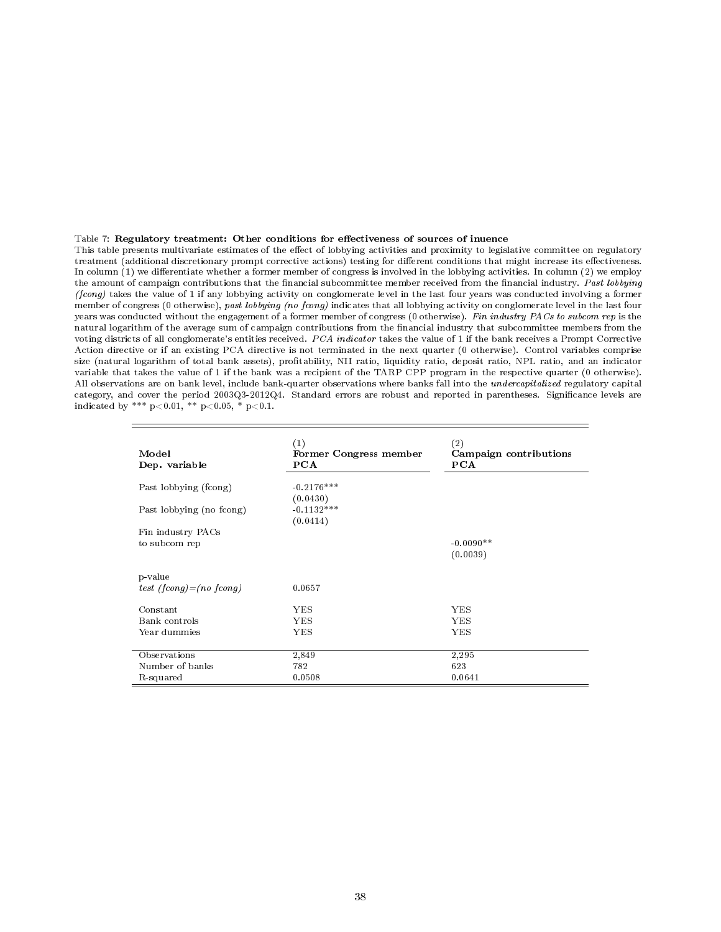#### Table 7: Regulatory treatment: Other conditions for effectiveness of sources of inuence

This table presents multivariate estimates of the effect of lobbying activities and proximity to legislative committee on regulatory treatment (additional discretionary prompt corrective actions) testing for different conditions that might increase its effectiveness. In column (1) we differentiate whether a former member of congress is involved in the lobbying activities. In column (2) we employ the amount of campaign contributions that the financial subcommittee member received from the financial industry. Past lobbying (fcong) takes the value of 1 if any lobbying activity on conglomerate level in the last four years was conducted involving a former member of congress (0 otherwise), past lobbying (no fcong) indicates that all lobbying activity on conglomerate level in the last four years was conducted without the engagement of a former member of congress (0 otherwise). Fin industry PACs to subcom rep is the natural logarithm of the average sum of campaign contributions from the financial industry that subcommittee members from the voting districts of all conglomerate's entities received. PCA indicator takes the value of 1 if the bank receives a Prompt Corrective Action directive or if an existing PCA directive is not terminated in the next quarter (0 otherwise). Control variables comprise size (natural logarithm of total bank assets), profitability, NII ratio, liquidity ratio, deposit ratio, NPL ratio, and an indicator variable that takes the value of 1 if the bank was a recipient of the TARP CPP program in the respective quarter (0 otherwise). All observations are on bank level, include bank-quarter observations where banks fall into the *undercapitalized* regulatory capital category, and cover the period 2003Q3-2012Q4. Standard errors are robust and reported in parentheses. Significance levels are indicated by \*\*\*  $p<0.01$ , \*\*  $p<0.05$ , \*  $p<0.1$ .

| Model<br>Dep. variable    | (1)<br>Former Congress member<br>PCA | $^{\left( 2\right) }$<br>Campaign contributions<br><b>PCA</b> |
|---------------------------|--------------------------------------|---------------------------------------------------------------|
| Past lobbying (fcong)     | $-0.2176***$<br>(0.0430)             |                                                               |
| Past lobbying (no fcong)  | $-0.1132***$<br>(0.0414)             |                                                               |
| Fin industry PACs         |                                      |                                                               |
| to subcom rep             |                                      | $-0.0090**$                                                   |
|                           |                                      | (0.0039)                                                      |
|                           |                                      |                                                               |
| p-value                   |                                      |                                                               |
| test (fconq) = (no fconq) | 0.0657                               |                                                               |
|                           |                                      |                                                               |
| Constant                  | <b>YES</b>                           | <b>YES</b>                                                    |
| Bank controls             | YES                                  | YES                                                           |
| Year dummies              | YES                                  | YES                                                           |
|                           |                                      |                                                               |
| Observations              | 2,849                                | 2,295                                                         |
| Number of banks           | 782                                  | 623                                                           |
| R-squared                 | 0.0508                               | 0.0641                                                        |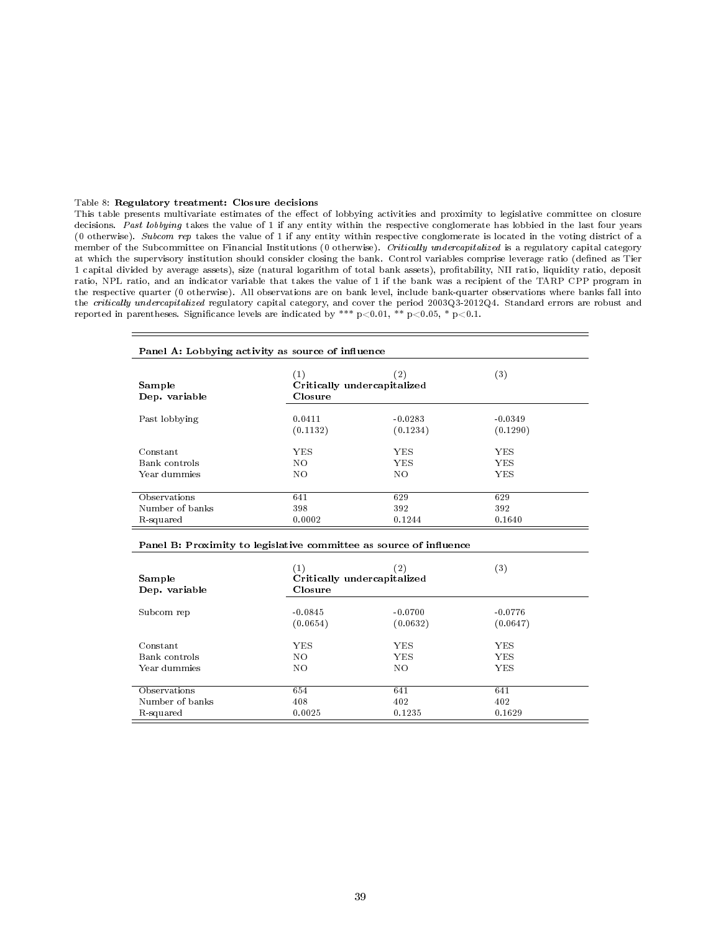#### Table 8: Regulatory treatment: Closure decisions

This table presents multivariate estimates of the effect of lobbying activities and proximity to legislative committee on closure decisions. Past lobbying takes the value of 1 if any entity within the respective conglomerate has lobbied in the last four years (0 otherwise). Subcom rep takes the value of 1 if any entity within respective conglomerate is located in the voting district of a member of the Subcommittee on Financial Institutions (0 otherwise). Critically undercapitalized is a regulatory capital category at which the supervisory institution should consider closing the bank. Control variables comprise leverage ratio (dened as Tier 1 capital divided by average assets), size (natural logarithm of total bank assets), protability, NII ratio, liquidity ratio, deposit ratio, NPL ratio, and an indicator variable that takes the value of 1 if the bank was a recipient of the TARP CPP program in the respective quarter (0 otherwise). All observations are on bank level, include bank-quarter observations where banks fall into the critically undercapitalized regulatory capital category, and cover the period 2003Q3-2012Q4. Standard errors are robust and reported in parentheses. Significance levels are indicated by \*\*\*  $p<0.01$ , \*\*  $p<0.05$ , \*  $p<0.1$ .

| Panel A: Lobbying activity as source of influence |                                               |                       |                       |  |
|---------------------------------------------------|-----------------------------------------------|-----------------------|-----------------------|--|
| Sample<br>Dep. variable                           | (1)<br>Critically undercapitalized<br>Closure | $\left( 2\right)$     | $^{\left( 3\right) }$ |  |
| Past lobbying                                     | 0.0411<br>(0.1132)                            | $-0.0283$<br>(0.1234) | $-0.0349$<br>(0.1290) |  |
| Constant                                          | <b>YES</b>                                    | <b>YES</b>            | YES.                  |  |
| Bank controls                                     | NO.                                           | <b>YES</b>            | YES.                  |  |
| Year dummies                                      | NO                                            | NO.                   | <b>YES</b>            |  |
|                                                   |                                               |                       |                       |  |
| Observations                                      | 641                                           | 629                   | 629                   |  |
| Number of banks                                   | 398                                           | 392                   | 392                   |  |
| R-squared                                         | 0.0002                                        | 0.1244                | 0.1640                |  |

| Sample<br>Dep. variable | $\left( 1\right)$<br>Critically undercapitalized<br>Closure | $^{(2)}$   | $\left( 3\right)$ |
|-------------------------|-------------------------------------------------------------|------------|-------------------|
| Subcom rep              | $-0.0845$                                                   | $-0.0700$  | $-0.0776$         |
|                         | (0.0654)                                                    | (0.0632)   | (0.0647)          |
| Constant                | YES.                                                        | YES        | YES.              |
| Bank controls           | NO.                                                         | <b>YES</b> | <b>YES</b>        |
| Year dummies            | NO.                                                         | NO.        | YES.              |
| Observations            | 654                                                         | 641        | 641               |
| Number of banks         | 408                                                         | 402        | 402               |
| R-squared               | 0.0025                                                      | 0.1235     | 0.1629            |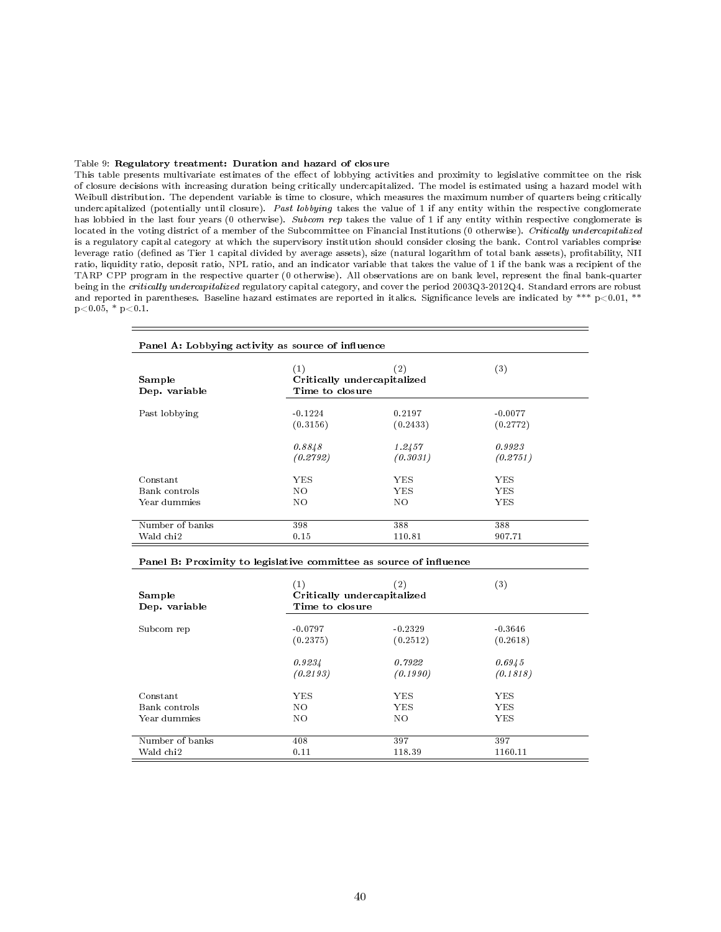#### Table 9: Regulatory treatment: Duration and hazard of closure

This table presents multivariate estimates of the effect of lobbying activities and proximity to legislative committee on the risk of closure decisions with increasing duration being critically undercapitalized. The model is estimated using a hazard model with Weibull distribution. The dependent variable is time to closure, which measures the maximum number of quarters being critically undercapitalized (potentially until closure). Past lobbying takes the value of 1 if any entity within the respective conglomerate has lobbied in the last four years (0 otherwise). Subcom rep takes the value of 1 if any entity within respective conglomerate is located in the voting district of a member of the Subcommittee on Financial Institutions (0 otherwise). Critically undercapitalized is a regulatory capital category at which the supervisory institution should consider closing the bank. Control variables comprise leverage ratio (defined as Tier 1 capital divided by average assets), size (natural logarithm of total bank assets), profitability, NII ratio, liquidity ratio, deposit ratio, NPL ratio, and an indicator variable that takes the value of 1 if the bank was a recipient of the TARP CPP program in the respective quarter (0 otherwise). All observations are on bank level, represent the final bank-quarter being in the critically undercapitalized regulatory capital category, and cover the period 2003Q3-2012Q4. Standard errors are robust and reported in parentheses. Baseline hazard estimates are reported in italics. Significance levels are indicated by \*\*\*  $p<0.01$ , \*\*  $p<0.05$ , \*  $p<0.1$ .

| Panel A: Lobbying activity as source of influence |                                                       |                    |                            |  |
|---------------------------------------------------|-------------------------------------------------------|--------------------|----------------------------|--|
| Sample<br>Dep. variable                           | (1)<br>Critically undercapitalized<br>Time to closure | $\left( 2\right)$  | (3)                        |  |
| Past lobbying                                     | $-0.1224$<br>(0.3156)                                 | 0.2197<br>(0.2433) | $-0.0077$<br>(0.2772)      |  |
|                                                   | 0.8848<br>(0.2792)                                    | 1.2457<br>(0.3031) | 0.9923<br>(0.2751)         |  |
| Constant<br>Bank controls<br>Year dummies         | YES.<br>NO.<br>NO.                                    | YES.<br>YES<br>NO. | YES.<br>YES.<br><b>YES</b> |  |
| Number of banks<br>Wald chi2                      | 398<br>0.15                                           | 388<br>110.81      | 388<br>907.71              |  |

| Sample<br>Dep. variable | (1)<br>Critically undercapitalized<br>Time to closure | $\left( 2\right)$ | $^{\left( 3\right) }$ |
|-------------------------|-------------------------------------------------------|-------------------|-----------------------|
| Subcom rep              | $-0.0797$                                             | $-0.2329$         | $-0.3646$             |
|                         | (0.2375)                                              | (0.2512)          | (0.2618)              |
|                         | 0.9234                                                | 0.7922            | 0.6945                |
|                         | (0.2193)                                              | (0.1990)          | (0.1818)              |
| Constant                | YES.                                                  | <b>YES</b>        | <b>YES</b>            |
| Bank controls           | NO.                                                   | <b>YES</b>        | <b>YES</b>            |
| Year dummies            | NO.                                                   | NO.               | <b>YES</b>            |
| Number of banks         | 408                                                   | 397               | 397                   |
| Wald chi2               | 0.11                                                  | 118.39            | 1160.11               |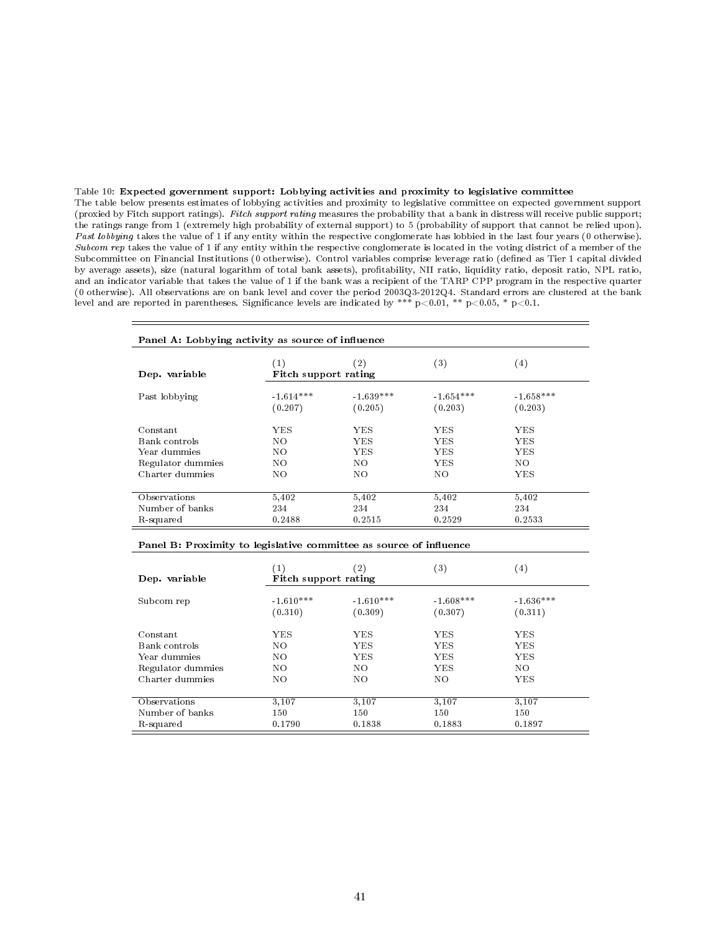#### Table 10: Expected government support: Lobbying activities and proximity to legislative committee

The table below presents estimates of lobbying activities and proximity to legislative committee on expected government support (proxied by Fitch support ratings). Fitch support rating measures the probability that a bank in distress will receive public support; the ratings range from 1 (extremely high probability of external support) to 5 (probability of support that cannot be relied upon). Past lobbying takes the value of 1 if any entity within the respective conglomerate has lobbied in the last four years (0 otherwise). Subcom rep takes the value of 1 if any entity within the respective conglomerate is located in the voting district of a member of the Subcommittee on Financial Institutions (0 otherwise). Control variables comprise leverage ratio (defined as Tier 1 capital divided by average assets), size (natural logarithm of total bank assets), profitability, NII ratio, liquidity ratio, deposit ratio, NPL ratio, and an indicator variable that takes the value of 1 if the bank was a recipient of the TARP CPP program in the respective quarter (0 otherwise). All observations are on bank level and cover the period 2003Q3-2012Q4. Standard errors are clustered at the bank level and are reported in parentheses. Significance levels are indicated by \*\*\*  $p<0.01$ , \*\*  $p<0.05$ , \*  $p<0.1$ .

| Panel A: Lobbying activity as source of influence |                             |             |             |                   |
|---------------------------------------------------|-----------------------------|-------------|-------------|-------------------|
| Dep. variable                                     | (1)<br>Fitch support rating | $^{'}2$     | (3)         | $\left( 4\right)$ |
| Past lobbying                                     | $-1.614***$                 | $-1.639***$ | $-1.654***$ | $-1.658***$       |
|                                                   | (0.207)                     | (0.205)     | (0.203)     | (0.203)           |
| Constant                                          | YES                         | YES.        | YES         | YES.              |
| Bank controls                                     | NO                          | YES.        | YES         | YES.              |
| Year dummies                                      | NO.                         | YES.        | YES         | YES.              |
| Regulator dummies                                 | NO.                         | NO.         | YES         | NO.               |
| Charter dummies                                   | NO.                         | NO.         | NO.         | YES.              |
| Observations                                      | 5,402                       | 5,402       | 5,402       | 5,402             |
| Number of banks                                   | 234                         | 234         | 234         | 234               |
| R-squared                                         | 0.2488                      | 0.2515      | 0.2529      | 0.2533            |

| Dep. variable     | (1)<br>Fitch support rating | (2)         | $^{\left( 3\right) }$ | $\left( 4\right)$ |
|-------------------|-----------------------------|-------------|-----------------------|-------------------|
| Subcom rep        | $-1.610***$                 | $-1.610***$ | $-1.608***$           | $-1.636***$       |
|                   | (0.310)                     | (0.309)     | (0.307)               | (0.311)           |
| Constant          | YES                         | YES.        | YES                   | YES               |
| Bank controls     | NO                          | <b>YES</b>  | <b>YES</b>            | YES.              |
| Year dummies      | NO.                         | <b>YES</b>  | YES                   | <b>YES</b>        |
| Regulator dummies | NO                          | NO          | YES                   | NO                |
| Charter dummies   | NO                          | NO          | NO                    | YES               |
| Observations      | 3,107                       | 3,107       | 3,107                 | 3,107             |
| Number of banks   | 150                         | 150         | 150                   | 150               |
| R-squared         | 0.1790                      | 0.1838      | 0.1883                | 0.1897            |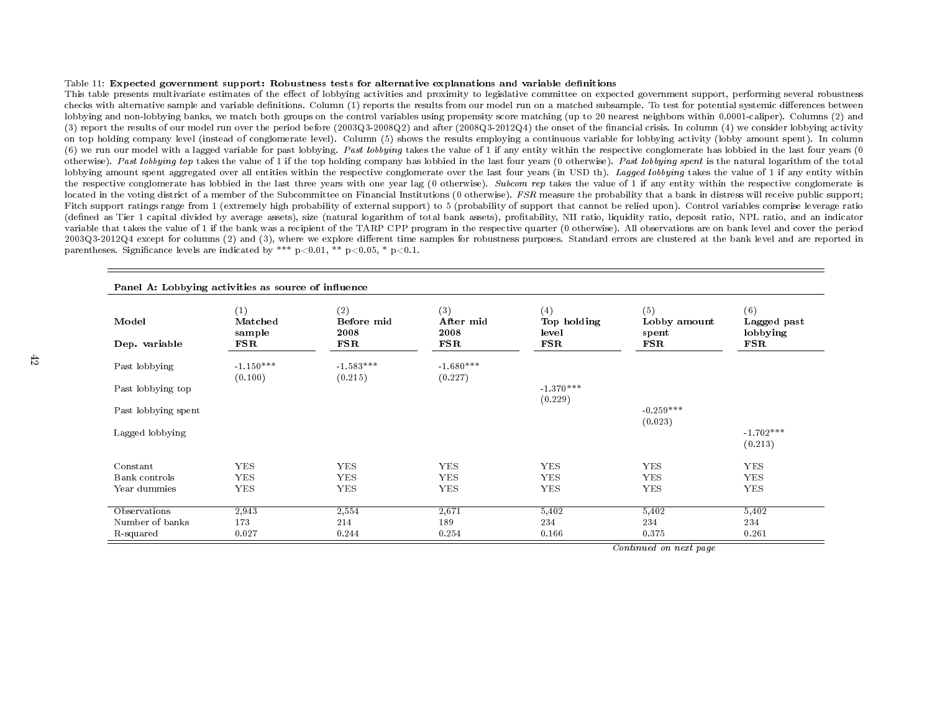#### Table 11: Expected governmen<sup>t</sup> support: Robustness tests for alternative explanations and variable denitions

This table presents multivariate estimates of the effect of lobbying activities and proximity to legislative committee on expected government support, performing several robustness checks with alternative sample and variable definitions. Column (1) reports the results from our model run on a matched subsample. To test for potential systemic differences between lobbying and non-lobbying banks, we match both groups on the control variables using propensity score matching (up to <sup>20</sup> nearest neighbors within 0.0001-caliper). Columns (2) and(3) report the results of our model run over the period before (2003Q3-2008Q2) and after (2008Q3-2012Q4) the onset of the financial crisis. In column (4) we consider lobbying activity on top holding company level (instead of conglomerate level). Column (5) shows the results employing <sup>a</sup> continuous variable for lobbying activity (lobby amount spent). In column(6) we run our model with a lagged variable for past lobbying. *Past lobbying* takes the value of 1 if any entity within the respective conglomerate has lobbied in the last four years (0 otherwise). *Past lobbying top* takes the value of 1 if the top holding company has lobbied in the last four years  $(0$  otherwise). *Past lobbying spent* is the natural logarithm of the total lobbying amount spent aggregated over all entities within the respective conglomerate over the last four years (in USD th). *Lagged lobbying* takes the value of 1 if any entity within the respective conglomerate has lobbied in the last three years with one year lag (0 otherwise). Subcom rep takes the value of 1 if any entity within the respective conglomerate is located in the voting district of a member of the Subcommittee on Financial Institutions (0 otherwise). FSR measure the probability that a bank in distress will receive public support;<br>Eith support public support in the co Fitch support ratings range from 1 (extremely high probability of external support) to 5 (probability of support that cannot be relied upon). Control variables comprise leverage ratio (defined as Tier 1 capital divided by average assets), size (natural logarithm of total bank assets), profitability, NII ratio, liquidity ratio, deposit ratio, NPL ratio, and an indicator variable that takes the value of <sup>1</sup> if the bank was <sup>a</sup> recipient of the TARP CPP program in the respective quarter (0 otherwise). All observations are on bank level and cover the period2003Q3-2012Q4 except for columns (2) and (3), where we explore different time samples for robustness purposes. Standard errors are clustered at the bank level and are reported in parentheses. Significance levels are indicated by \*\*\*  $p<0.01$ , \*\*  $p<0.05$ , \*  $p<0.1$ .

| Model<br>Dep. variable | (1)<br>Matched<br>sample<br>$_{\rm FSR}$ | (2)<br>Before mid<br>2008<br>$_{\rm FSR}$ | (3)<br>After mid<br>2008<br>$_{\rm FSR}$ | (4)<br>Top holding<br>level<br>$_{\rm{FSR}}$ | (5)<br>Lobby amount<br>spent<br>$_{\rm FSR}$ | (6)<br>Lagged past<br>lobbying<br>$_{\rm FSR}$ |
|------------------------|------------------------------------------|-------------------------------------------|------------------------------------------|----------------------------------------------|----------------------------------------------|------------------------------------------------|
| Past lobbying          | $-1.150***$<br>(0.100)                   | $-1.583***$<br>(0.215)                    | $-1.680***$<br>(0.227)                   |                                              |                                              |                                                |
| Past lobbying top      |                                          |                                           |                                          | $-1.370***$<br>(0.229)                       |                                              |                                                |
| Past lobbying spent    |                                          |                                           |                                          |                                              | $-0.259***$<br>(0.023)                       |                                                |
| Lagged lobbying        |                                          |                                           |                                          |                                              |                                              | $-1.702***$<br>(0.213)                         |
| Constant               | <b>YES</b>                               | <b>YES</b>                                | <b>YES</b>                               | <b>YES</b>                                   | <b>YES</b>                                   | <b>YES</b>                                     |
| Bank controls          | <b>YES</b>                               | <b>YES</b>                                | <b>YES</b>                               | <b>YES</b>                                   | <b>YES</b>                                   | <b>YES</b>                                     |
| Year dummies           | <b>YES</b>                               | <b>YES</b>                                | <b>YES</b>                               | ${\rm YES}$                                  | <b>YES</b>                                   | <b>YES</b>                                     |
| Observations           | 2,943                                    | 2,554                                     | 2,671                                    | 5,402                                        | 5,402                                        | 5,402                                          |
| Number of banks        | 173                                      | 214                                       | 189                                      | 234                                          | 234                                          | 234                                            |
| R-squared              | 0.027                                    | 0.244                                     | 0.254                                    | 0.166                                        | 0.375                                        | 0.261                                          |

Continued on next page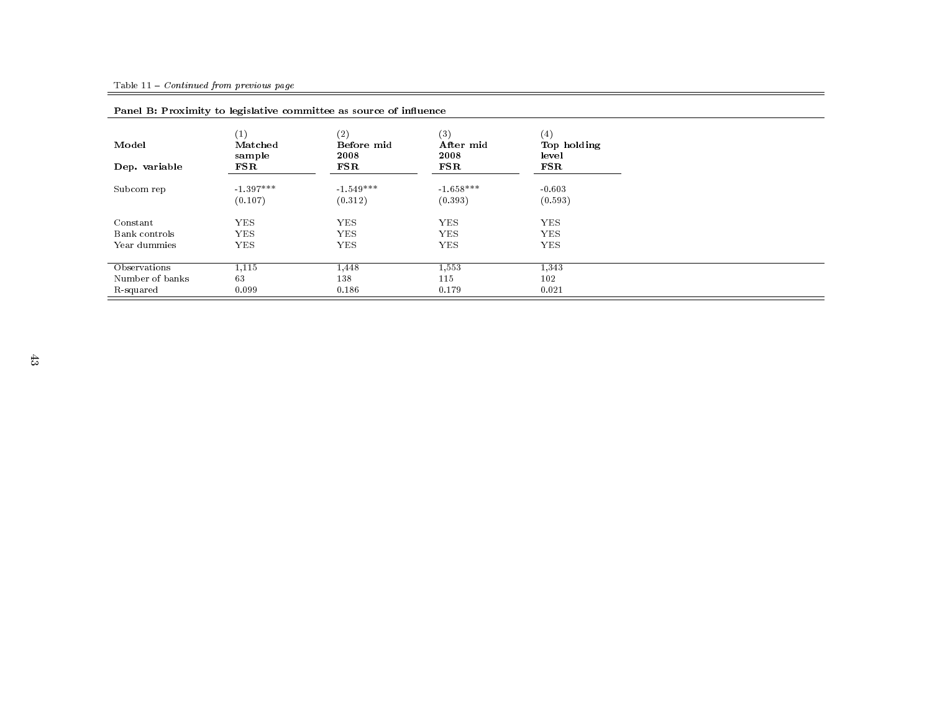| T and D. I realing to registance committeed as source or inflation |                          |                           |                          |                             |  |
|--------------------------------------------------------------------|--------------------------|---------------------------|--------------------------|-----------------------------|--|
| Model                                                              | (1)<br>Matched<br>sample | (2)<br>Before mid<br>2008 | (3)<br>After mid<br>2008 | (4)<br>Top holding<br>level |  |
| Dep. variable                                                      | $_{\rm FSR}$             | $_{\rm FSR}$              | $_{\rm FSR}$             | $_{\rm FSR}$                |  |
| Subcom rep                                                         | $-1.397***$              | $-1.549***$               | $-1.658***$              | $-0.603$                    |  |
|                                                                    | (0.107)                  | (0.312)                   | (0.393)                  | (0.593)                     |  |
| Constant                                                           | <b>YES</b>               | <b>YES</b>                | <b>YES</b>               | <b>YES</b>                  |  |
| Bank controls                                                      | <b>YES</b>               | <b>YES</b>                | <b>YES</b>               | <b>YES</b>                  |  |
| Year dummies                                                       | <b>YES</b>               | <b>YES</b>                | <b>YES</b>               | <b>YES</b>                  |  |
| Observations                                                       | 1,115                    | 1.448                     | 1,553                    | 1,343                       |  |
| Number of banks                                                    | 63                       | 138                       | 115                      | 102                         |  |
| R-squared                                                          | 0.099                    | 0.186                     | 0.179                    | 0.021                       |  |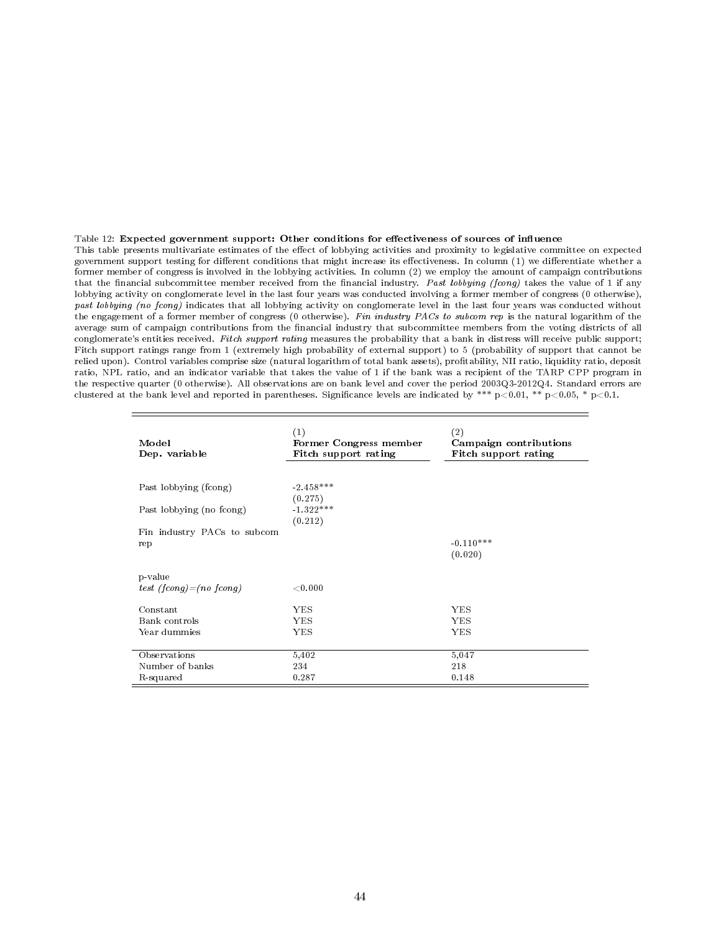#### Table 12: Expected government support: Other conditions for effectiveness of sources of influence

This table presents multivariate estimates of the effect of lobbying activities and proximity to legislative committee on expected government support testing for different conditions that might increase its effectiveness. In column (1) we differentiate whether a former member of congress is involved in the lobbying activities. In column (2) we employ the amount of campaign contributions that the financial subcommittee member received from the financial industry. Past lobbying (fcong) takes the value of 1 if any lobbying activity on conglomerate level in the last four years was conducted involving a former member of congress (0 otherwise), past lobbying (no fcong) indicates that all lobbying activity on conglomerate level in the last four years was conducted without the engagement of a former member of congress (0 otherwise). Fin industry PACs to subcom rep is the natural logarithm of the average sum of campaign contributions from the financial industry that subcommittee members from the voting districts of all conglomerate's entities received. Fitch support rating measures the probability that a bank in distress will receive public support; Fitch support ratings range from 1 (extremely high probability of external support) to 5 (probability of support that cannot be relied upon). Control variables comprise size (natural logarithm of total bank assets), protability, NII ratio, liquidity ratio, deposit ratio, NPL ratio, and an indicator variable that takes the value of 1 if the bank was a recipient of the TARP CPP program in the respective quarter (0 otherwise). All observations are on bank level and cover the period 2003Q3-2012Q4. Standard errors are clustered at the bank level and reported in parentheses. Significance levels are indicated by \*\*\*  $p<0.01$ , \*\*  $p<0.05$ , \*  $p<0.1$ .

| Model<br>Dep. variable      | (1)<br>Former Congress member<br>Fitch support rating | (2)<br>Campaign contributions<br>Fitch support rating |
|-----------------------------|-------------------------------------------------------|-------------------------------------------------------|
| Past lobbying (fcong)       | $-2.458***$<br>(0.275)                                |                                                       |
| Past lobbying (no fcong)    | $-1.322***$<br>(0.212)                                |                                                       |
| Fin industry PACs to subcom |                                                       |                                                       |
| rep                         |                                                       | $-0.110***$                                           |
|                             |                                                       | (0.020)                                               |
|                             |                                                       |                                                       |
| p-value                     |                                                       |                                                       |
| test (fconq) = (no fconq)   | $<$ 0.000                                             |                                                       |
| Constant                    | YES                                                   | <b>YES</b>                                            |
|                             |                                                       |                                                       |
| Bank controls               | <b>YES</b>                                            | YES                                                   |
| Year dummies                | YES                                                   | YES                                                   |
|                             |                                                       |                                                       |
| Observations                | 5,402                                                 | 5,047                                                 |
| Number of banks             | 234                                                   | 218                                                   |
| R-squared                   | 0.287                                                 | 0.148                                                 |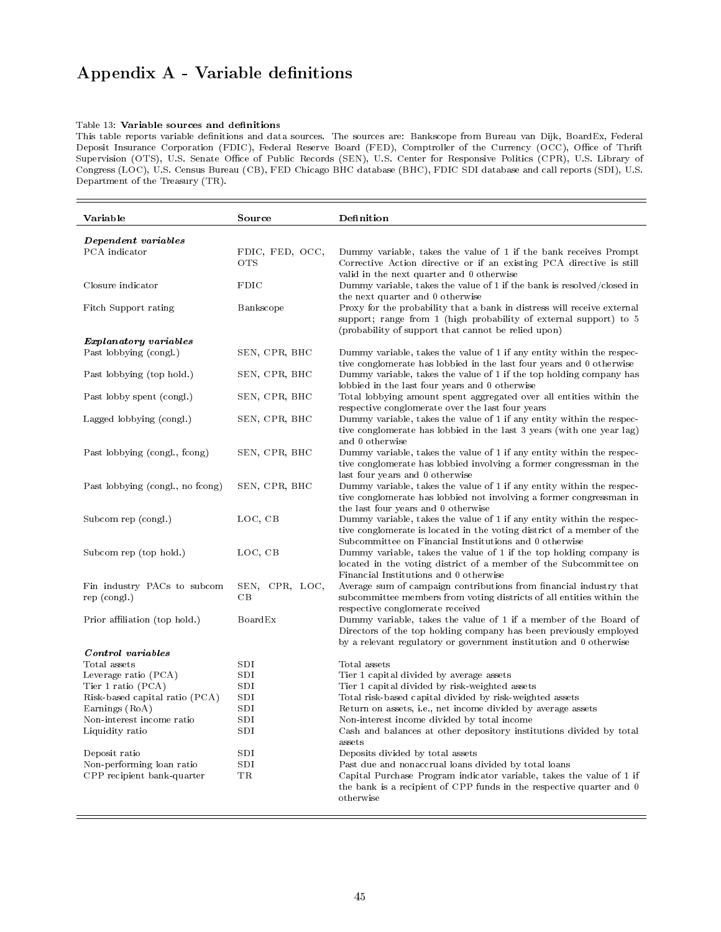# Appendix A - Variable definitions

#### Table 13: Variable sources and definitions

This table reports variable definitions and data sources. The sources are: Bankscope from Bureau van Dijk, BoardEx, Federal Deposit Insurance Corporation (FDIC), Federal Reserve Board (FED), Comptroller of the Currency (OCC), Office of Thrift Supervision (OTS), U.S. Senate Office of Public Records (SEN), U.S. Center for Responsive Politics (CPR), U.S. Library of Congress (LOC), U.S. Census Bureau (CB), FED Chicago BHC database (BHC), FDIC SDI database and call reports (SDI), U.S. Department of the Treasury (TR).

| Variable                                                | Source                        | Definition                                                                                                                                                                                                        |
|---------------------------------------------------------|-------------------------------|-------------------------------------------------------------------------------------------------------------------------------------------------------------------------------------------------------------------|
| Dependent variables                                     |                               |                                                                                                                                                                                                                   |
| PCA indicator                                           | FDIC, FED, OCC,<br><b>OTS</b> | Dummy variable, takes the value of 1 if the bank receives Prompt<br>Corrective Action directive or if an existing PCA directive is still<br>valid in the next quarter and 0 otherwise                             |
| Closure indicator                                       | <b>FDIC</b>                   | Dummy variable, takes the value of 1 if the bank is resolved/closed in<br>the next quarter and 0 otherwise                                                                                                        |
| Fitch Support rating                                    | Bankscope                     | Proxy for the probability that a bank in distress will receive external<br>support; range from 1 (high probability of external support) to 5<br>(probability of support that cannot be relied upon)               |
| <i>Explanatory variables</i>                            |                               |                                                                                                                                                                                                                   |
| Past lobbying (congl.)                                  | SEN, CPR, BHC                 | Dummy variable, takes the value of 1 if any entity within the respec-<br>tive conglomerate has lobbied in the last four years and 0 otherwise                                                                     |
| Past lobbying (top hold.)                               | SEN, CPR, BHC                 | Dummy variable, takes the value of 1 if the top holding company has<br>lobbied in the last four years and 0 otherwise                                                                                             |
| Past lobby spent (congl.)                               | SEN, CPR, BHC                 | Total lobbying amount spent aggregated over all entities within the<br>respective conglomerate over the last four years                                                                                           |
| Lagged lobbying (congl.)                                | SEN, CPR, BHC                 | Dummy variable, takes the value of 1 if any entity within the respec-<br>tive conglomerate has lobbied in the last $3$ years (with one year lag)<br>and 0 otherwise                                               |
| Past lobbying (congl., fcong)                           | SEN, CPR, BHC                 | Dummy variable, takes the value of 1 if any entity within the respec-<br>tive conglomerate has lobbied involving a former congressman in the<br>last four years and 0 otherwise                                   |
| Past lobbying (congl., no fcong)                        | SEN, CPR, BHC                 | Dummy variable, takes the value of 1 if any entity within the respec-<br>tive conglomerate has lobbied not involving a former congressman in<br>the last four years and 0 otherwise                               |
| Subcom rep (congl.)                                     | LOC, CB                       | Dummy variable, takes the value of 1 if any entity within the respec-<br>tive conglomerate is located in the voting district of a member of the<br>Subcommittee on Financial Institutions and 0 otherwise         |
| Subcom rep (top hold.)                                  | LOC, CB                       | Dummy variable, takes the value of 1 if the top holding company is<br>located in the voting district of a member of the Subcommittee on<br>Financial Institutions and 0 otherwise                                 |
| Fin industry PACs to subcom<br>rep (congl.)             | SEN, CPR, LOC,<br>CB          | Average sum of campaign contributions from financial industry that<br>subcommittee members from voting districts of all entities within the<br>respective conglomerate received                                   |
| Prior affiliation (top hold.)                           | <b>BoardEx</b>                | Dummy variable, takes the value of 1 if a member of the Board of<br>Directors of the top holding company has been previously employed<br>by a relevant regulatory or government institution and 0 otherwise       |
| Control variables                                       |                               |                                                                                                                                                                                                                   |
| Total assets                                            | SDI                           | Total assets                                                                                                                                                                                                      |
| Leverage ratio (PCA)                                    | SDI                           | Tier 1 capital divided by average assets                                                                                                                                                                          |
| Tier 1 ratio (PCA)                                      | SDI                           | Tier 1 capital divided by risk-weighted assets                                                                                                                                                                    |
| Risk-based capital ratio (PCA)                          | <b>SDI</b>                    | Total risk-based capital divided by risk-weighted assets                                                                                                                                                          |
| Earnings (RoA)                                          | SDI                           | Return on assets, i.e., net income divided by average assets                                                                                                                                                      |
| Non-interest income ratio                               | SDI                           | Non-interest income divided by total income                                                                                                                                                                       |
| Liquidity ratio                                         | SDI                           | Cash and balances at other depository institutions divided by total<br>assets                                                                                                                                     |
| Deposit ratio                                           | SDI                           | Deposits divided by total assets                                                                                                                                                                                  |
| Non-performing loan ratio<br>CPP recipient bank-quarter | SDI<br>TR                     | Past due and nonaccrual loans divided by total loans<br>Capital Purchase Program indicator variable, takes the value of 1 if<br>the bank is a recipient of CPP funds in the respective quarter and 0<br>otherwise |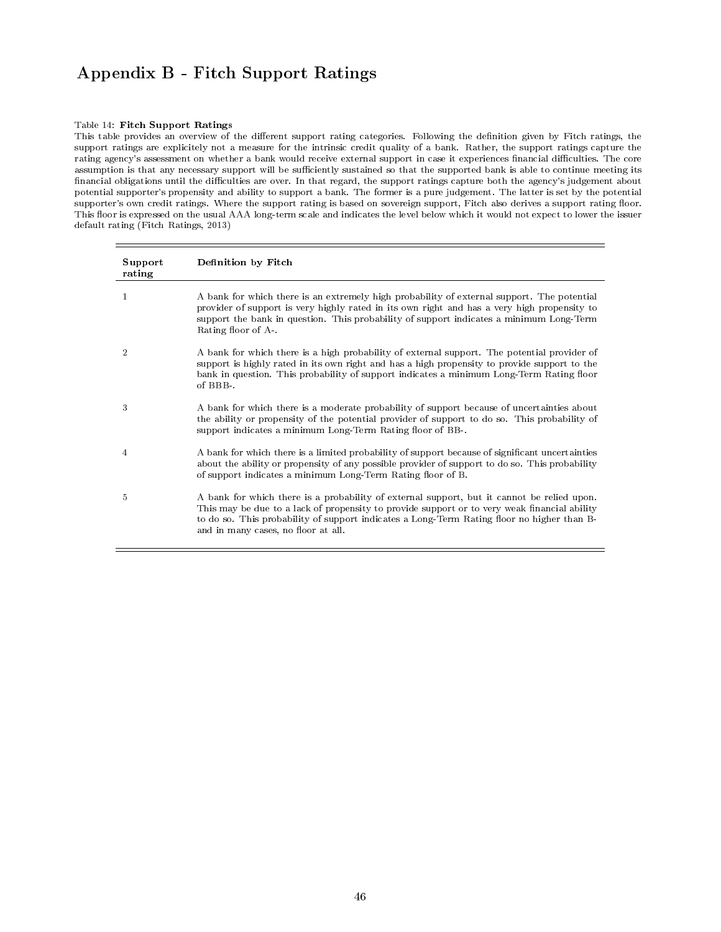# Appendix B - Fitch Support Ratings

#### Table 14: Fitch Support Ratings

This table provides an overview of the different support rating categories. Following the definition given by Fitch ratings, the support ratings are explicitely not a measure for the intrinsic credit quality of a bank. Rather, the support ratings capture the rating agency's assessment on whether a bank would receive external support in case it experiences financial difficulties. The core assumption is that any necessary support will be sufficiently sustained so that the supported bank is able to continue meeting its financial obligations until the difficulties are over. In that regard, the support ratings capture both the agency's judgement about potential supporter's propensity and ability to support a bank. The former is a pure judgement. The latter is set by the potential supporter's own credit ratings. Where the support rating is based on sovereign support, Fitch also derives a support rating floor. This floor is expressed on the usual AAA long-term scale and indicates the level below which it would not expect to lower the issuer default rating (Fitch Ratings, 2013)

| Support<br>rating | Definition by Fitch                                                                                                                                                                                                                                                                                                             |
|-------------------|---------------------------------------------------------------------------------------------------------------------------------------------------------------------------------------------------------------------------------------------------------------------------------------------------------------------------------|
| 1                 | A bank for which there is an extremely high probability of external support. The potential<br>provider of support is very highly rated in its own right and has a very high propensity to<br>support the bank in question. This probability of support indicates a minimum Long-Term<br>Rating floor of A                       |
| $\overline{2}$    | A bank for which there is a high probability of external support. The potential provider of<br>support is highly rated in its own right and has a high propensity to provide support to the<br>bank in question. This probability of support indicates a minimum Long-Term Rating floor<br>of BBB-.                             |
| 3                 | A bank for which there is a moderate probability of support because of uncertainties about<br>the ability or propensity of the potential provider of support to do so. This probability of<br>support indicates a minimum Long-Term Rating floor of BB-                                                                         |
| 4                 | A bank for which there is a limited probability of support because of significant uncertainties<br>about the ability or propensity of any possible provider of support to do so. This probability<br>of support indicates a minimum Long-Term Rating floor of B.                                                                |
| 5                 | A bank for which there is a probability of external support, but it cannot be relied upon.<br>This may be due to a lack of propensity to provide support or to very weak financial ability<br>to do so. This probability of support indicates a Long-Term Rating floor no higher than B-<br>and in many cases, no floor at all. |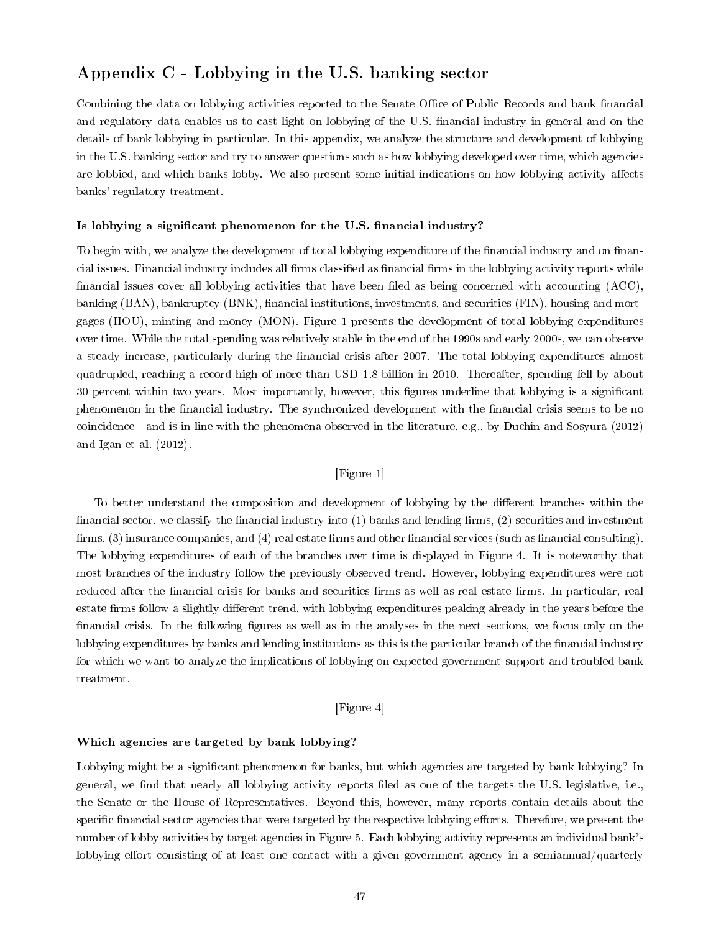# Appendix C - Lobbying in the U.S. banking sector

Combining the data on lobbying activities reported to the Senate Office of Public Records and bank financial and regulatory data enables us to cast light on lobbying of the U.S. financial industry in general and on the details of bank lobbying in particular. In this appendix, we analyze the structure and development of lobbying in the U.S. banking sector and try to answer questions such as how lobbying developed over time, which agencies are lobbied, and which banks lobby. We also present some initial indications on how lobbying activity affects banks' regulatory treatment.

#### Is lobbying a significant phenomenon for the U.S. financial industry?

To begin with, we analyze the development of total lobbying expenditure of the financial industry and on financial issues. Financial industry includes all firms classified as financial firms in the lobbying activity reports while financial issues cover all lobbying activities that have been filed as being concerned with accounting  $(ACC)$ , banking (BAN), bankruptcy (BNK), financial institutions, investments, and securities (FIN), housing and mortgages (HOU), minting and money (MON). Figure 1 presents the development of total lobbying expenditures over time. While the total spending was relatively stable in the end of the 1990s and early 2000s, we can observe a steady increase, particularly during the financial crisis after 2007. The total lobbying expenditures almost quadrupled, reaching a record high of more than USD 1.8 billion in 2010. Thereafter, spending fell by about 30 percent within two years. Most importantly, however, this gures underline that lobbying is a signicant phenomenon in the financial industry. The synchronized development with the financial crisis seems to be no coincidence - and is in line with the phenomena observed in the literature, e.g., by Duchin and Sosyura (2012) and Igan et al. (2012).

# [Figure 1]

To better understand the composition and development of lobbying by the different branches within the financial sector, we classify the financial industry into  $(1)$  banks and lending firms,  $(2)$  securities and investment firms,  $(3)$  insurance companies, and  $(4)$  real estate firms and other financial services (such as financial consulting). The lobbying expenditures of each of the branches over time is displayed in Figure 4. It is noteworthy that most branches of the industry follow the previously observed trend. However, lobbying expenditures were not reduced after the financial crisis for banks and securities firms as well as real estate firms. In particular, real estate firms follow a slightly different trend, with lobbying expenditures peaking already in the years before the financial crisis. In the following figures as well as in the analyses in the next sections, we focus only on the lobbying expenditures by banks and lending institutions as this is the particular branch of the financial industry for which we want to analyze the implications of lobbying on expected government support and troubled bank treatment.

# [Figure 4]

#### Which agencies are targeted by bank lobbying?

Lobbying might be a significant phenomenon for banks, but which agencies are targeted by bank lobbying? In general, we find that nearly all lobbying activity reports filed as one of the targets the U.S. legislative, i.e., the Senate or the House of Representatives. Beyond this, however, many reports contain details about the specific financial sector agencies that were targeted by the respective lobbying efforts. Therefore, we present the number of lobby activities by target agencies in Figure 5. Each lobbying activity represents an individual bank's lobbying effort consisting of at least one contact with a given government agency in a semiannual/quarterly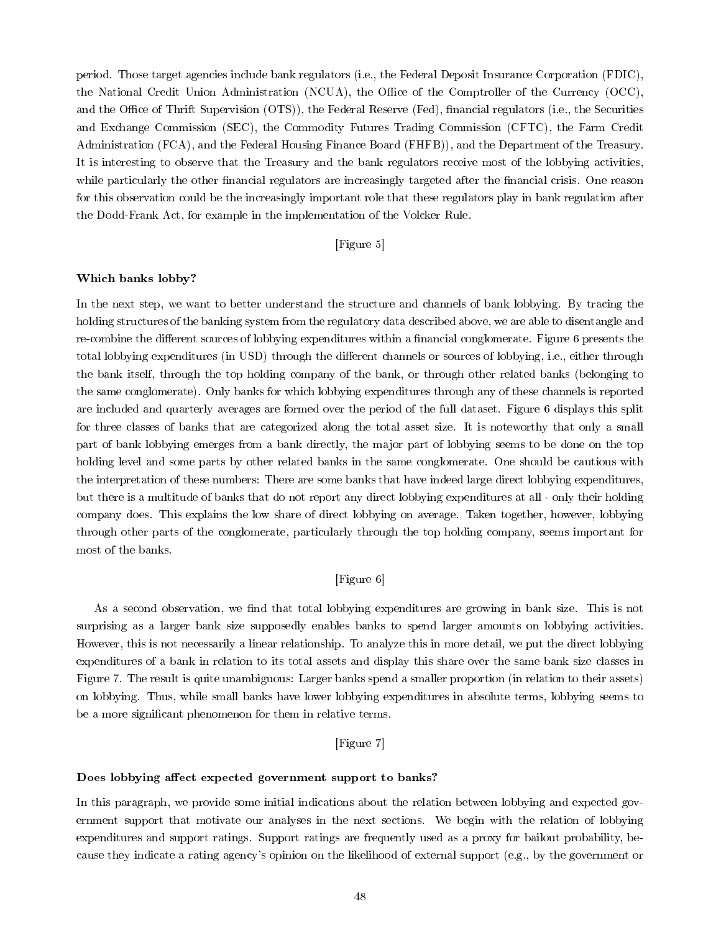period. Those target agencies include bank regulators (i.e., the Federal Deposit Insurance Corporation (FDIC), the National Credit Union Administration (NCUA), the Office of the Comptroller of the Currency (OCC), and the Office of Thrift Supervision (OTS)), the Federal Reserve (Fed), financial regulators (i.e., the Securities and Exchange Commission (SEC), the Commodity Futures Trading Commission (CFTC), the Farm Credit Administration (FCA), and the Federal Housing Finance Board (FHFB)), and the Department of the Treasury. It is interesting to observe that the Treasury and the bank regulators receive most of the lobbying activities, while particularly the other financial regulators are increasingly targeted after the financial crisis. One reason for this observation could be the increasingly important role that these regulators play in bank regulation after the Dodd-Frank Act, for example in the implementation of the Volcker Rule.

# [Figure 5]

### Which banks lobby?

In the next step, we want to better understand the structure and channels of bank lobbying. By tracing the holding structures of the banking system from the regulatory data described above, we are able to disentangle and re-combine the different sources of lobbying expenditures within a financial conglomerate. Figure 6 presents the total lobbying expenditures (in USD) through the different channels or sources of lobbying, i.e., either through the bank itself, through the top holding company of the bank, or through other related banks (belonging to the same conglomerate). Only banks for which lobbying expenditures through any of these channels is reported are included and quarterly averages are formed over the period of the full dataset. Figure 6 displays this split for three classes of banks that are categorized along the total asset size. It is noteworthy that only a small part of bank lobbying emerges from a bank directly, the major part of lobbying seems to be done on the top holding level and some parts by other related banks in the same conglomerate. One should be cautious with the interpretation of these numbers: There are some banks that have indeed large direct lobbying expenditures, but there is a multitude of banks that do not report any direct lobbying expenditures at all - only their holding company does. This explains the low share of direct lobbying on average. Taken together, however, lobbying through other parts of the conglomerate, particularly through the top holding company, seems important for most of the banks.

# [Figure 6]

As a second observation, we find that total lobbying expenditures are growing in bank size. This is not surprising as a larger bank size supposedly enables banks to spend larger amounts on lobbying activities. However, this is not necessarily a linear relationship. To analyze this in more detail, we put the direct lobbying expenditures of a bank in relation to its total assets and display this share over the same bank size classes in Figure 7. The result is quite unambiguous: Larger banks spend a smaller proportion (in relation to their assets) on lobbying. Thus, while small banks have lower lobbying expenditures in absolute terms, lobbying seems to be a more significant phenomenon for them in relative terms.

# [Figure 7]

### Does lobbying affect expected government support to banks?

In this paragraph, we provide some initial indications about the relation between lobbying and expected government support that motivate our analyses in the next sections. We begin with the relation of lobbying expenditures and support ratings. Support ratings are frequently used as a proxy for bailout probability, because they indicate a rating agency's opinion on the likelihood of external support (e.g., by the government or